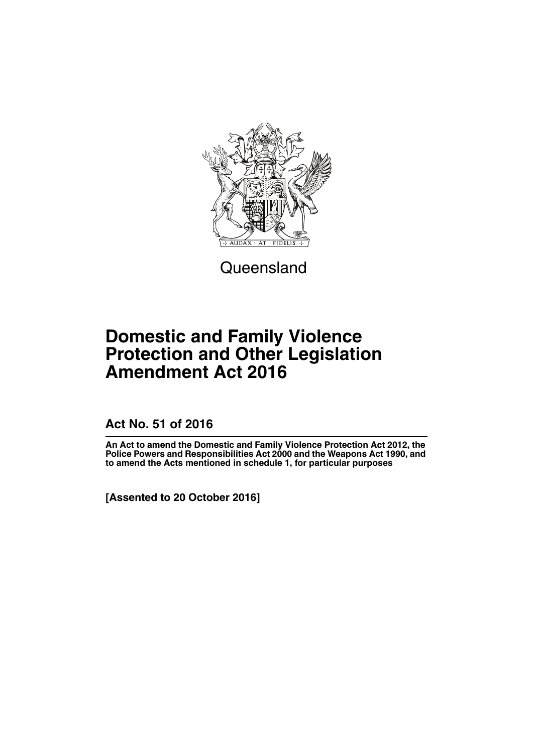

**Queensland** 

# **Domestic and Family Violence Protection and Other Legislation Amendment Act 2016**

**Act No. 51 of 2016**

**An Act to amend the Domestic and Family Violence Protection Act 2012, the Police Powers and Responsibilities Act 2000 and the Weapons Act 1990, and to amend the Acts mentioned in schedule 1, for particular purposes**

**[Assented to 20 October 2016]**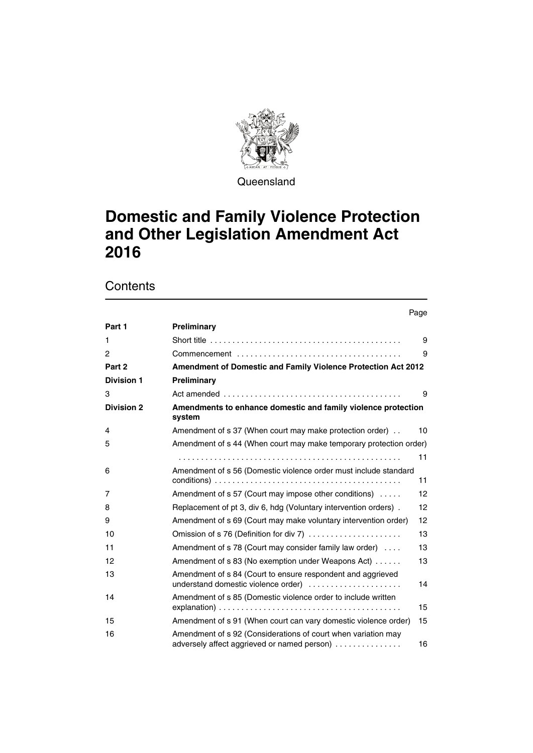

Queensland

# **Domestic and Family Violence Protection and Other Legislation Amendment Act 2016**

|                   |                                                                                                              | Page |
|-------------------|--------------------------------------------------------------------------------------------------------------|------|
| Part 1            | Preliminary                                                                                                  |      |
| 1                 |                                                                                                              | 9    |
| 2                 |                                                                                                              | 9    |
| Part 2            | Amendment of Domestic and Family Violence Protection Act 2012                                                |      |
| <b>Division 1</b> | Preliminary                                                                                                  |      |
| 3                 |                                                                                                              | 9    |
| <b>Division 2</b> | Amendments to enhance domestic and family violence protection<br>system                                      |      |
| 4                 | Amendment of s 37 (When court may make protection order).                                                    | 10   |
| 5                 | Amendment of s 44 (When court may make temporary protection order)                                           |      |
|                   |                                                                                                              | 11   |
| 6                 | Amendment of s 56 (Domestic violence order must include standard                                             | 11   |
| 7                 | Amendment of s 57 (Court may impose other conditions)                                                        | 12   |
| 8                 | Replacement of pt 3, div 6, hdg (Voluntary intervention orders).                                             | 12   |
| 9                 | Amendment of s 69 (Court may make voluntary intervention order)                                              | 12   |
| 10                | Omission of s 76 (Definition for div 7)                                                                      | 13   |
| 11                | Amendment of s 78 (Court may consider family law order)                                                      | 13   |
| 12                | Amendment of s 83 (No exemption under Weapons Act)                                                           | 13   |
| 13                | Amendment of s 84 (Court to ensure respondent and aggrieved<br>understand domestic violence order)           | 14   |
| 14                | Amendment of s 85 (Domestic violence order to include written                                                | 15   |
| 15                | Amendment of s 91 (When court can vary domestic violence order)                                              | 15   |
| 16                | Amendment of s 92 (Considerations of court when variation may<br>adversely affect aggrieved or named person) | 16   |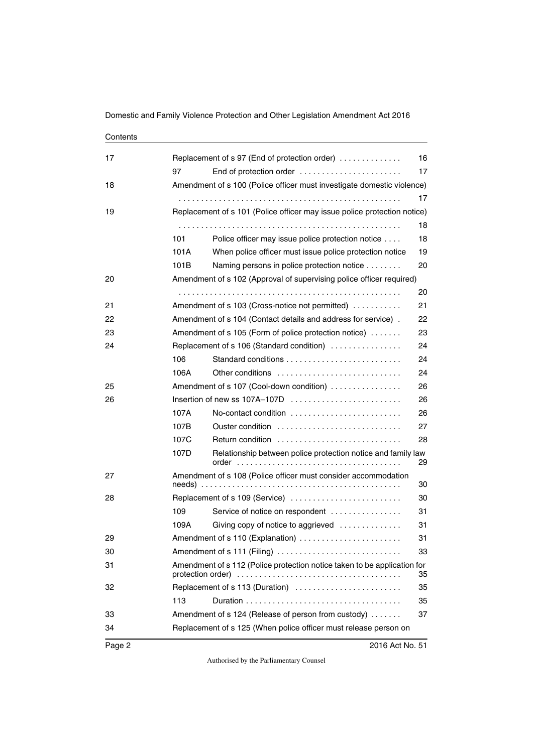| 17 | Replacement of s 97 (End of protection order)<br>16<br>End of protection order<br>17<br>97 |                                                                          |    |  |  |
|----|--------------------------------------------------------------------------------------------|--------------------------------------------------------------------------|----|--|--|
| 18 | Amendment of s 100 (Police officer must investigate domestic violence)                     |                                                                          |    |  |  |
|    |                                                                                            |                                                                          | 17 |  |  |
| 19 |                                                                                            | Replacement of s 101 (Police officer may issue police protection notice) |    |  |  |
|    | 18                                                                                         |                                                                          |    |  |  |
|    | 101                                                                                        | Police officer may issue police protection notice                        | 18 |  |  |
|    | 101A                                                                                       | When police officer must issue police protection notice                  | 19 |  |  |
|    | 101B                                                                                       | Naming persons in police protection notice                               | 20 |  |  |
| 20 |                                                                                            | Amendment of s 102 (Approval of supervising police officer required)     |    |  |  |
|    |                                                                                            |                                                                          | 20 |  |  |
| 21 |                                                                                            | Amendment of s 103 (Cross-notice not permitted)                          | 21 |  |  |
| 22 |                                                                                            | Amendment of s 104 (Contact details and address for service).            | 22 |  |  |
| 23 |                                                                                            | Amendment of s 105 (Form of police protection notice)                    | 23 |  |  |
| 24 |                                                                                            | Replacement of s 106 (Standard condition)                                | 24 |  |  |
|    | 106                                                                                        |                                                                          | 24 |  |  |
|    | 106A                                                                                       | Other conditions                                                         | 24 |  |  |
| 25 |                                                                                            | Amendment of s 107 (Cool-down condition)                                 | 26 |  |  |
| 26 |                                                                                            | Insertion of new ss 107A-107D                                            | 26 |  |  |
|    | 107A                                                                                       | No-contact condition                                                     | 26 |  |  |
|    | 107B                                                                                       | Ouster condition                                                         | 27 |  |  |
|    | 107C                                                                                       | Return condition                                                         | 28 |  |  |
|    | 107D                                                                                       | Relationship between police protection notice and family law<br>order    | 29 |  |  |
| 27 | Amendment of s 108 (Police officer must consider accommodation<br>30                       |                                                                          |    |  |  |
| 28 |                                                                                            | Replacement of s 109 (Service)                                           | 30 |  |  |
|    | 109                                                                                        | Service of notice on respondent                                          | 31 |  |  |
|    | 109A                                                                                       | Giving copy of notice to aggrieved                                       | 31 |  |  |
| 29 |                                                                                            | Amendment of s 110 (Explanation)                                         | 31 |  |  |
| 30 | Amendment of s 111 (Filing)                                                                |                                                                          |    |  |  |
| 31 | Amendment of s 112 (Police protection notice taken to be application for<br>35             |                                                                          |    |  |  |
| 32 |                                                                                            | Replacement of s 113 (Duration)                                          | 35 |  |  |
|    | 113                                                                                        |                                                                          | 35 |  |  |
| 33 |                                                                                            | Amendment of s 124 (Release of person from custody)                      | 37 |  |  |
| 34 |                                                                                            | Replacement of s 125 (When police officer must release person on         |    |  |  |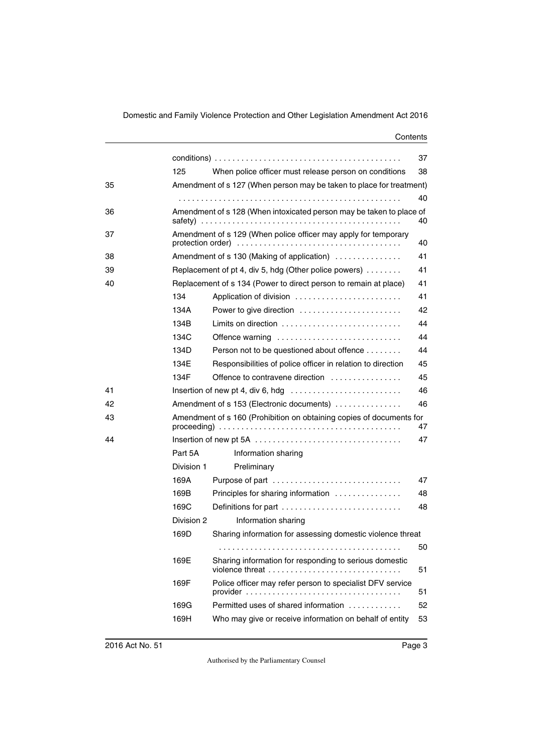|    |                                                                            |                                                                                     | 37 |  |  |
|----|----------------------------------------------------------------------------|-------------------------------------------------------------------------------------|----|--|--|
|    | 125                                                                        | When police officer must release person on conditions                               | 38 |  |  |
| 35 |                                                                            | Amendment of s 127 (When person may be taken to place for treatment)                |    |  |  |
|    |                                                                            |                                                                                     | 40 |  |  |
| 36 | Amendment of s 128 (When intoxicated person may be taken to place of<br>40 |                                                                                     |    |  |  |
| 37 |                                                                            | Amendment of s 129 (When police officer may apply for temporary                     | 40 |  |  |
| 38 |                                                                            | Amendment of s 130 (Making of application)                                          | 41 |  |  |
| 39 |                                                                            | Replacement of pt 4, div 5, hdg (Other police powers)                               | 41 |  |  |
| 40 |                                                                            | Replacement of s 134 (Power to direct person to remain at place)                    | 41 |  |  |
|    | 134                                                                        | Application of division                                                             | 41 |  |  |
|    | 134A                                                                       | Power to give direction                                                             | 42 |  |  |
|    | 134B                                                                       | Limits on direction $\ldots \ldots \ldots \ldots \ldots \ldots \ldots$              | 44 |  |  |
|    | 134C                                                                       | Offence warning                                                                     | 44 |  |  |
|    | 134D                                                                       | Person not to be questioned about offence                                           | 44 |  |  |
|    | 134E                                                                       | Responsibilities of police officer in relation to direction                         | 45 |  |  |
|    | 134F                                                                       | Offence to contravene direction                                                     | 45 |  |  |
| 41 |                                                                            | Insertion of new pt 4, div 6, hdg $\dots \dots \dots \dots \dots \dots \dots \dots$ | 46 |  |  |
| 42 | 46<br>Amendment of s 153 (Electronic documents)                            |                                                                                     |    |  |  |
| 43 | Amendment of s 160 (Prohibition on obtaining copies of documents for<br>47 |                                                                                     |    |  |  |
| 44 |                                                                            |                                                                                     | 47 |  |  |
|    | Part 5A                                                                    | Information sharing                                                                 |    |  |  |
|    | Division 1                                                                 | Preliminary                                                                         |    |  |  |
|    | 169A                                                                       | Purpose of part                                                                     | 47 |  |  |
|    | 169B                                                                       | Principles for sharing information                                                  | 48 |  |  |
|    | 169C                                                                       | Definitions for part                                                                | 48 |  |  |
|    | Division 2                                                                 | Information sharing                                                                 |    |  |  |
|    | 169D                                                                       | Sharing information for assessing domestic violence threat                          |    |  |  |
|    |                                                                            |                                                                                     | 50 |  |  |
|    | 169E                                                                       | Sharing information for responding to serious domestic<br>violence threat           | 51 |  |  |
|    | 169F                                                                       | Police officer may refer person to specialist DFV service                           | 51 |  |  |
|    | 169G                                                                       | Permitted uses of shared information                                                | 52 |  |  |
|    | 169H                                                                       | Who may give or receive information on behalf of entity                             | 53 |  |  |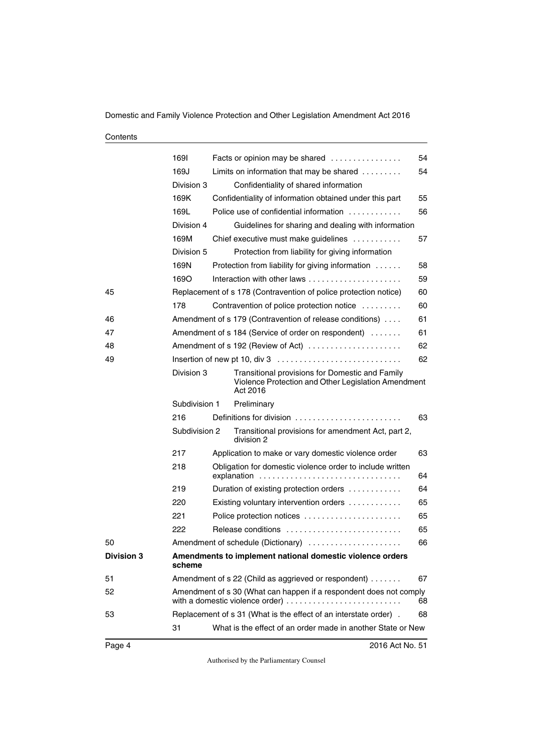| Contents |
|----------|
|----------|

|                   | 1691                                                                                                                                                          |                                                                        | Facts or opinion may be shared                                                                                     | 54 |  |  |
|-------------------|---------------------------------------------------------------------------------------------------------------------------------------------------------------|------------------------------------------------------------------------|--------------------------------------------------------------------------------------------------------------------|----|--|--|
|                   | 169J                                                                                                                                                          |                                                                        | Limits on information that may be shared $\ldots \ldots$                                                           | 54 |  |  |
|                   | Division 3                                                                                                                                                    |                                                                        | Confidentiality of shared information                                                                              |    |  |  |
|                   |                                                                                                                                                               |                                                                        |                                                                                                                    |    |  |  |
|                   | 169K                                                                                                                                                          |                                                                        | Confidentiality of information obtained under this part                                                            | 55 |  |  |
|                   | 169L                                                                                                                                                          |                                                                        | Police use of confidential information                                                                             | 56 |  |  |
|                   | Division 4                                                                                                                                                    |                                                                        | Guidelines for sharing and dealing with information                                                                |    |  |  |
|                   | 169M                                                                                                                                                          |                                                                        | Chief executive must make guidelines                                                                               | 57 |  |  |
|                   | Division 5                                                                                                                                                    |                                                                        | Protection from liability for giving information                                                                   |    |  |  |
|                   | 169N                                                                                                                                                          |                                                                        | Protection from liability for giving information                                                                   | 58 |  |  |
|                   | 1690                                                                                                                                                          |                                                                        |                                                                                                                    | 59 |  |  |
| 45                |                                                                                                                                                               | Replacement of s 178 (Contravention of police protection notice)<br>60 |                                                                                                                    |    |  |  |
|                   | 178                                                                                                                                                           |                                                                        | Contravention of police protection notice                                                                          | 60 |  |  |
| 46                |                                                                                                                                                               |                                                                        | Amendment of s 179 (Contravention of release conditions)                                                           | 61 |  |  |
| 47                |                                                                                                                                                               | Amendment of s 184 (Service of order on respondent)<br>61              |                                                                                                                    |    |  |  |
| 48                |                                                                                                                                                               |                                                                        | Amendment of s 192 (Review of Act)                                                                                 | 62 |  |  |
| 49                |                                                                                                                                                               |                                                                        |                                                                                                                    | 62 |  |  |
|                   | Division 3                                                                                                                                                    |                                                                        | Transitional provisions for Domestic and Family<br>Violence Protection and Other Legislation Amendment<br>Act 2016 |    |  |  |
|                   | Subdivision 1                                                                                                                                                 |                                                                        | Preliminary                                                                                                        |    |  |  |
|                   | 216                                                                                                                                                           |                                                                        | Definitions for division                                                                                           | 63 |  |  |
|                   | Subdivision 2                                                                                                                                                 |                                                                        | Transitional provisions for amendment Act, part 2,<br>division 2                                                   |    |  |  |
|                   | 217                                                                                                                                                           |                                                                        | Application to make or vary domestic violence order                                                                | 63 |  |  |
|                   | 218                                                                                                                                                           |                                                                        | Obligation for domestic violence order to include written<br>explanation                                           | 64 |  |  |
|                   | 219                                                                                                                                                           |                                                                        | Duration of existing protection orders                                                                             | 64 |  |  |
|                   | 220                                                                                                                                                           |                                                                        | Existing voluntary intervention orders                                                                             | 65 |  |  |
|                   | 221                                                                                                                                                           |                                                                        | Police protection notices                                                                                          | 65 |  |  |
|                   | 222                                                                                                                                                           |                                                                        | Release conditions                                                                                                 | 65 |  |  |
| 50                |                                                                                                                                                               |                                                                        | Amendment of schedule (Dictionary)                                                                                 | 66 |  |  |
| <b>Division 3</b> | scheme                                                                                                                                                        |                                                                        | Amendments to implement national domestic violence orders                                                          |    |  |  |
| 51                | Amendment of s 22 (Child as aggrieved or respondent)<br>67                                                                                                    |                                                                        |                                                                                                                    |    |  |  |
| 52                | Amendment of s 30 (What can happen if a respondent does not comply<br>with a domestic violence order) $\dots \dots \dots \dots \dots \dots \dots \dots \dots$ |                                                                        |                                                                                                                    | 68 |  |  |
| 53                |                                                                                                                                                               |                                                                        | Replacement of s 31 (What is the effect of an interstate order).                                                   | 68 |  |  |
|                   | 31                                                                                                                                                            |                                                                        | What is the effect of an order made in another State or New                                                        |    |  |  |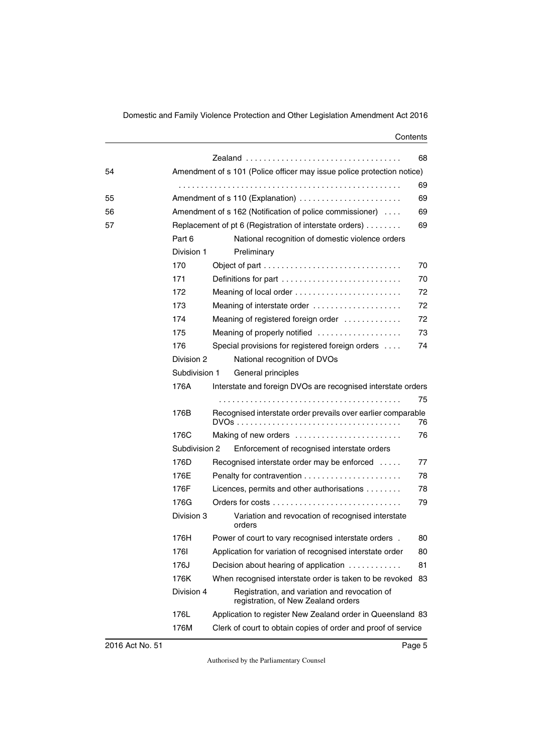|    |                                  |                                                                                      | 68 |  |
|----|----------------------------------|--------------------------------------------------------------------------------------|----|--|
| 54 |                                  | Amendment of s 101 (Police officer may issue police protection notice)               |    |  |
|    |                                  |                                                                                      | 69 |  |
| 55 | Amendment of s 110 (Explanation) |                                                                                      |    |  |
| 56 |                                  | Amendment of s 162 (Notification of police commissioner)                             | 69 |  |
| 57 |                                  | Replacement of pt 6 (Registration of interstate orders)                              | 69 |  |
|    | Part 6                           | National recognition of domestic violence orders                                     |    |  |
|    | Division 1                       | Preliminary                                                                          |    |  |
|    | 170                              |                                                                                      | 70 |  |
|    | 171                              | Definitions for part                                                                 | 70 |  |
|    | 172                              |                                                                                      | 72 |  |
|    | 173                              | Meaning of interstate order                                                          | 72 |  |
|    | 174                              | Meaning of registered foreign order                                                  | 72 |  |
|    | 175                              | Meaning of properly notified                                                         | 73 |  |
|    | 176                              | Special provisions for registered foreign orders                                     | 74 |  |
|    | Division 2                       | National recognition of DVOs                                                         |    |  |
|    | Subdivision 1                    | General principles                                                                   |    |  |
|    | 176A                             | Interstate and foreign DVOs are recognised interstate orders                         |    |  |
|    |                                  |                                                                                      | 75 |  |
|    | 176B                             | Recognised interstate order prevails over earlier comparable                         | 76 |  |
|    | 176C                             | Making of new orders                                                                 | 76 |  |
|    | Subdivision 2                    | Enforcement of recognised interstate orders                                          |    |  |
|    | 176D                             | Recognised interstate order may be enforced                                          | 77 |  |
|    | 176E                             |                                                                                      | 78 |  |
|    | 176F                             | Licences, permits and other authorisations                                           | 78 |  |
|    | 176G                             |                                                                                      | 79 |  |
|    | Division 3                       | Variation and revocation of recognised interstate<br>orders                          |    |  |
|    | 176H                             | Power of court to vary recognised interstate orders.                                 | 80 |  |
|    | 1761                             | Application for variation of recognised interstate order                             | 80 |  |
|    | 176J                             | Decision about hearing of application                                                | 81 |  |
|    | 176K                             | When recognised interstate order is taken to be revoked                              | 83 |  |
|    | Division 4                       | Registration, and variation and revocation of<br>registration, of New Zealand orders |    |  |
|    | 176L                             | Application to register New Zealand order in Queensland 83                           |    |  |
|    | 176M                             | Clerk of court to obtain copies of order and proof of service                        |    |  |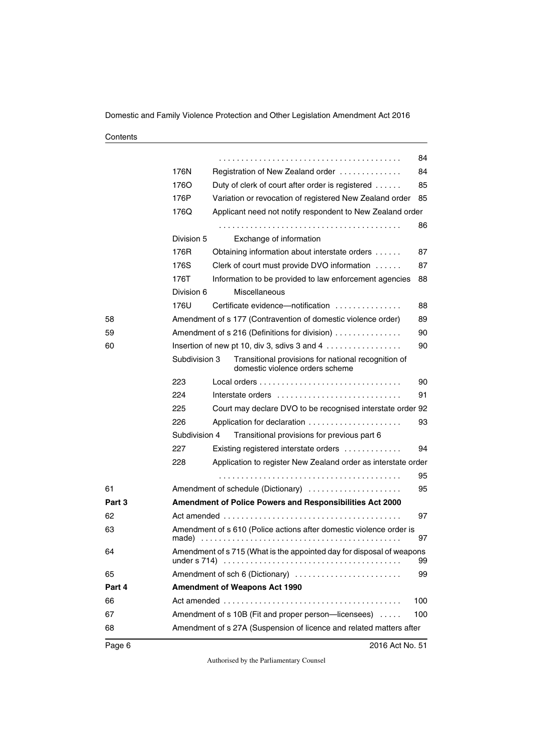|        |                                                                                                                                                                                          |                                                                                        | 84  |  |
|--------|------------------------------------------------------------------------------------------------------------------------------------------------------------------------------------------|----------------------------------------------------------------------------------------|-----|--|
|        | 176N                                                                                                                                                                                     | Registration of New Zealand order                                                      | 84  |  |
|        | 1760                                                                                                                                                                                     | Duty of clerk of court after order is registered                                       | 85  |  |
|        | 176P                                                                                                                                                                                     | Variation or revocation of registered New Zealand order                                | 85  |  |
|        | 176Q                                                                                                                                                                                     | Applicant need not notify respondent to New Zealand order                              |     |  |
|        |                                                                                                                                                                                          |                                                                                        | 86  |  |
|        | Division 5                                                                                                                                                                               | Exchange of information                                                                |     |  |
|        | 176R                                                                                                                                                                                     | Obtaining information about interstate orders                                          | 87  |  |
|        | 176S                                                                                                                                                                                     | Clerk of court must provide DVO information                                            | 87  |  |
|        | 176T                                                                                                                                                                                     | Information to be provided to law enforcement agencies                                 | 88  |  |
|        | Division 6                                                                                                                                                                               | Miscellaneous                                                                          |     |  |
|        | 176U                                                                                                                                                                                     | Certificate evidence—notification                                                      | 88  |  |
| 58     |                                                                                                                                                                                          | Amendment of s 177 (Contravention of domestic violence order)                          | 89  |  |
| 59     |                                                                                                                                                                                          | Amendment of s 216 (Definitions for division)                                          | 90  |  |
| 60     |                                                                                                                                                                                          | Insertion of new pt 10, div 3, sdivs $3$ and $4$                                       | 90  |  |
|        | Subdivision 3                                                                                                                                                                            | Transitional provisions for national recognition of<br>domestic violence orders scheme |     |  |
|        | 223                                                                                                                                                                                      |                                                                                        | 90  |  |
|        | 224                                                                                                                                                                                      | Interstate orders                                                                      | 91  |  |
|        | 225                                                                                                                                                                                      | Court may declare DVO to be recognised interstate order 92                             |     |  |
|        | 226                                                                                                                                                                                      |                                                                                        | 93  |  |
|        | Subdivision 4                                                                                                                                                                            | Transitional provisions for previous part 6                                            |     |  |
|        | 227                                                                                                                                                                                      | Existing registered interstate orders                                                  | 94  |  |
|        | 228                                                                                                                                                                                      | Application to register New Zealand order as interstate order                          |     |  |
|        |                                                                                                                                                                                          |                                                                                        | 95  |  |
| 61     |                                                                                                                                                                                          | Amendment of schedule (Dictionary)                                                     | 95  |  |
| Part 3 |                                                                                                                                                                                          | Amendment of Police Powers and Responsibilities Act 2000                               |     |  |
| 62     |                                                                                                                                                                                          |                                                                                        | 97  |  |
| 63     | Amendment of s 610 (Police actions after domestic violence order is<br>97<br>made)                                                                                                       |                                                                                        |     |  |
| 64     | Amendment of s 715 (What is the appointed day for disposal of weapons<br>under s 714) $\ldots \ldots \ldots \ldots \ldots \ldots \ldots \ldots \ldots \ldots \ldots \ldots \ldots$<br>99 |                                                                                        |     |  |
| 65     |                                                                                                                                                                                          | Amendment of sch 6 (Dictionary)                                                        | 99  |  |
| Part 4 | <b>Amendment of Weapons Act 1990</b>                                                                                                                                                     |                                                                                        |     |  |
| 66     |                                                                                                                                                                                          |                                                                                        | 100 |  |
| 67     | Amendment of s 10B (Fit and proper person-licensees)<br>100                                                                                                                              |                                                                                        |     |  |
| 68     |                                                                                                                                                                                          | Amendment of s 27A (Suspension of licence and related matters after                    |     |  |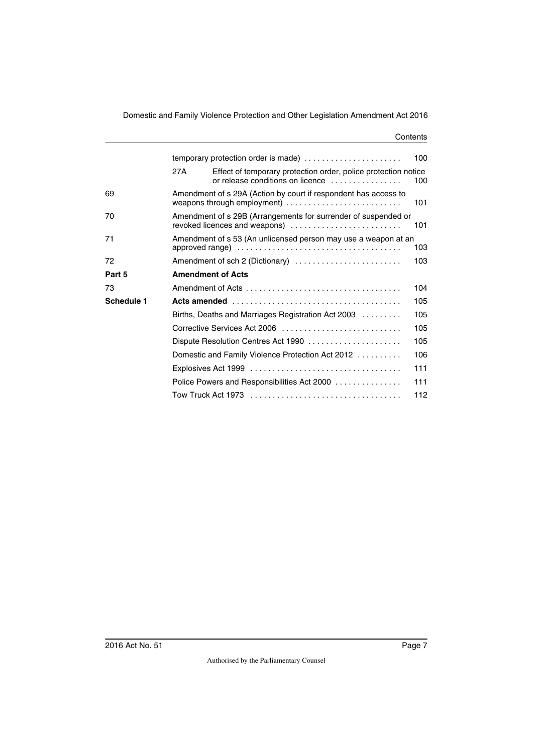|            | temporary protection order is made)                                                                    |                                                                                                                                                   |     |  |  |  |
|------------|--------------------------------------------------------------------------------------------------------|---------------------------------------------------------------------------------------------------------------------------------------------------|-----|--|--|--|
|            | 27A                                                                                                    | Effect of temporary protection order, police protection notice<br>or release conditions on licence                                                | 100 |  |  |  |
| 69         |                                                                                                        | Amendment of s 29A (Action by court if respondent has access to<br>weapons through employment) $\ldots \ldots \ldots \ldots \ldots \ldots \ldots$ | 101 |  |  |  |
| 70         | Amendment of s 29B (Arrangements for surrender of suspended or<br>revoked licences and weapons)<br>101 |                                                                                                                                                   |     |  |  |  |
| 71         | Amendment of s 53 (An unlicensed person may use a weapon at an<br>103                                  |                                                                                                                                                   |     |  |  |  |
| 72         |                                                                                                        | Amendment of sch 2 (Dictionary)                                                                                                                   | 103 |  |  |  |
| Part 5     |                                                                                                        | <b>Amendment of Acts</b>                                                                                                                          |     |  |  |  |
| 73         |                                                                                                        |                                                                                                                                                   |     |  |  |  |
| Schedule 1 | 105                                                                                                    |                                                                                                                                                   |     |  |  |  |
|            |                                                                                                        | Births, Deaths and Marriages Registration Act 2003                                                                                                | 105 |  |  |  |
|            |                                                                                                        | Corrective Services Act 2006                                                                                                                      | 105 |  |  |  |
|            |                                                                                                        |                                                                                                                                                   | 105 |  |  |  |
|            |                                                                                                        | Domestic and Family Violence Protection Act 2012                                                                                                  | 106 |  |  |  |
|            |                                                                                                        |                                                                                                                                                   | 111 |  |  |  |
|            |                                                                                                        | Police Powers and Responsibilities Act 2000                                                                                                       | 111 |  |  |  |
|            |                                                                                                        |                                                                                                                                                   | 112 |  |  |  |
|            |                                                                                                        |                                                                                                                                                   |     |  |  |  |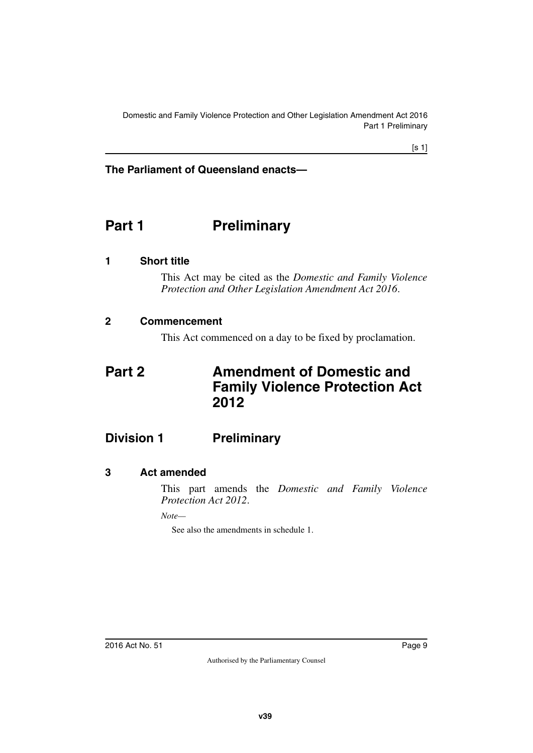Domestic and Family Violence Protection and Other Legislation Amendment Act 2016 Part 1 Preliminary

#### **The Parliament of Queensland enacts—**

# <span id="page-10-0"></span>**Part 1** Preliminary

#### <span id="page-10-2"></span>**1 Short title**

<span id="page-10-3"></span><span id="page-10-1"></span>This Act may be cited as the *Domestic and Family Violence Protection and Other Legislation Amendment Act 2016*.

#### <span id="page-10-4"></span>**2 Commencement**

<span id="page-10-7"></span><span id="page-10-5"></span>This Act commenced on a day to be fixed by proclamation.

# <span id="page-10-6"></span>**Part 2 Amendment of Domestic and Family Violence Protection Act 2012**

# <span id="page-10-8"></span>**Division 1 Preliminary**

#### <span id="page-10-10"></span>**3 Act amended**

<span id="page-10-11"></span><span id="page-10-9"></span>This part amends the *Domestic and Family Violence Protection Act 2012*.

*Note—*

See also the amendments in schedule 1.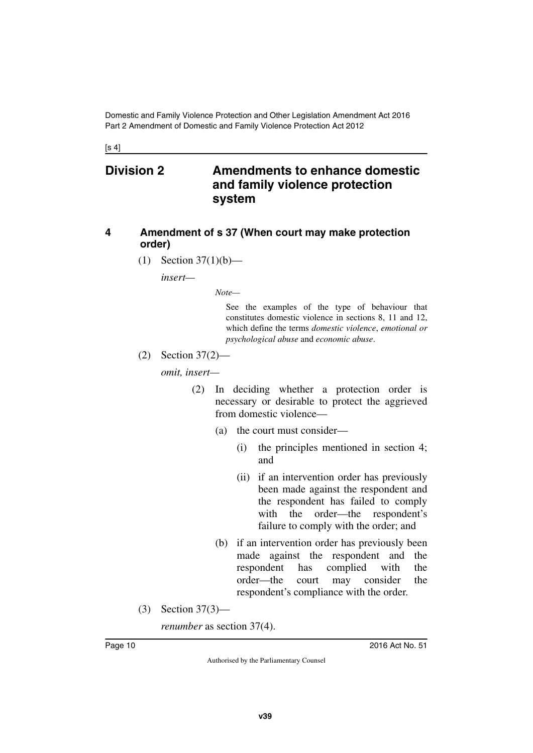$[s 4]$ 

# <span id="page-11-1"></span><span id="page-11-0"></span>**Division 2 Amendments to enhance domestic and family violence protection system**

#### <span id="page-11-3"></span><span id="page-11-2"></span>**4 Amendment of s 37 (When court may make protection order)**

(1) Section 37(1)(b)—

*insert—*

*Note—*

See the examples of the type of behaviour that constitutes domestic violence in sections 8, 11 and 12, which define the terms *domestic violence*, *emotional or psychological abuse* and *economic abuse*.

(2) Section 37(2)—

*omit, insert—*

- (2) In deciding whether a protection order is necessary or desirable to protect the aggrieved from domestic violence—
	- (a) the court must consider—
		- (i) the principles mentioned in section 4; and
		- (ii) if an intervention order has previously been made against the respondent and the respondent has failed to comply with the order—the respondent's failure to comply with the order; and
	- (b) if an intervention order has previously been made against the respondent and the respondent has complied with the order—the court may consider the respondent's compliance with the order.
- (3) Section 37(3)—

*renumber* as section 37(4).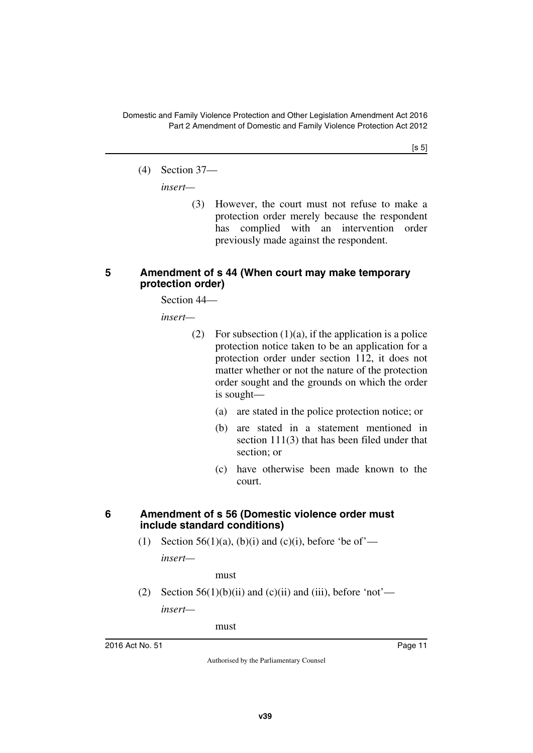$[s 5]$ 

(4) Section 37—

*insert—*

(3) However, the court must not refuse to make a protection order merely because the respondent has complied with an intervention order previously made against the respondent.

#### <span id="page-12-1"></span><span id="page-12-0"></span>**5 Amendment of s 44 (When court may make temporary protection order)**

Section 44—

*insert—*

- (2) For subsection  $(1)(a)$ , if the application is a police protection notice taken to be an application for a protection order under section 112, it does not matter whether or not the nature of the protection order sought and the grounds on which the order is sought—
	- (a) are stated in the police protection notice; or
	- (b) are stated in a statement mentioned in section 111(3) that has been filed under that section; or
	- (c) have otherwise been made known to the court.

#### <span id="page-12-2"></span>**6 Amendment of s 56 (Domestic violence order must include standard conditions)**

<span id="page-12-3"></span>(1) Section 56(1)(a), (b)(i) and (c)(i), before 'be of'—

*insert—*

must

(2) Section  $56(1)(b)(ii)$  and  $(c)(ii)$  and  $(iii)$ , before 'not' *insert—*

must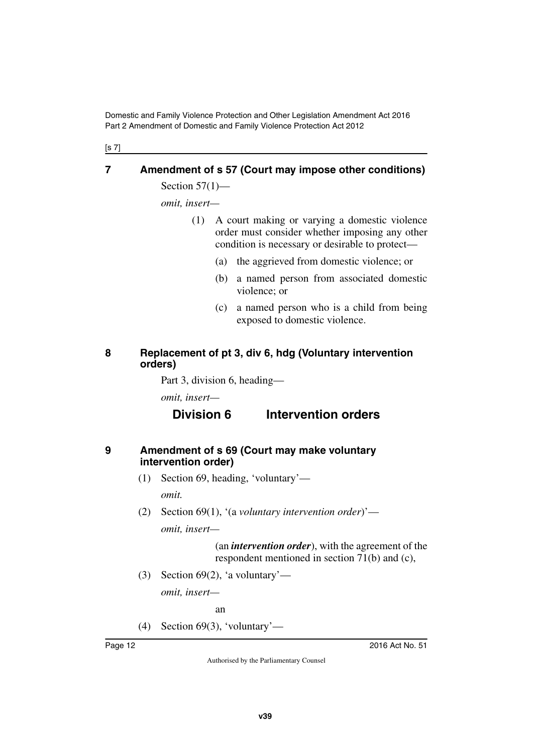[s 7]

# <span id="page-13-0"></span>**7 Amendment of s 57 (Court may impose other conditions)**

<span id="page-13-1"></span>Section  $57(1)$ —

*omit, insert—*

- (1) A court making or varying a domestic violence order must consider whether imposing any other condition is necessary or desirable to protect—
	- (a) the aggrieved from domestic violence; or
	- (b) a named person from associated domestic violence; or
	- (c) a named person who is a child from being exposed to domestic violence.

### <span id="page-13-3"></span><span id="page-13-2"></span>**8 Replacement of pt 3, div 6, hdg (Voluntary intervention orders)**

Part 3, division 6, heading—

*omit, insert—*

# **Division 6 Intervention orders**

#### <span id="page-13-5"></span><span id="page-13-4"></span>**9 Amendment of s 69 (Court may make voluntary intervention order)**

- (1) Section 69, heading, 'voluntary' *omit.*
- (2) Section 69(1), '(a *voluntary intervention order*)' *omit, insert—*

(an *intervention order*), with the agreement of the respondent mentioned in section 71(b) and (c),

(3) Section 69(2), 'a voluntary' *omit, insert—*

an

(4) Section 69(3), 'voluntary'—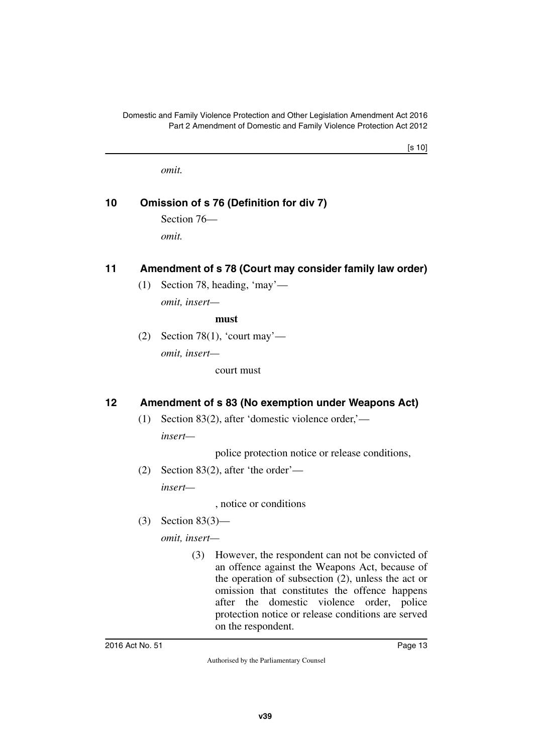[s 10]

<span id="page-14-1"></span>*omit.*

# <span id="page-14-0"></span>**10 Omission of s 76 (Definition for div 7)**

Section 76 *omit.*

# <span id="page-14-2"></span>**11 Amendment of s 78 (Court may consider family law order)**

<span id="page-14-3"></span>(1) Section 78, heading, 'may' *omit, insert—*

**must**

(2) Section 78(1), 'court may' *omit, insert—*

court must

# <span id="page-14-4"></span>**12 Amendment of s 83 (No exemption under Weapons Act)**

<span id="page-14-5"></span>(1) Section 83(2), after 'domestic violence order,' *insert—*

police protection notice or release conditions,

(2) Section 83(2), after 'the order' *insert—*

, notice or conditions

(3) Section 83(3)—

*omit, insert—*

(3) However, the respondent can not be convicted of an offence against the Weapons Act, because of the operation of subsection (2), unless the act or omission that constitutes the offence happens after the domestic violence order, police protection notice or release conditions are served on the respondent.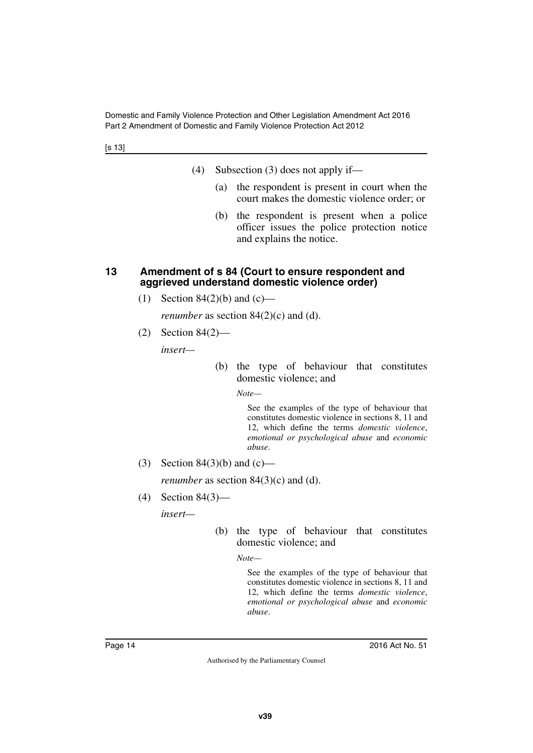[s 13]

- (4) Subsection (3) does not apply if—
	- (a) the respondent is present in court when the court makes the domestic violence order; or
	- (b) the respondent is present when a police officer issues the police protection notice and explains the notice.

#### <span id="page-15-0"></span>**13 Amendment of s 84 (Court to ensure respondent and aggrieved understand domestic violence order)**

<span id="page-15-1"></span>(1) Section  $84(2)(b)$  and  $(c)$ —

*renumber* as section 84(2)(c) and (d).

(2) Section 84(2)—

*insert—*

(b) the type of behaviour that constitutes domestic violence; and

*Note—*

See the examples of the type of behaviour that constitutes domestic violence in sections 8, 11 and 12, which define the terms *domestic violence*, *emotional or psychological abuse* and *economic abuse*.

(3) Section 84(3)(b) and (c)—

*renumber* as section 84(3)(c) and (d).

(4) Section 84(3)—

*insert—*

(b) the type of behaviour that constitutes domestic violence; and

*Note—*

See the examples of the type of behaviour that constitutes domestic violence in sections 8, 11 and 12, which define the terms *domestic violence*, *emotional or psychological abuse* and *economic abuse*.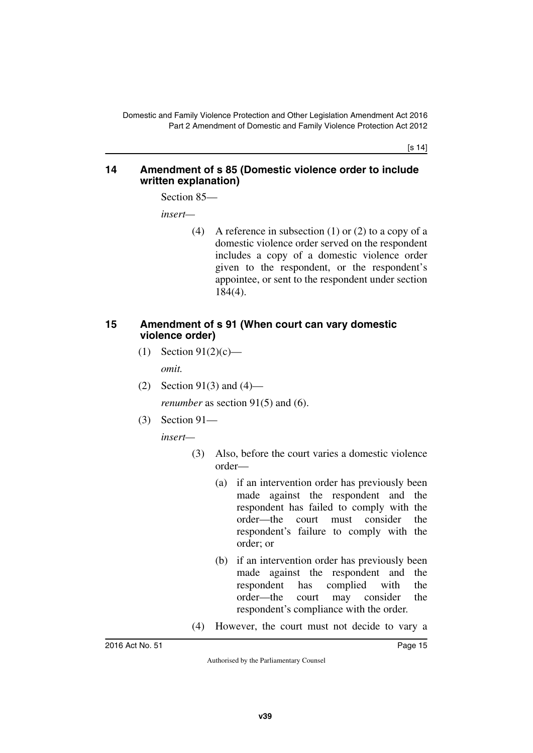[s 14]

#### <span id="page-16-1"></span><span id="page-16-0"></span>**14 Amendment of s 85 (Domestic violence order to include written explanation)**

Section 85—

*insert—*

(4) A reference in subsection (1) or (2) to a copy of a domestic violence order served on the respondent includes a copy of a domestic violence order given to the respondent, or the respondent's appointee, or sent to the respondent under section 184(4).

#### <span id="page-16-3"></span><span id="page-16-2"></span>**15 Amendment of s 91 (When court can vary domestic violence order)**

- (1) Section  $91(2)(c)$  *omit.*
- (2) Section 91(3) and (4) *renumber* as section 91(5) and (6).
- (3) Section 91—

*insert—*

- (3) Also, before the court varies a domestic violence order—
	- (a) if an intervention order has previously been made against the respondent and the respondent has failed to comply with the order—the court must consider the respondent's failure to comply with the order; or
	- (b) if an intervention order has previously been made against the respondent and the respondent has complied with the order—the court may consider the respondent's compliance with the order.
- (4) However, the court must not decide to vary a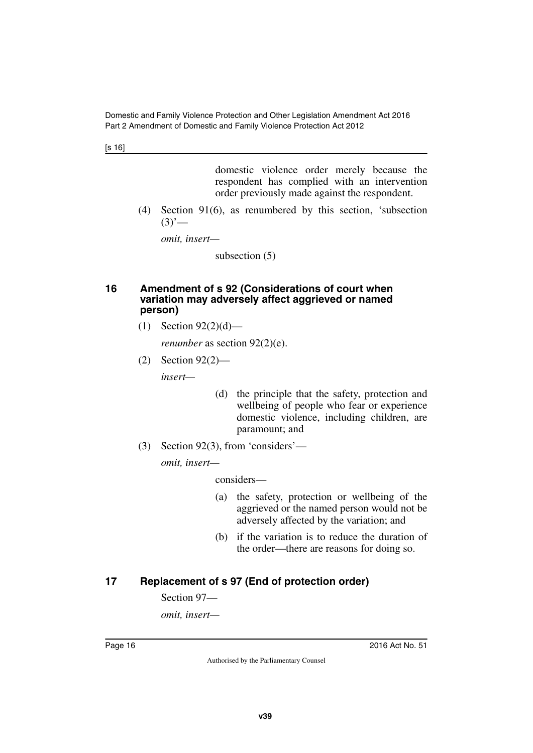[s 16]

domestic violence order merely because the respondent has complied with an intervention order previously made against the respondent.

(4) Section 91(6), as renumbered by this section, 'subsection  $(3)'$ —

*omit, insert—*

subsection (5)

#### <span id="page-17-1"></span><span id="page-17-0"></span>**16 Amendment of s 92 (Considerations of court when variation may adversely affect aggrieved or named person)**

(1) Section 92(2)(d)—

*renumber* as section 92(2)(e).

(2) Section 92(2)—

*insert—*

- (d) the principle that the safety, protection and wellbeing of people who fear or experience domestic violence, including children, are paramount; and
- (3) Section 92(3), from 'considers'—

*omit, insert—*

considers—

- (a) the safety, protection or wellbeing of the aggrieved or the named person would not be adversely affected by the variation; and
- (b) if the variation is to reduce the duration of the order—there are reasons for doing so.

# <span id="page-17-2"></span>**17 Replacement of s 97 (End of protection order)**

<span id="page-17-3"></span>Section 97—

*omit, insert—*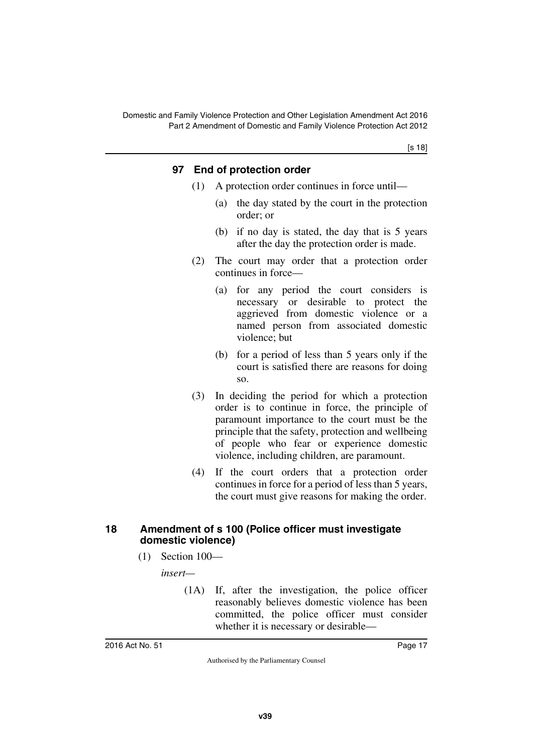[s 18]

#### <span id="page-18-1"></span><span id="page-18-0"></span>**97 End of protection order**

- (1) A protection order continues in force until—
	- (a) the day stated by the court in the protection order; or
	- (b) if no day is stated, the day that is 5 years after the day the protection order is made.
- (2) The court may order that a protection order continues in force—
	- (a) for any period the court considers is necessary or desirable to protect the aggrieved from domestic violence or a named person from associated domestic violence; but
	- (b) for a period of less than 5 years only if the court is satisfied there are reasons for doing so.
- (3) In deciding the period for which a protection order is to continue in force, the principle of paramount importance to the court must be the principle that the safety, protection and wellbeing of people who fear or experience domestic violence, including children, are paramount.
- (4) If the court orders that a protection order continues in force for a period of less than 5 years, the court must give reasons for making the order.

#### <span id="page-18-3"></span><span id="page-18-2"></span>**18 Amendment of s 100 (Police officer must investigate domestic violence)**

(1) Section 100—

*insert—*

(1A) If, after the investigation, the police officer reasonably believes domestic violence has been committed, the police officer must consider whether it is necessary or desirable—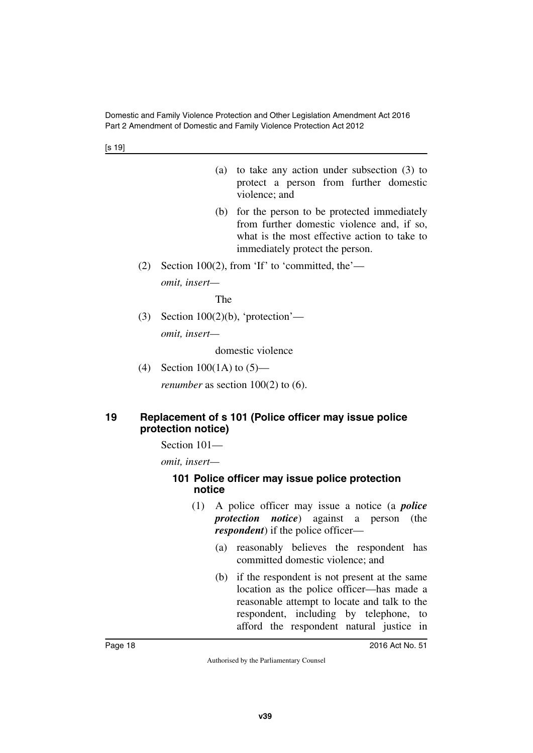[s 19]

- (a) to take any action under subsection (3) to protect a person from further domestic violence; and
- (b) for the person to be protected immediately from further domestic violence and, if so, what is the most effective action to take to immediately protect the person.
- (2) Section 100(2), from 'If' to 'committed, the' *omit, insert—*

The

(3) Section  $100(2)(b)$ , 'protection' *omit, insert—*

domestic violence

(4) Section 100(1A) to (5)—

<span id="page-19-1"></span>*renumber* as section 100(2) to (6).

#### <span id="page-19-0"></span>**19 Replacement of s 101 (Police officer may issue police protection notice)**

Section 101—

*omit, insert—*

#### <span id="page-19-3"></span><span id="page-19-2"></span>**101 Police officer may issue police protection notice**

- (1) A police officer may issue a notice (a *police protection notice*) against a person (the *respondent*) if the police officer—
	- (a) reasonably believes the respondent has committed domestic violence; and
	- (b) if the respondent is not present at the same location as the police officer—has made a reasonable attempt to locate and talk to the respondent, including by telephone, to afford the respondent natural justice in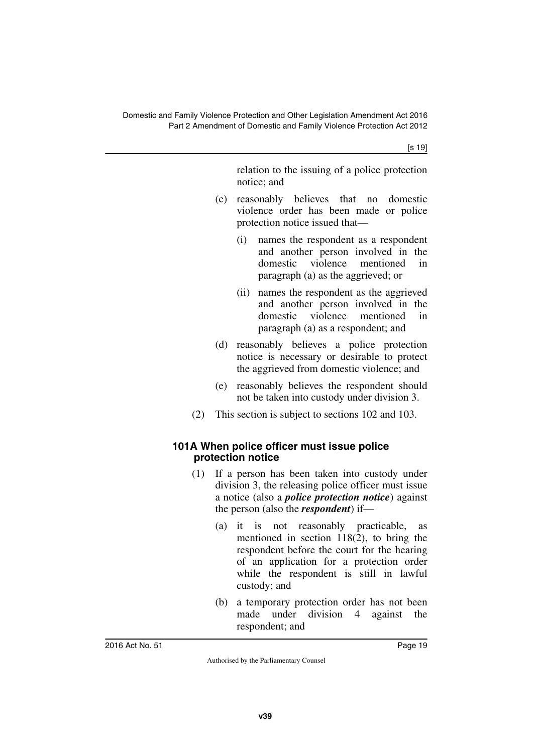[s 19]

relation to the issuing of a police protection notice; and

- (c) reasonably believes that no domestic violence order has been made or police protection notice issued that—
	- (i) names the respondent as a respondent and another person involved in the domestic violence mentioned in paragraph (a) as the aggrieved; or
	- (ii) names the respondent as the aggrieved and another person involved in the domestic violence mentioned in paragraph (a) as a respondent; and
- (d) reasonably believes a police protection notice is necessary or desirable to protect the aggrieved from domestic violence; and
- (e) reasonably believes the respondent should not be taken into custody under division 3.
- <span id="page-20-1"></span>(2) This section is subject to sections 102 and 103.

#### <span id="page-20-0"></span>**101A When police officer must issue police protection notice**

- (1) If a person has been taken into custody under division 3, the releasing police officer must issue a notice (also a *police protection notice*) against the person (also the *respondent*) if—
	- (a) it is not reasonably practicable, as mentioned in section 118(2), to bring the respondent before the court for the hearing of an application for a protection order while the respondent is still in lawful custody; and
	- (b) a temporary protection order has not been made under division 4 against the respondent; and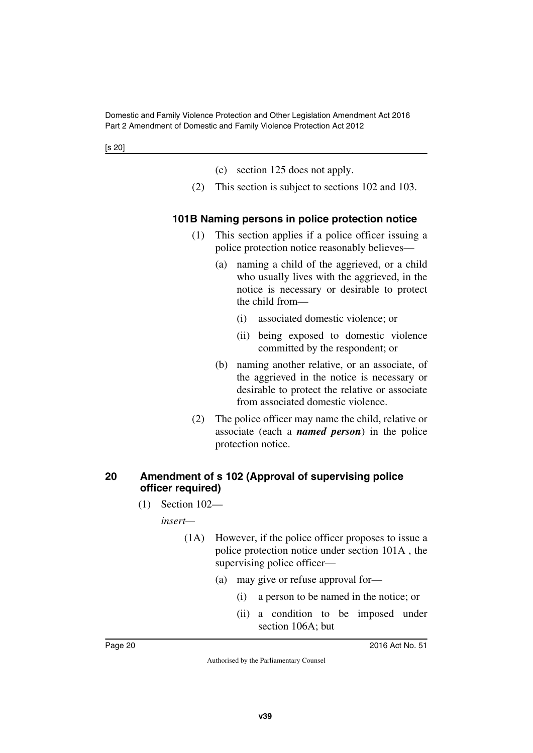- (c) section 125 does not apply.
- <span id="page-21-1"></span>(2) This section is subject to sections 102 and 103.

#### <span id="page-21-0"></span>**101B Naming persons in police protection notice**

- (1) This section applies if a police officer issuing a police protection notice reasonably believes—
	- (a) naming a child of the aggrieved, or a child who usually lives with the aggrieved, in the notice is necessary or desirable to protect the child from—
		- (i) associated domestic violence; or
		- (ii) being exposed to domestic violence committed by the respondent; or
	- (b) naming another relative, or an associate, of the aggrieved in the notice is necessary or desirable to protect the relative or associate from associated domestic violence.
- (2) The police officer may name the child, relative or associate (each a *named person*) in the police protection notice.

#### <span id="page-21-3"></span><span id="page-21-2"></span>**20 Amendment of s 102 (Approval of supervising police officer required)**

(1) Section 102—

*insert—*

- (1A) However, if the police officer proposes to issue a police protection notice under section 101A , the supervising police officer—
	- (a) may give or refuse approval for—
		- (i) a person to be named in the notice; or
		- (ii) a condition to be imposed under section 106A; but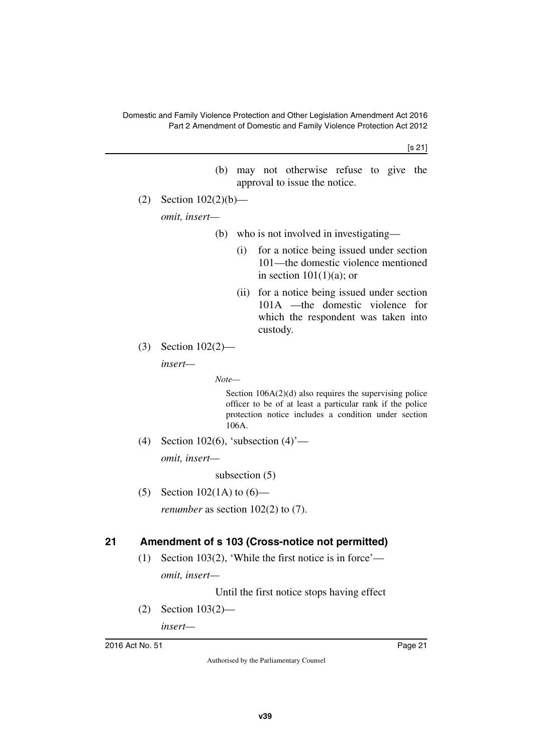[s 21]

- (b) may not otherwise refuse to give the approval to issue the notice. (2) Section 102(2)(b) *omit, insert—* (b) who is not involved in investigating— (i) for a notice being issued under section 101—the domestic violence mentioned in section  $101(1)(a)$ ; or (ii) for a notice being issued under section 101A —the domestic violence for which the respondent was taken into custody. (3) Section 102(2) *insert— Note—* Section  $106A(2)(d)$  also requires the supervising police officer to be of at least a particular rank if the police protection notice includes a condition under section 106A. (4) Section 102(6), 'subsection  $(4)$ ' *omit, insert* subsection (5) (5) Section 102(1A) to  $(6)$  *renumber* as section 102(2) to (7). **21 Amendment of s 103 (Cross-notice not permitted)**
	- (1) Section 103(2), 'While the first notice is in force' *omit, insert—*

Until the first notice stops having effect

<span id="page-22-1"></span><span id="page-22-0"></span>(2) Section 103(2)—

*insert—*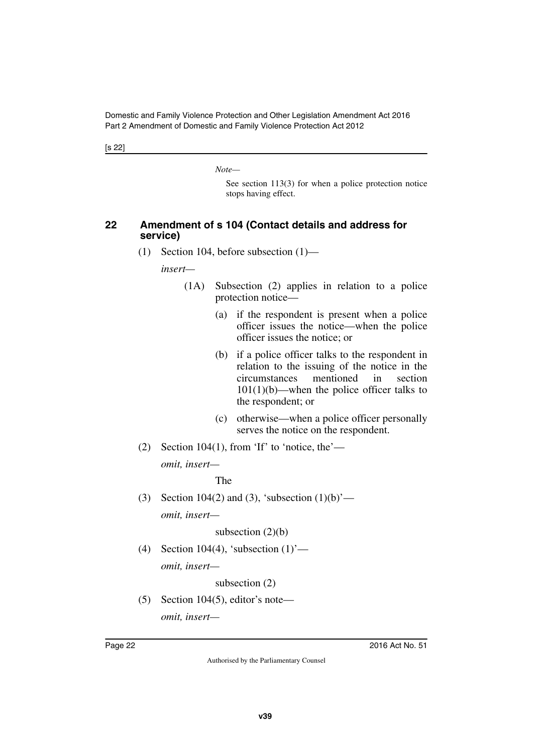[s 22]

*Note—*

See section 113(3) for when a police protection notice stops having effect.

#### <span id="page-23-0"></span>**22 Amendment of s 104 (Contact details and address for service)**

<span id="page-23-1"></span>(1) Section 104, before subsection (1)—

*insert—*

- (1A) Subsection (2) applies in relation to a police protection notice—
	- (a) if the respondent is present when a police officer issues the notice—when the police officer issues the notice; or
	- (b) if a police officer talks to the respondent in relation to the issuing of the notice in the circumstances mentioned in section  $101(1)(b)$ —when the police officer talks to the respondent; or
	- (c) otherwise—when a police officer personally serves the notice on the respondent.
- (2) Section 104(1), from 'If' to 'notice, the' *omit, insert—*

The

(3) Section 104(2) and (3), 'subsection  $(1)(b)$ ' *omit, insert—*

subsection (2)(b)

(4) Section 104(4), 'subsection  $(1)$ ' *omit, insert—*

subsection (2)

 $(5)$  Section 104 $(5)$ , editor's note—

*omit, insert—*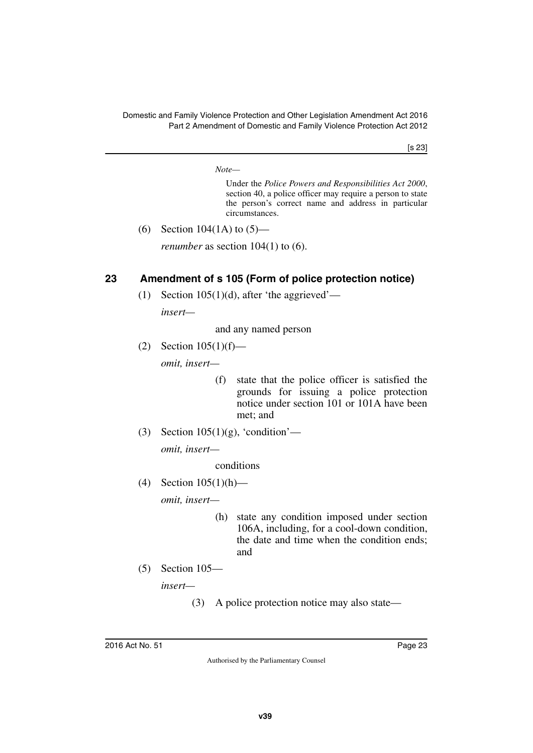[s 23]

*Note—*

Under the *Police Powers and Responsibilities Act 2000*, section 40, a police officer may require a person to state the person's correct name and address in particular circumstances.

(6) Section 104(1A) to  $(5)$ —

*renumber* as section 104(1) to (6).

# <span id="page-24-0"></span>**23 Amendment of s 105 (Form of police protection notice)**

<span id="page-24-1"></span>(1) Section 105(1)(d), after 'the aggrieved'—

*insert—*

and any named person

(2) Section 105(1)(f)—

*omit, insert—*

- (f) state that the police officer is satisfied the grounds for issuing a police protection notice under section 101 or 101A have been met; and
- (3) Section  $105(1)(g)$ , 'condition'—

*omit, insert—*

conditions

(4) Section 105(1)(h)—

*omit, insert—*

- (h) state any condition imposed under section 106A, including, for a cool-down condition, the date and time when the condition ends; and
- (5) Section 105—

*insert—*

(3) A police protection notice may also state—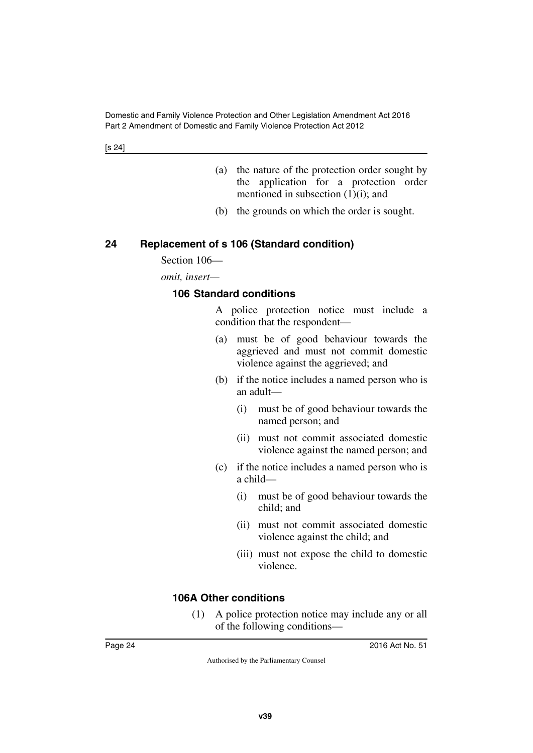- (a) the nature of the protection order sought by the application for a protection order mentioned in subsection  $(1)(i)$ ; and
- (b) the grounds on which the order is sought.

## <span id="page-25-0"></span>**24 Replacement of s 106 (Standard condition)**

<span id="page-25-1"></span>Section 106—

*omit, insert—*

#### <span id="page-25-3"></span><span id="page-25-2"></span>**106 Standard conditions**

A police protection notice must include a condition that the respondent—

- (a) must be of good behaviour towards the aggrieved and must not commit domestic violence against the aggrieved; and
- (b) if the notice includes a named person who is an adult—
	- (i) must be of good behaviour towards the named person; and
	- (ii) must not commit associated domestic violence against the named person; and
- (c) if the notice includes a named person who is a child—
	- (i) must be of good behaviour towards the child; and
	- (ii) must not commit associated domestic violence against the child; and
	- (iii) must not expose the child to domestic violence.

#### <span id="page-25-4"></span>**106A Other conditions**

<span id="page-25-5"></span>(1) A police protection notice may include any or all of the following conditions—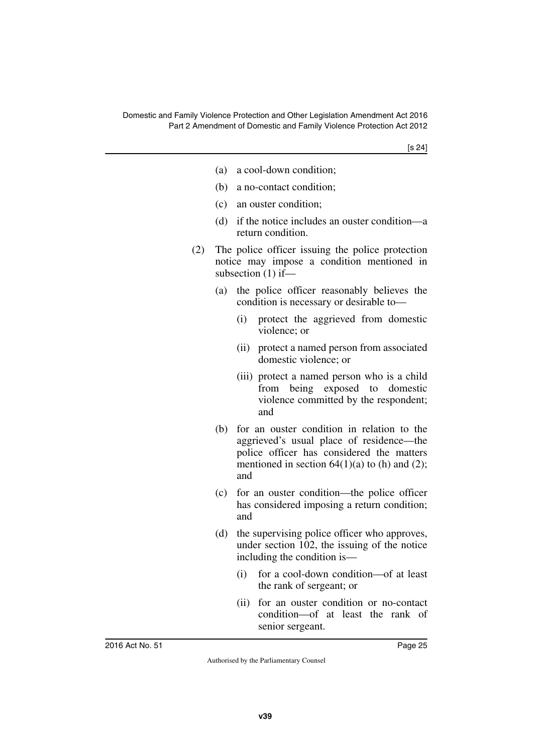[s 24]

- (a) a cool-down condition;
- (b) a no-contact condition;
- (c) an ouster condition;
- (d) if the notice includes an ouster condition—a return condition.
- (2) The police officer issuing the police protection notice may impose a condition mentioned in subsection (1) if—
	- (a) the police officer reasonably believes the condition is necessary or desirable to—
		- (i) protect the aggrieved from domestic violence; or
		- (ii) protect a named person from associated domestic violence; or
		- (iii) protect a named person who is a child from being exposed to domestic violence committed by the respondent; and
	- (b) for an ouster condition in relation to the aggrieved's usual place of residence—the police officer has considered the matters mentioned in section  $64(1)(a)$  to (h) and (2); and
	- (c) for an ouster condition—the police officer has considered imposing a return condition; and
	- (d) the supervising police officer who approves, under section 102, the issuing of the notice including the condition is—
		- (i) for a cool-down condition—of at least the rank of sergeant; or
		- (ii) for an ouster condition or no-contact condition—of at least the rank of senior sergeant.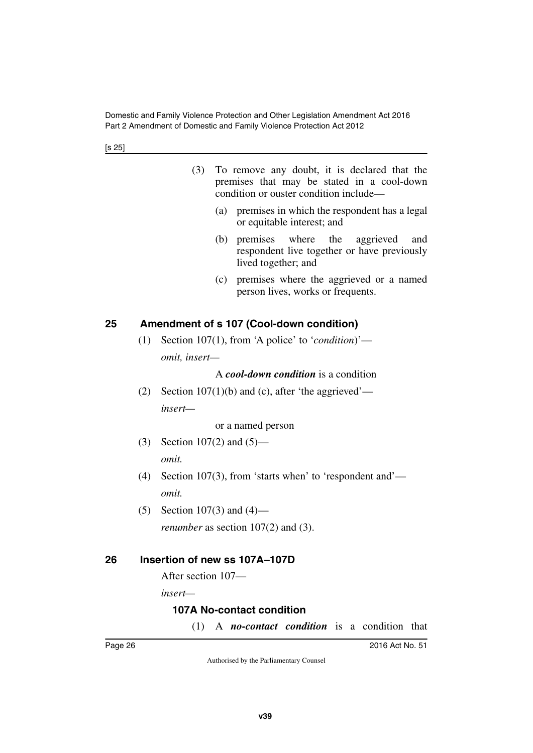- (3) To remove any doubt, it is declared that the premises that may be stated in a cool-down condition or ouster condition include—
	- (a) premises in which the respondent has a legal or equitable interest; and
	- (b) premises where the aggrieved and respondent live together or have previously lived together; and
	- (c) premises where the aggrieved or a named person lives, works or frequents.

# <span id="page-27-0"></span>**25 Amendment of s 107 (Cool-down condition)**

<span id="page-27-1"></span>(1) Section 107(1), from 'A police' to '*condition*)' *omit, insert—*

#### A *cool-down condition* is a condition

(2) Section  $107(1)(b)$  and (c), after 'the aggrieved' *insert—*

or a named person

- (3) Section 107(2) and (5) *omit.*
- (4) Section 107(3), from 'starts when' to 'respondent and' *omit.*
- (5) Section 107(3) and (4) *renumber* as section 107(2) and (3).

# <span id="page-27-2"></span>**26 Insertion of new ss 107A–107D**

<span id="page-27-3"></span>After section 107—

*insert—*

# <span id="page-27-4"></span>**107A No-contact condition**

<span id="page-27-5"></span>(1) A *no-contact condition* is a condition that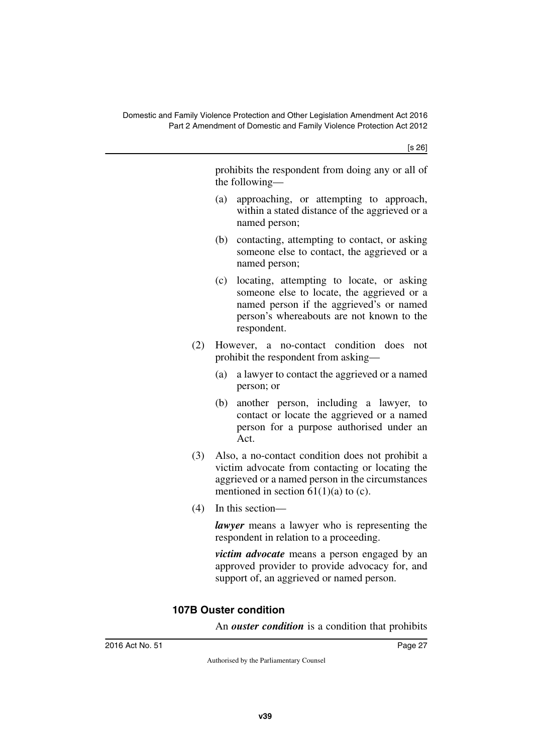[s 26]

prohibits the respondent from doing any or all of the following—

- (a) approaching, or attempting to approach, within a stated distance of the aggrieved or a named person;
- (b) contacting, attempting to contact, or asking someone else to contact, the aggrieved or a named person;
- (c) locating, attempting to locate, or asking someone else to locate, the aggrieved or a named person if the aggrieved's or named person's whereabouts are not known to the respondent.
- (2) However, a no-contact condition does not prohibit the respondent from asking—
	- (a) a lawyer to contact the aggrieved or a named person; or
	- (b) another person, including a lawyer, to contact or locate the aggrieved or a named person for a purpose authorised under an Act.
- (3) Also, a no-contact condition does not prohibit a victim advocate from contacting or locating the aggrieved or a named person in the circumstances mentioned in section  $61(1)(a)$  to (c).
- (4) In this section—

*lawyer* means a lawyer who is representing the respondent in relation to a proceeding.

*victim advocate* means a person engaged by an approved provider to provide advocacy for, and support of, an aggrieved or named person.

# <span id="page-28-1"></span><span id="page-28-0"></span>**107B Ouster condition**

An *ouster condition* is a condition that prohibits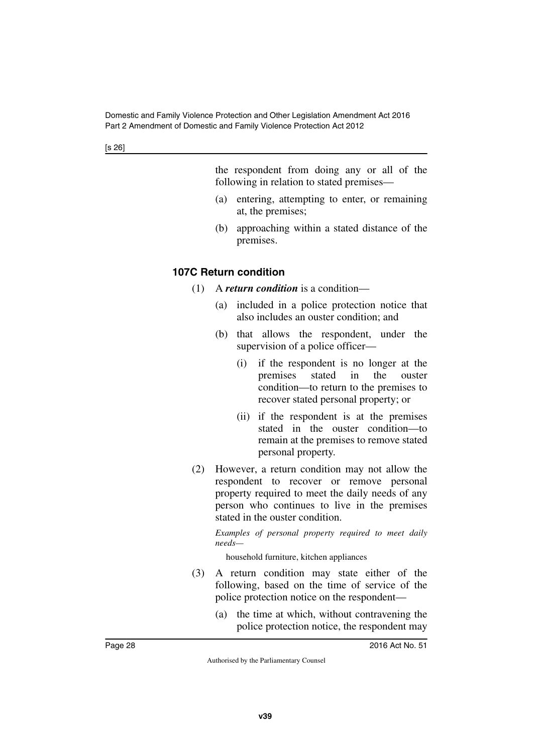the respondent from doing any or all of the following in relation to stated premises—

- (a) entering, attempting to enter, or remaining at, the premises;
- (b) approaching within a stated distance of the premises.

# <span id="page-29-0"></span>**107C Return condition**

- <span id="page-29-1"></span>(1) A *return condition* is a condition—
	- (a) included in a police protection notice that also includes an ouster condition; and
	- (b) that allows the respondent, under the supervision of a police officer—
		- (i) if the respondent is no longer at the premises stated in the ouster condition—to return to the premises to recover stated personal property; or
		- (ii) if the respondent is at the premises stated in the ouster condition—to remain at the premises to remove stated personal property.
- (2) However, a return condition may not allow the respondent to recover or remove personal property required to meet the daily needs of any person who continues to live in the premises stated in the ouster condition.

*Examples of personal property required to meet daily needs—*

household furniture, kitchen appliances

- (3) A return condition may state either of the following, based on the time of service of the police protection notice on the respondent—
	- (a) the time at which, without contravening the police protection notice, the respondent may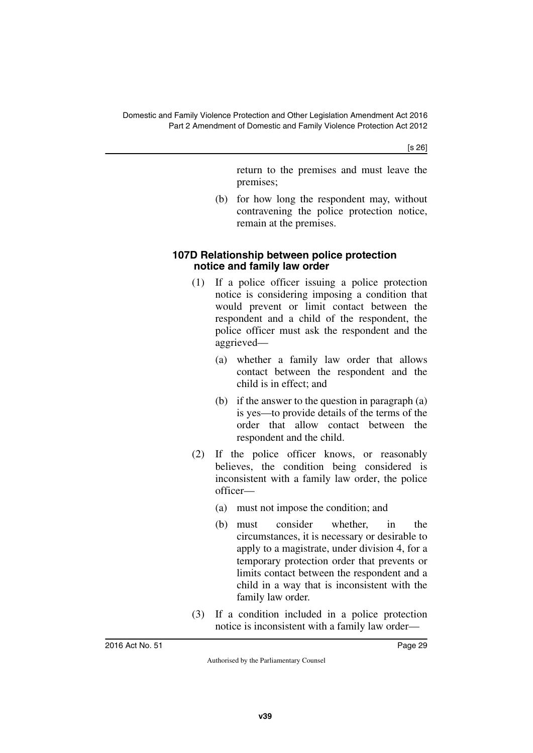[s 26]

return to the premises and must leave the premises;

(b) for how long the respondent may, without contravening the police protection notice, remain at the premises.

#### <span id="page-30-1"></span><span id="page-30-0"></span>**107D Relationship between police protection notice and family law order**

- (1) If a police officer issuing a police protection notice is considering imposing a condition that would prevent or limit contact between the respondent and a child of the respondent, the police officer must ask the respondent and the aggrieved—
	- (a) whether a family law order that allows contact between the respondent and the child is in effect; and
	- (b) if the answer to the question in paragraph (a) is yes—to provide details of the terms of the order that allow contact between the respondent and the child.
- (2) If the police officer knows, or reasonably believes, the condition being considered is inconsistent with a family law order, the police officer—
	- (a) must not impose the condition; and
	- (b) must consider whether, in the circumstances, it is necessary or desirable to apply to a magistrate, under division 4, for a temporary protection order that prevents or limits contact between the respondent and a child in a way that is inconsistent with the family law order.
- (3) If a condition included in a police protection notice is inconsistent with a family law order—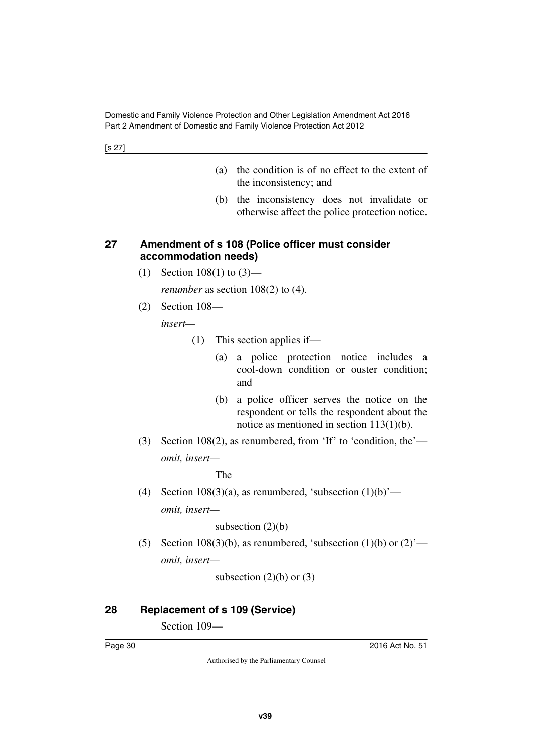[s 27]

- (a) the condition is of no effect to the extent of the inconsistency; and
- (b) the inconsistency does not invalidate or otherwise affect the police protection notice.

#### <span id="page-31-1"></span><span id="page-31-0"></span>**27 Amendment of s 108 (Police officer must consider accommodation needs)**

(1) Section 108(1) to (3)—

*renumber* as section 108(2) to (4).

(2) Section 108—

*insert—*

- (1) This section applies if—
	- (a) a police protection notice includes a cool-down condition or ouster condition; and
	- (b) a police officer serves the notice on the respondent or tells the respondent about the notice as mentioned in section 113(1)(b).
- (3) Section 108(2), as renumbered, from 'If' to 'condition, the' *omit, insert—*

The

(4) Section  $108(3)(a)$ , as renumbered, 'subsection  $(1)(b)'$  *omit, insert—*

subsection  $(2)(b)$ 

(5) Section 108(3)(b), as renumbered, 'subsection  $(1)(b)$  or  $(2)$ ' *omit, insert—*

subsection  $(2)(b)$  or  $(3)$ 

# <span id="page-31-2"></span>**28 Replacement of s 109 (Service)**

<span id="page-31-3"></span>Section 109—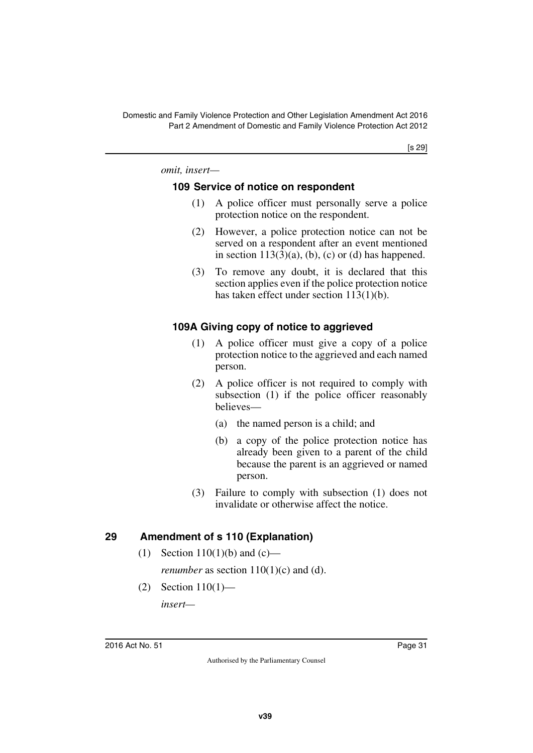[s 29]

*omit, insert—*

#### <span id="page-32-1"></span><span id="page-32-0"></span>**109 Service of notice on respondent**

- (1) A police officer must personally serve a police protection notice on the respondent.
- (2) However, a police protection notice can not be served on a respondent after an event mentioned in section  $113(3)(a)$ , (b), (c) or (d) has happened.
- (3) To remove any doubt, it is declared that this section applies even if the police protection notice has taken effect under section 113(1)(b).

# <span id="page-32-2"></span>**109A Giving copy of notice to aggrieved**

- <span id="page-32-3"></span>(1) A police officer must give a copy of a police protection notice to the aggrieved and each named person.
- (2) A police officer is not required to comply with subsection (1) if the police officer reasonably believes—
	- (a) the named person is a child; and
	- (b) a copy of the police protection notice has already been given to a parent of the child because the parent is an aggrieved or named person.
- (3) Failure to comply with subsection (1) does not invalidate or otherwise affect the notice.

#### <span id="page-32-4"></span>**29 Amendment of s 110 (Explanation)**

- <span id="page-32-5"></span>(1) Section 110(1)(b) and (c) *renumber* as section  $110(1)(c)$  and (d).
- (2) Section 110(1)—

*insert—*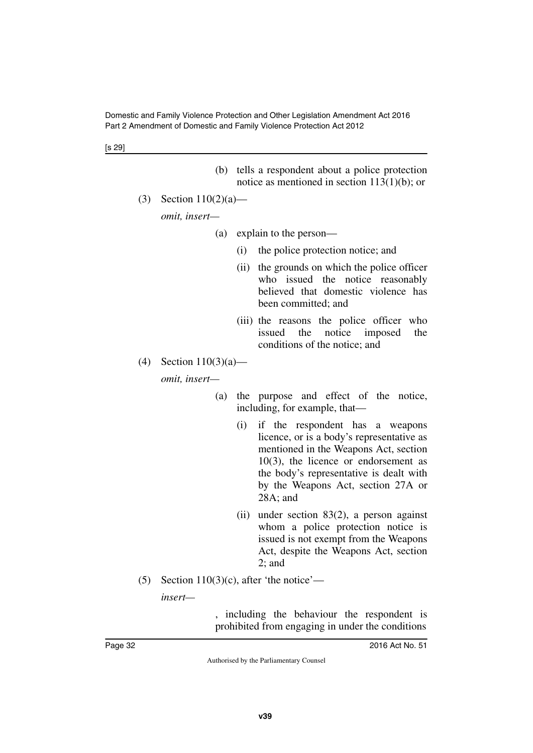[s 29]

- (b) tells a respondent about a police protection notice as mentioned in section 113(1)(b); or
- (3) Section 110(2)(a)—

*omit, insert—*

- (a) explain to the person—
	- (i) the police protection notice; and
	- (ii) the grounds on which the police officer who issued the notice reasonably believed that domestic violence has been committed; and
	- (iii) the reasons the police officer who issued the notice imposed the conditions of the notice; and
- (4) Section  $110(3)(a)$  *omit, insert—*
	- (a) the purpose and effect of the notice, including, for example, that—
		- (i) if the respondent has a weapons licence, or is a body's representative as mentioned in the Weapons Act, section 10(3), the licence or endorsement as the body's representative is dealt with by the Weapons Act, section 27A or 28A; and
		- (ii) under section 83(2), a person against whom a police protection notice is issued is not exempt from the Weapons Act, despite the Weapons Act, section 2; and
- (5) Section 110(3)(c), after 'the notice'—

*insert—*

, including the behaviour the respondent is prohibited from engaging in under the conditions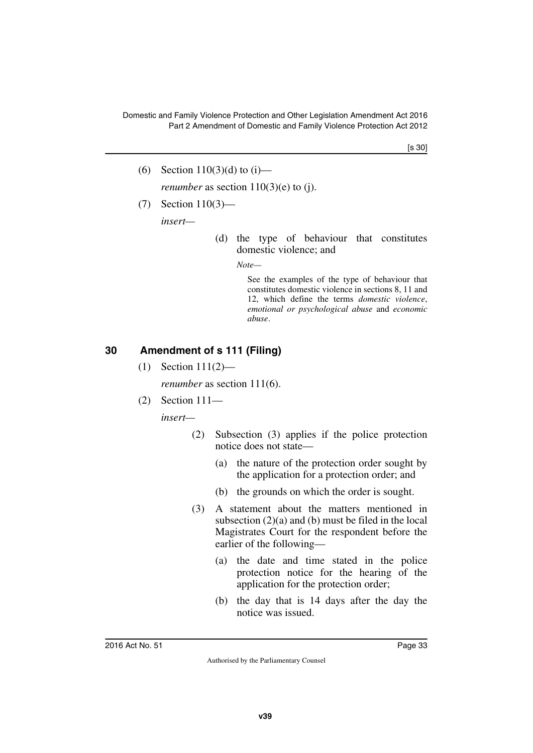[s 30]

- (6) Section 110(3)(d) to (i) *renumber* as section  $110(3)(e)$  to (j).
- (7) Section 110(3)—

*insert—*

(d) the type of behaviour that constitutes domestic violence; and

*Note—*

See the examples of the type of behaviour that constitutes domestic violence in sections 8, 11 and 12, which define the terms *domestic violence*, *emotional or psychological abuse* and *economic abuse*.

# <span id="page-34-0"></span>**30 Amendment of s 111 (Filing)**

<span id="page-34-1"></span>(1) Section 111(2)—

*renumber* as section 111(6).

(2) Section 111—

*insert—*

- (2) Subsection (3) applies if the police protection notice does not state—
	- (a) the nature of the protection order sought by the application for a protection order; and
	- (b) the grounds on which the order is sought.
- (3) A statement about the matters mentioned in subsection (2)(a) and (b) must be filed in the local Magistrates Court for the respondent before the earlier of the following—
	- (a) the date and time stated in the police protection notice for the hearing of the application for the protection order;
	- (b) the day that is 14 days after the day the notice was issued.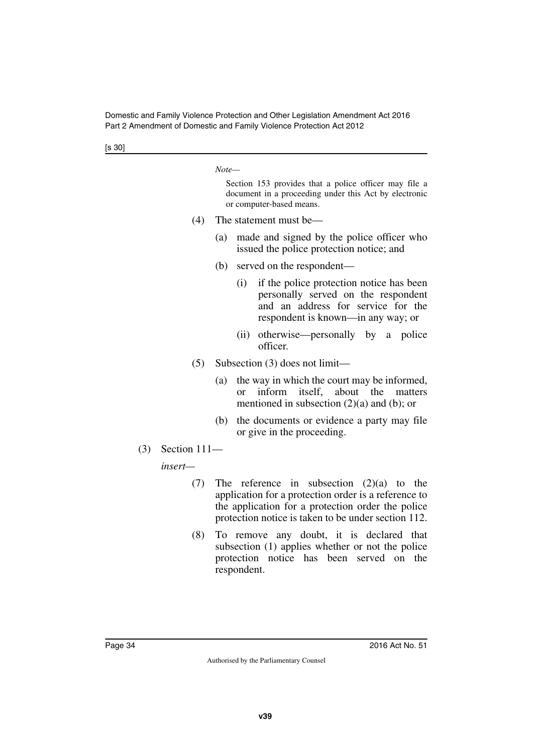[s 30]

*Note—*

Section 153 provides that a police officer may file a document in a proceeding under this Act by electronic or computer-based means.

- (4) The statement must be—
	- (a) made and signed by the police officer who issued the police protection notice; and
	- (b) served on the respondent—
		- (i) if the police protection notice has been personally served on the respondent and an address for service for the respondent is known—in any way; or
		- (ii) otherwise—personally by a police officer.
- (5) Subsection (3) does not limit—
	- (a) the way in which the court may be informed, or inform itself, about the matters mentioned in subsection (2)(a) and (b); or
	- (b) the documents or evidence a party may file or give in the proceeding.
- (3) Section 111—

*insert—*

- (7) The reference in subsection (2)(a) to the application for a protection order is a reference to the application for a protection order the police protection notice is taken to be under section 112.
- (8) To remove any doubt, it is declared that subsection (1) applies whether or not the police protection notice has been served on the respondent.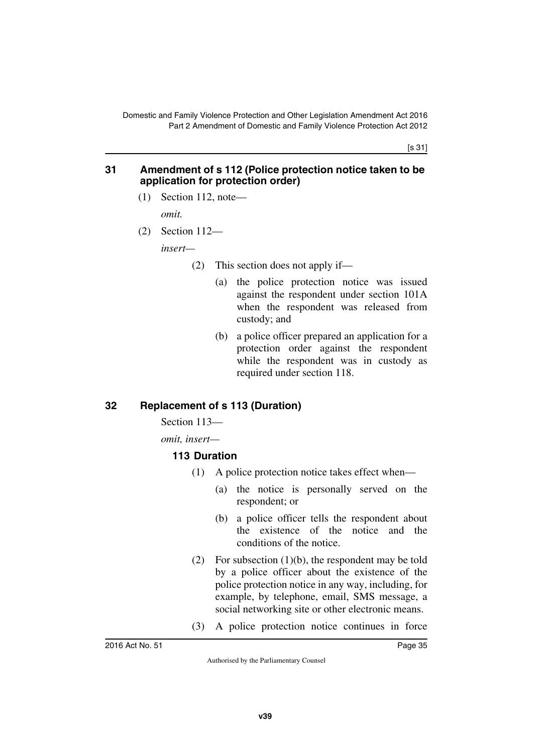[s 31]

#### **31 Amendment of s 112 (Police protection notice taken to be application for protection order)**

(1) Section 112, note—

*omit.*

(2) Section 112—

*insert—*

- (2) This section does not apply if—
	- (a) the police protection notice was issued against the respondent under section 101A when the respondent was released from custody; and
	- (b) a police officer prepared an application for a protection order against the respondent while the respondent was in custody as required under section 118.

## **32 Replacement of s 113 (Duration)**

Section 113—

*omit, insert—*

#### **113 Duration**

- (1) A police protection notice takes effect when—
	- (a) the notice is personally served on the respondent; or
	- (b) a police officer tells the respondent about the existence of the notice and the conditions of the notice.
- (2) For subsection (1)(b), the respondent may be told by a police officer about the existence of the police protection notice in any way, including, for example, by telephone, email, SMS message, a social networking site or other electronic means.
- (3) A police protection notice continues in force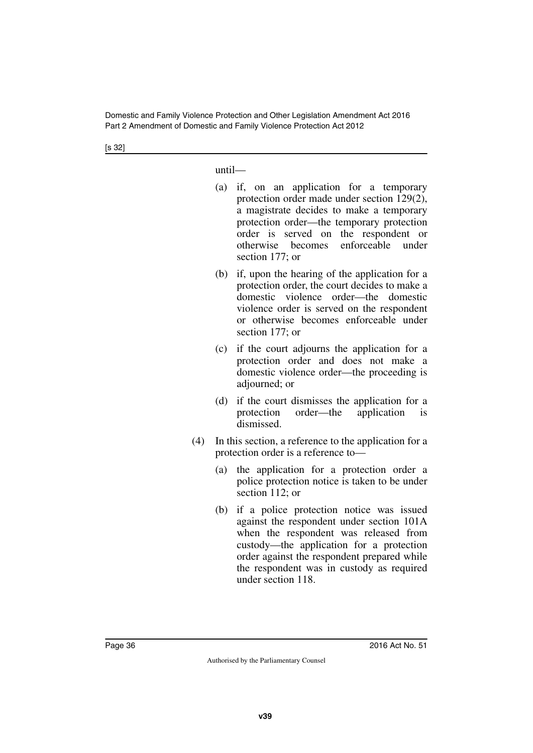[s 32]

until—

- (a) if, on an application for a temporary protection order made under section 129(2), a magistrate decides to make a temporary protection order—the temporary protection order is served on the respondent or otherwise becomes enforceable under section 177; or
- (b) if, upon the hearing of the application for a protection order, the court decides to make a domestic violence order—the domestic violence order is served on the respondent or otherwise becomes enforceable under section 177; or
- (c) if the court adjourns the application for a protection order and does not make a domestic violence order—the proceeding is adjourned; or
- (d) if the court dismisses the application for a protection order—the application is dismissed.
- (4) In this section, a reference to the application for a protection order is a reference to—
	- (a) the application for a protection order a police protection notice is taken to be under section 112; or
	- (b) if a police protection notice was issued against the respondent under section 101A when the respondent was released from custody—the application for a protection order against the respondent prepared while the respondent was in custody as required under section 118.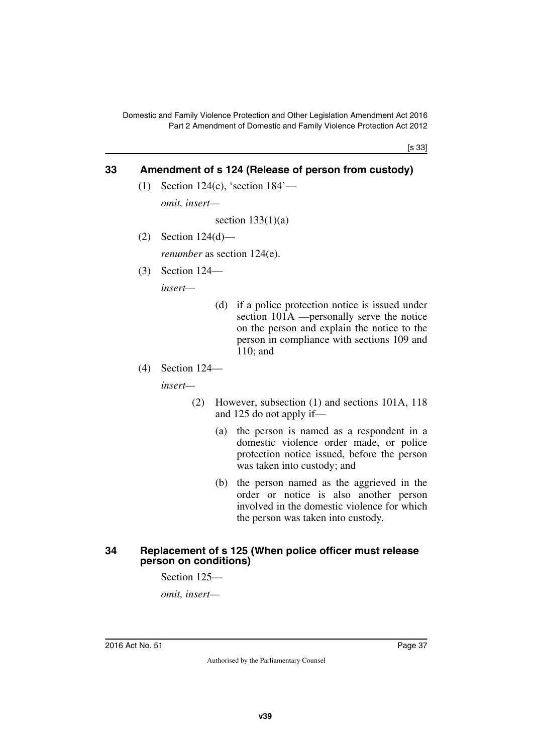[s 33]

## **33 Amendment of s 124 (Release of person from custody)**

(1) Section 124(c), 'section 184'—

*omit, insert—*

section  $133(1)(a)$ 

(2) Section 124(d)—

*renumber* as section 124(e).

(3) Section 124—

*insert—*

- (d) if a police protection notice is issued under section 101A —personally serve the notice on the person and explain the notice to the person in compliance with sections 109 and 110; and
- (4) Section 124—

*insert—*

- (2) However, subsection (1) and sections 101A, 118 and 125 do not apply if—
	- (a) the person is named as a respondent in a domestic violence order made, or police protection notice issued, before the person was taken into custody; and
	- (b) the person named as the aggrieved in the order or notice is also another person involved in the domestic violence for which the person was taken into custody.

#### **34 Replacement of s 125 (When police officer must release person on conditions)**

Section 125—

*omit, insert—*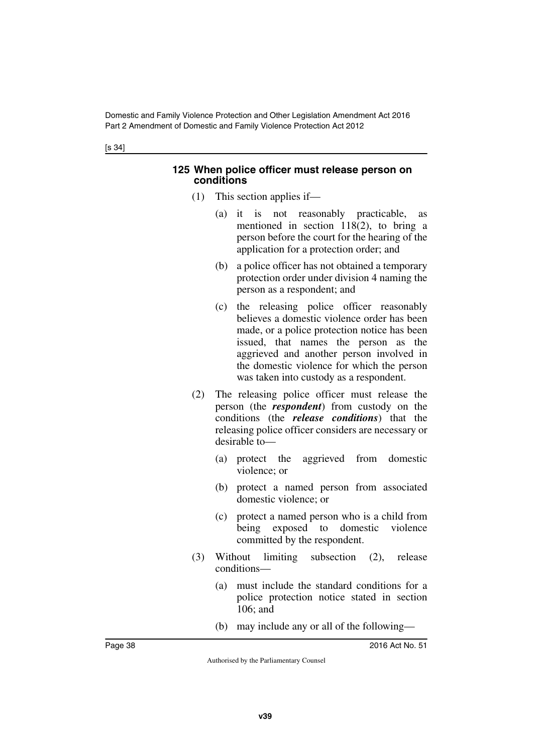#### **125 When police officer must release person on conditions**

- (1) This section applies if—
	- (a) it is not reasonably practicable, as mentioned in section 118(2), to bring a person before the court for the hearing of the application for a protection order; and
	- (b) a police officer has not obtained a temporary protection order under division 4 naming the person as a respondent; and
	- (c) the releasing police officer reasonably believes a domestic violence order has been made, or a police protection notice has been issued, that names the person as the aggrieved and another person involved in the domestic violence for which the person was taken into custody as a respondent.
- (2) The releasing police officer must release the person (the *respondent*) from custody on the conditions (the *release conditions*) that the releasing police officer considers are necessary or desirable to—
	- (a) protect the aggrieved from domestic violence; or
	- (b) protect a named person from associated domestic violence; or
	- (c) protect a named person who is a child from being exposed to domestic violence committed by the respondent.
- (3) Without limiting subsection (2), release conditions—
	- (a) must include the standard conditions for a police protection notice stated in section 106; and
	- (b) may include any or all of the following—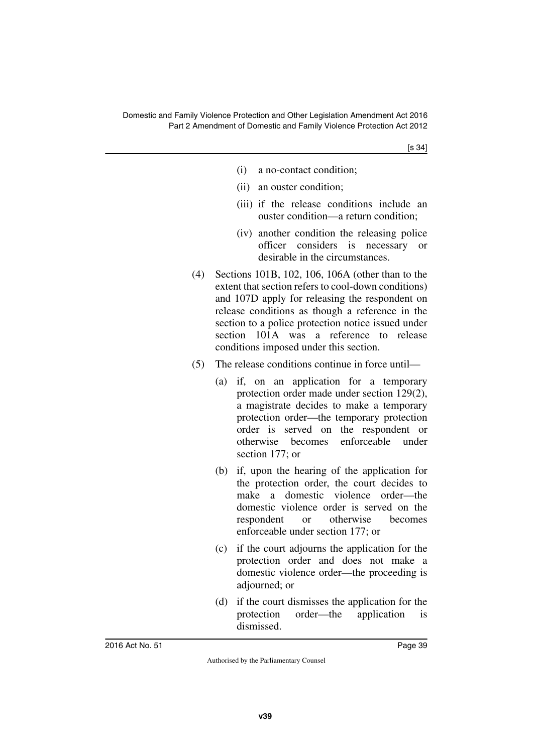- (i) a no-contact condition;
- (ii) an ouster condition;
- (iii) if the release conditions include an ouster condition—a return condition;
- (iv) another condition the releasing police officer considers is necessary or desirable in the circumstances.
- (4) Sections 101B, 102, 106, 106A (other than to the extent that section refers to cool-down conditions) and 107D apply for releasing the respondent on release conditions as though a reference in the section to a police protection notice issued under section 101A was a reference to release conditions imposed under this section.
- (5) The release conditions continue in force until—
	- (a) if, on an application for a temporary protection order made under section 129(2), a magistrate decides to make a temporary protection order—the temporary protection order is served on the respondent or otherwise becomes enforceable under section 177; or
	- (b) if, upon the hearing of the application for the protection order, the court decides to make a domestic violence order—the domestic violence order is served on the respondent or otherwise becomes enforceable under section 177; or
	- (c) if the court adjourns the application for the protection order and does not make a domestic violence order—the proceeding is adjourned; or
	- (d) if the court dismisses the application for the protection order—the application is dismissed.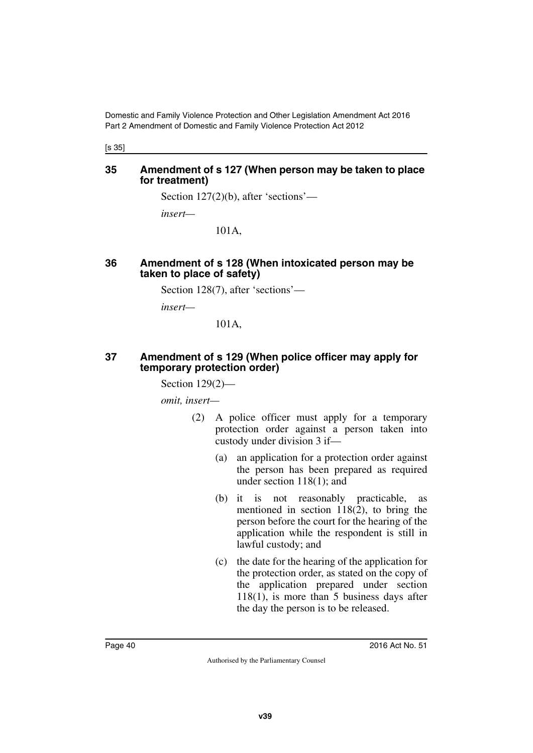[s 35]

#### **35 Amendment of s 127 (When person may be taken to place for treatment)**

Section 127(2)(b), after 'sections'—

*insert—*

101A,

#### **36 Amendment of s 128 (When intoxicated person may be taken to place of safety)**

Section 128(7), after 'sections'—

*insert—*

101A,

#### **37 Amendment of s 129 (When police officer may apply for temporary protection order)**

Section 129(2)—

*omit, insert—*

- (2) A police officer must apply for a temporary protection order against a person taken into custody under division 3 if—
	- (a) an application for a protection order against the person has been prepared as required under section 118(1); and
	- (b) it is not reasonably practicable, as mentioned in section  $118(2)$ , to bring the person before the court for the hearing of the application while the respondent is still in lawful custody; and
	- (c) the date for the hearing of the application for the protection order, as stated on the copy of the application prepared under section 118(1), is more than 5 business days after the day the person is to be released.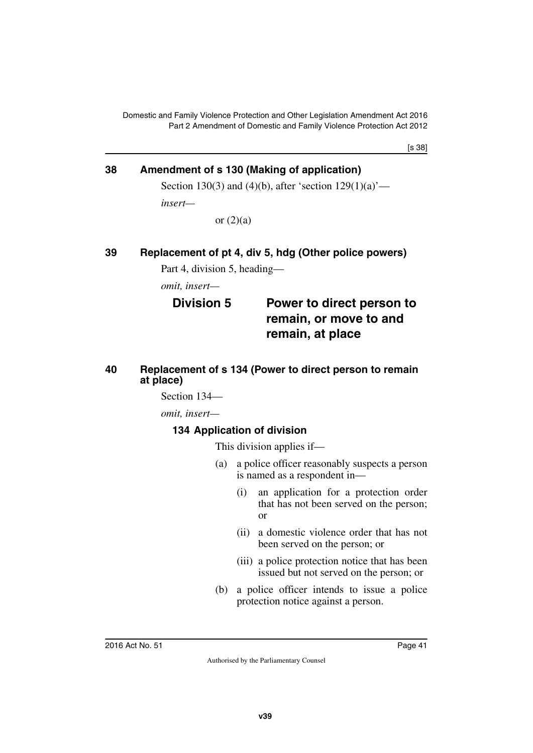[s 38]

## **38 Amendment of s 130 (Making of application)**

Section 130(3) and (4)(b), after 'section  $129(1)(a)$ '—

*insert—*

or  $(2)(a)$ 

## **39 Replacement of pt 4, div 5, hdg (Other police powers)**

Part 4, division 5, heading—

*omit, insert—*

## **Division 5 Power to direct person to remain, or move to and remain, at place**

#### **40 Replacement of s 134 (Power to direct person to remain at place)**

Section 134—

*omit, insert—*

## **134 Application of division**

This division applies if—

- (a) a police officer reasonably suspects a person is named as a respondent in—
	- (i) an application for a protection order that has not been served on the person; or
	- (ii) a domestic violence order that has not been served on the person; or
	- (iii) a police protection notice that has been issued but not served on the person; or
- (b) a police officer intends to issue a police protection notice against a person.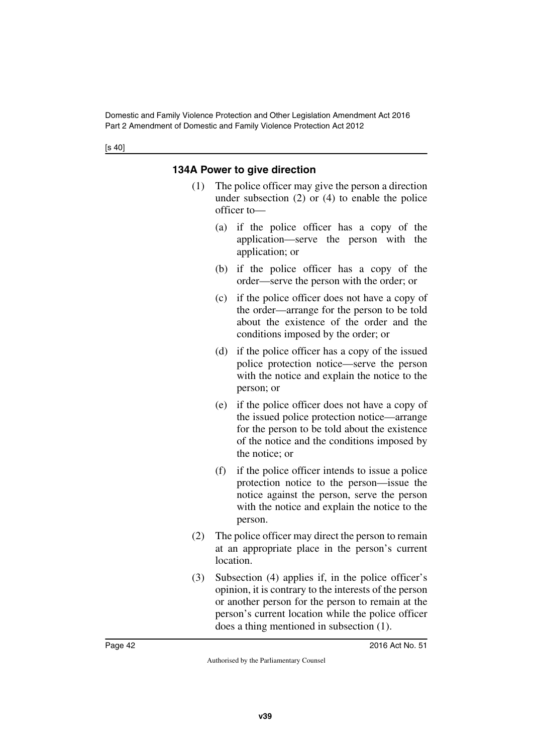## **134A Power to give direction**

- (1) The police officer may give the person a direction under subsection (2) or (4) to enable the police officer to—
	- (a) if the police officer has a copy of the application—serve the person with the application; or
	- (b) if the police officer has a copy of the order—serve the person with the order; or
	- (c) if the police officer does not have a copy of the order—arrange for the person to be told about the existence of the order and the conditions imposed by the order; or
	- (d) if the police officer has a copy of the issued police protection notice—serve the person with the notice and explain the notice to the person; or
	- (e) if the police officer does not have a copy of the issued police protection notice—arrange for the person to be told about the existence of the notice and the conditions imposed by the notice; or
	- (f) if the police officer intends to issue a police protection notice to the person—issue the notice against the person, serve the person with the notice and explain the notice to the person.
- (2) The police officer may direct the person to remain at an appropriate place in the person's current location.
- (3) Subsection (4) applies if, in the police officer's opinion, it is contrary to the interests of the person or another person for the person to remain at the person's current location while the police officer does a thing mentioned in subsection (1).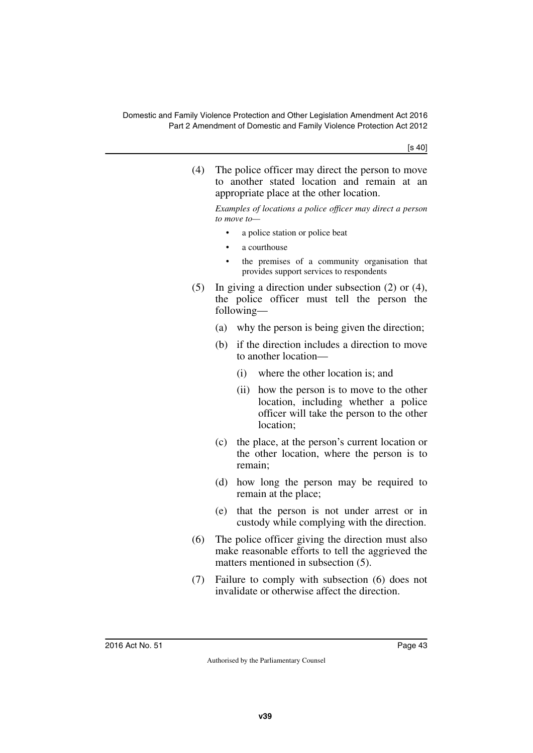[s 40]

(4) The police officer may direct the person to move to another stated location and remain at an appropriate place at the other location.

*Examples of locations a police officer may direct a person to move to—*

- a police station or police beat
- a courthouse
- the premises of a community organisation that provides support services to respondents
- (5) In giving a direction under subsection (2) or (4), the police officer must tell the person the following—
	- (a) why the person is being given the direction;
	- (b) if the direction includes a direction to move to another location—
		- (i) where the other location is; and
		- (ii) how the person is to move to the other location, including whether a police officer will take the person to the other location;
	- (c) the place, at the person's current location or the other location, where the person is to remain;
	- (d) how long the person may be required to remain at the place;
	- (e) that the person is not under arrest or in custody while complying with the direction.
- (6) The police officer giving the direction must also make reasonable efforts to tell the aggrieved the matters mentioned in subsection (5).
- (7) Failure to comply with subsection (6) does not invalidate or otherwise affect the direction.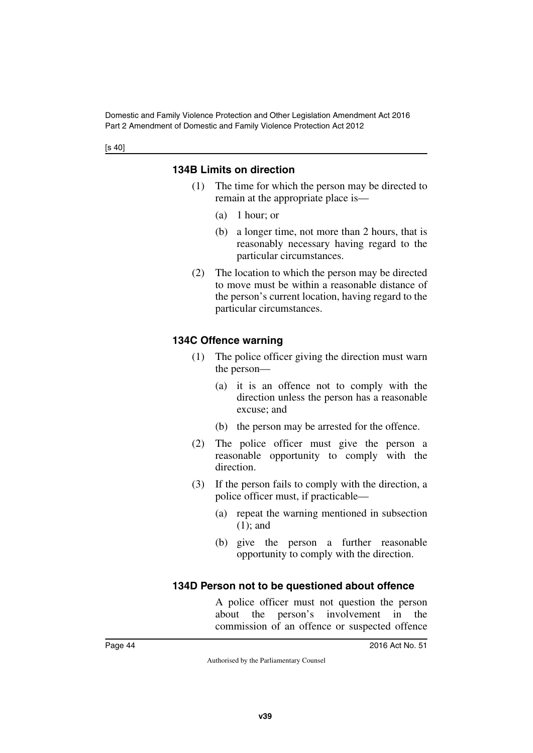## **134B Limits on direction**

- (1) The time for which the person may be directed to remain at the appropriate place is—
	- (a) 1 hour; or
	- (b) a longer time, not more than 2 hours, that is reasonably necessary having regard to the particular circumstances.
- (2) The location to which the person may be directed to move must be within a reasonable distance of the person's current location, having regard to the particular circumstances.

## **134C Offence warning**

- (1) The police officer giving the direction must warn the person—
	- (a) it is an offence not to comply with the direction unless the person has a reasonable excuse; and
	- (b) the person may be arrested for the offence.
- (2) The police officer must give the person a reasonable opportunity to comply with the direction.
- (3) If the person fails to comply with the direction, a police officer must, if practicable—
	- (a) repeat the warning mentioned in subsection (1); and
	- (b) give the person a further reasonable opportunity to comply with the direction.

## **134D Person not to be questioned about offence**

A police officer must not question the person about the person's involvement in the commission of an offence or suspected offence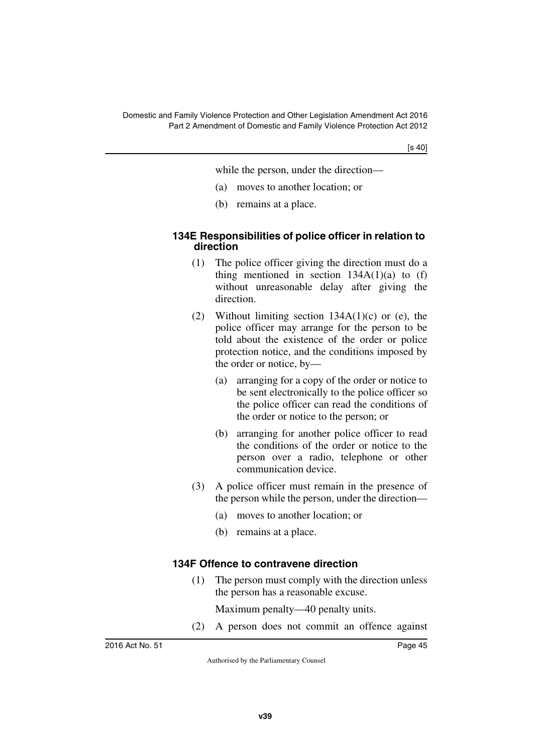[s 40]

while the person, under the direction—

- (a) moves to another location; or
- (b) remains at a place.

#### **134E Responsibilities of police officer in relation to direction**

- (1) The police officer giving the direction must do a thing mentioned in section  $134A(1)(a)$  to (f) without unreasonable delay after giving the direction.
- (2) Without limiting section  $134A(1)(c)$  or (e), the police officer may arrange for the person to be told about the existence of the order or police protection notice, and the conditions imposed by the order or notice, by—
	- (a) arranging for a copy of the order or notice to be sent electronically to the police officer so the police officer can read the conditions of the order or notice to the person; or
	- (b) arranging for another police officer to read the conditions of the order or notice to the person over a radio, telephone or other communication device.
- (3) A police officer must remain in the presence of the person while the person, under the direction—
	- (a) moves to another location; or
	- (b) remains at a place.

## **134F Offence to contravene direction**

(1) The person must comply with the direction unless the person has a reasonable excuse.

Maximum penalty—40 penalty units.

(2) A person does not commit an offence against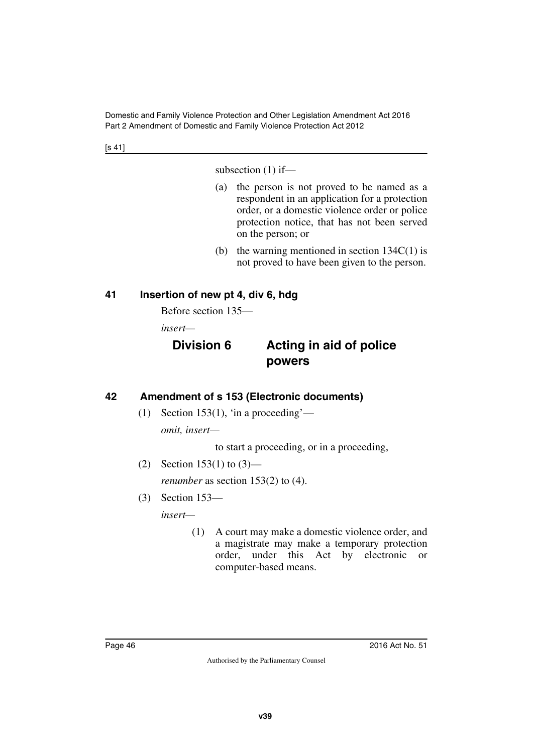[s 41]

subsection (1) if—

- (a) the person is not proved to be named as a respondent in an application for a protection order, or a domestic violence order or police protection notice, that has not been served on the person; or
- (b) the warning mentioned in section  $134C(1)$  is not proved to have been given to the person.

## **41 Insertion of new pt 4, div 6, hdg**

Before section 135—

*insert—*

# **Division 6 Acting in aid of police powers**

## **42 Amendment of s 153 (Electronic documents)**

(1) Section 153(1), 'in a proceeding'—

*omit, insert—*

to start a proceeding, or in a proceeding,

- (2) Section 153(1) to  $(3)$  *renumber* as section 153(2) to (4).
- (3) Section 153—

*insert—*

(1) A court may make a domestic violence order, and a magistrate may make a temporary protection order, under this Act by electronic or computer-based means.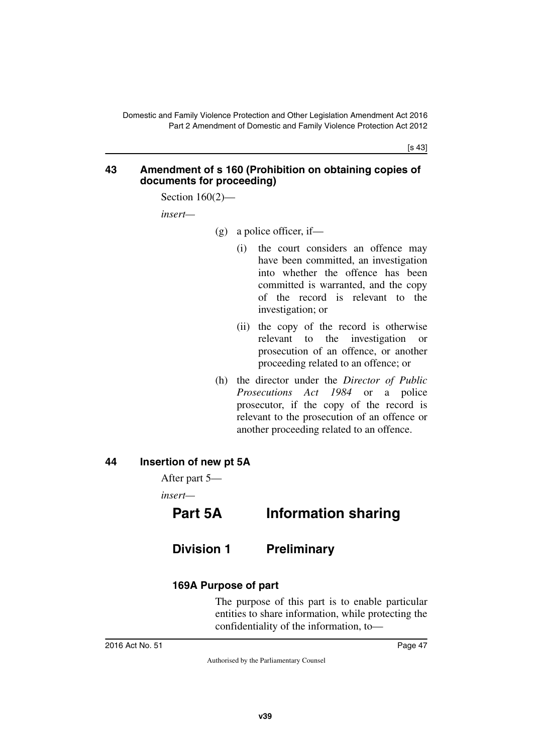[s 43]

#### **43 Amendment of s 160 (Prohibition on obtaining copies of documents for proceeding)**

Section 160(2)—

*insert—*

- $(g)$  a police officer, if
	- (i) the court considers an offence may have been committed, an investigation into whether the offence has been committed is warranted, and the copy of the record is relevant to the investigation; or
	- (ii) the copy of the record is otherwise relevant to the investigation or prosecution of an offence, or another proceeding related to an offence; or
- (h) the director under the *Director of Public Prosecutions Act 1984* or a police prosecutor, if the copy of the record is relevant to the prosecution of an offence or another proceeding related to an offence.

## **44 Insertion of new pt 5A**

After part 5—

*insert—*

# **Part 5A Information sharing**

# **Division 1 Preliminary**

## **169A Purpose of part**

The purpose of this part is to enable particular entities to share information, while protecting the confidentiality of the information, to—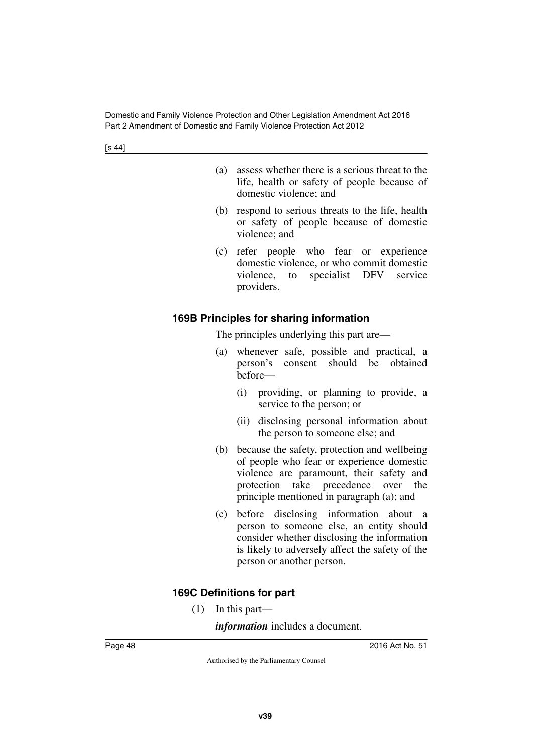[s 44]

- (a) assess whether there is a serious threat to the life, health or safety of people because of domestic violence; and
- (b) respond to serious threats to the life, health or safety of people because of domestic violence; and
- (c) refer people who fear or experience domestic violence, or who commit domestic violence, to specialist DFV service providers.

## **169B Principles for sharing information**

The principles underlying this part are—

- (a) whenever safe, possible and practical, a person's consent should be obtained before—
	- (i) providing, or planning to provide, a service to the person; or
	- (ii) disclosing personal information about the person to someone else; and
- (b) because the safety, protection and wellbeing of people who fear or experience domestic violence are paramount, their safety and protection take precedence over the principle mentioned in paragraph (a); and
- (c) before disclosing information about a person to someone else, an entity should consider whether disclosing the information is likely to adversely affect the safety of the person or another person.

## **169C Definitions for part**

(1) In this part—

*information* includes a document.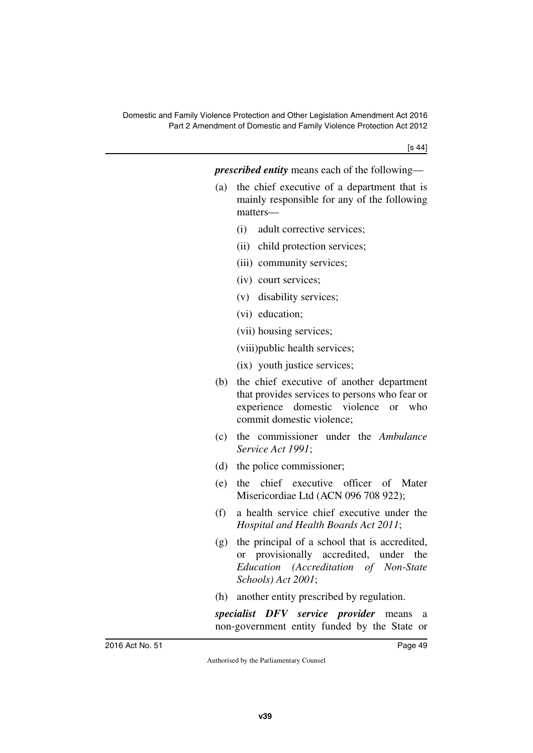| <i>prescribed entity</i> means each of the following— |  |  |  |  |  |  |
|-------------------------------------------------------|--|--|--|--|--|--|
|-------------------------------------------------------|--|--|--|--|--|--|

- (a) the chief executive of a department that is mainly responsible for any of the following matters—
	- (i) adult corrective services;
	- (ii) child protection services;
	- (iii) community services;
	- (iv) court services;
	- (v) disability services;
	- (vi) education;
	- (vii) housing services;

(viii)public health services;

- (ix) youth justice services;
- (b) the chief executive of another department that provides services to persons who fear or experience domestic violence or who commit domestic violence;
- (c) the commissioner under the *Ambulance Service Act 1991*;
- (d) the police commissioner;
- (e) the chief executive officer of Mater Misericordiae Ltd (ACN 096 708 922);
- (f) a health service chief executive under the *Hospital and Health Boards Act 2011*;
- (g) the principal of a school that is accredited, or provisionally accredited, under the *Education (Accreditation of Non-State Schools) Act 2001*;
- (h) another entity prescribed by regulation.

*specialist DFV service provider* means a non-government entity funded by the State or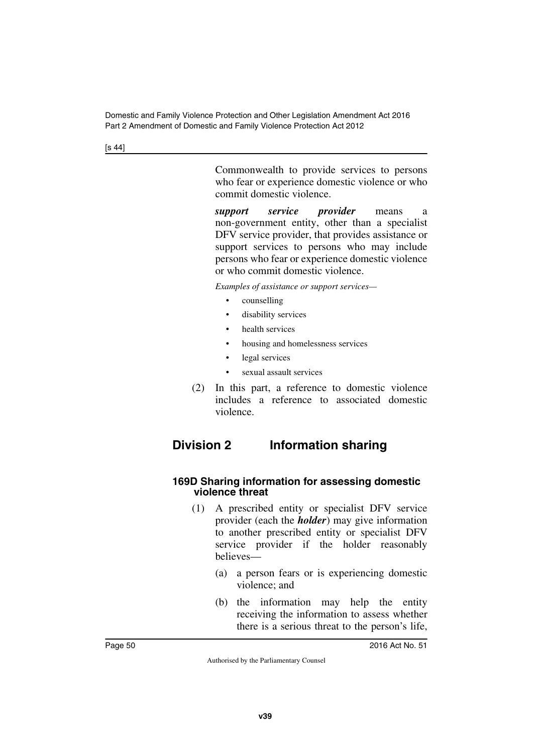[s 44]

Commonwealth to provide services to persons who fear or experience domestic violence or who commit domestic violence.

*support service provider* means a non-government entity, other than a specialist DFV service provider, that provides assistance or support services to persons who may include persons who fear or experience domestic violence or who commit domestic violence.

*Examples of assistance or support services—*

- counselling
- disability services
- health services
- housing and homelessness services
- legal services
- sexual assault services
- (2) In this part, a reference to domestic violence includes a reference to associated domestic violence.

# **Division 2 Information sharing**

#### **169D Sharing information for assessing domestic violence threat**

- (1) A prescribed entity or specialist DFV service provider (each the *holder*) may give information to another prescribed entity or specialist DFV service provider if the holder reasonably believes—
	- (a) a person fears or is experiencing domestic violence; and
	- (b) the information may help the entity receiving the information to assess whether there is a serious threat to the person's life,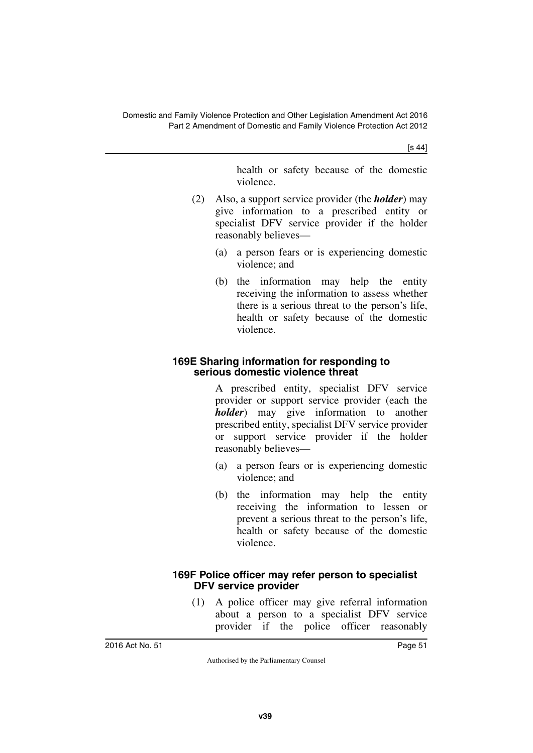[s 44]

health or safety because of the domestic violence.

- (2) Also, a support service provider (the *holder*) may give information to a prescribed entity or specialist DFV service provider if the holder reasonably believes—
	- (a) a person fears or is experiencing domestic violence; and
	- (b) the information may help the entity receiving the information to assess whether there is a serious threat to the person's life, health or safety because of the domestic violence.

## **169E Sharing information for responding to serious domestic violence threat**

A prescribed entity, specialist DFV service provider or support service provider (each the *holder*) may give information to another prescribed entity, specialist DFV service provider or support service provider if the holder reasonably believes—

- (a) a person fears or is experiencing domestic violence; and
- (b) the information may help the entity receiving the information to lessen or prevent a serious threat to the person's life, health or safety because of the domestic violence.

## **169F Police officer may refer person to specialist DFV service provider**

(1) A police officer may give referral information about a person to a specialist DFV service provider if the police officer reasonably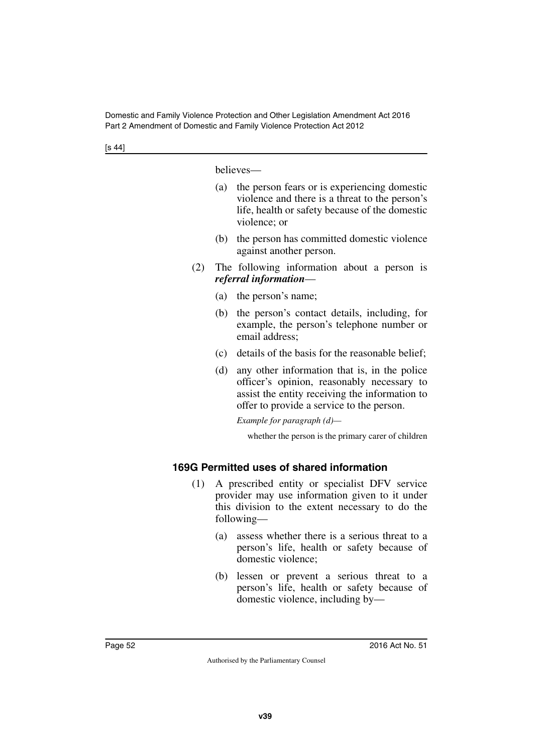[s 44]

believes—

- (a) the person fears or is experiencing domestic violence and there is a threat to the person's life, health or safety because of the domestic violence; or
- (b) the person has committed domestic violence against another person.
- (2) The following information about a person is *referral information*—
	- (a) the person's name;
	- (b) the person's contact details, including, for example, the person's telephone number or email address;
	- (c) details of the basis for the reasonable belief;
	- (d) any other information that is, in the police officer's opinion, reasonably necessary to assist the entity receiving the information to offer to provide a service to the person.

*Example for paragraph (d)—*

whether the person is the primary carer of children

## **169G Permitted uses of shared information**

- (1) A prescribed entity or specialist DFV service provider may use information given to it under this division to the extent necessary to do the following—
	- (a) assess whether there is a serious threat to a person's life, health or safety because of domestic violence;
	- (b) lessen or prevent a serious threat to a person's life, health or safety because of domestic violence, including by—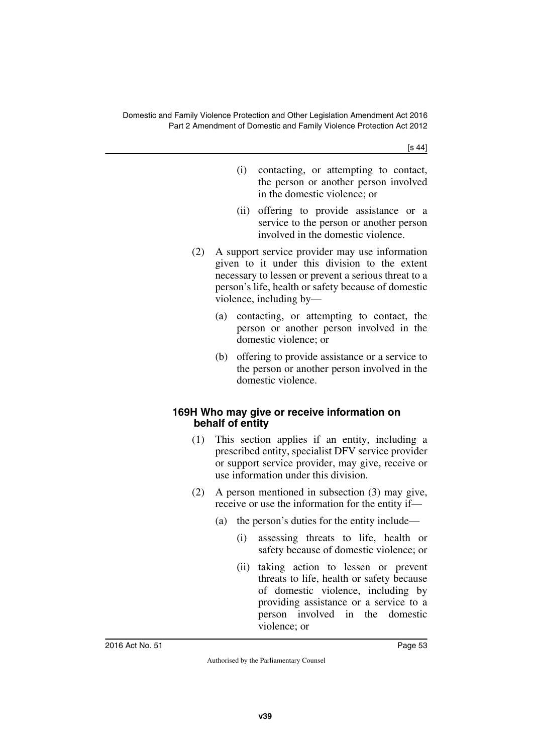- (i) contacting, or attempting to contact, the person or another person involved in the domestic violence; or
- (ii) offering to provide assistance or a service to the person or another person involved in the domestic violence.
- (2) A support service provider may use information given to it under this division to the extent necessary to lessen or prevent a serious threat to a person's life, health or safety because of domestic violence, including by—
	- (a) contacting, or attempting to contact, the person or another person involved in the domestic violence; or
	- (b) offering to provide assistance or a service to the person or another person involved in the domestic violence.

## **169H Who may give or receive information on behalf of entity**

- (1) This section applies if an entity, including a prescribed entity, specialist DFV service provider or support service provider, may give, receive or use information under this division.
- (2) A person mentioned in subsection (3) may give, receive or use the information for the entity if—
	- (a) the person's duties for the entity include—
		- (i) assessing threats to life, health or safety because of domestic violence; or
		- (ii) taking action to lessen or prevent threats to life, health or safety because of domestic violence, including by providing assistance or a service to a person involved in the domestic violence; or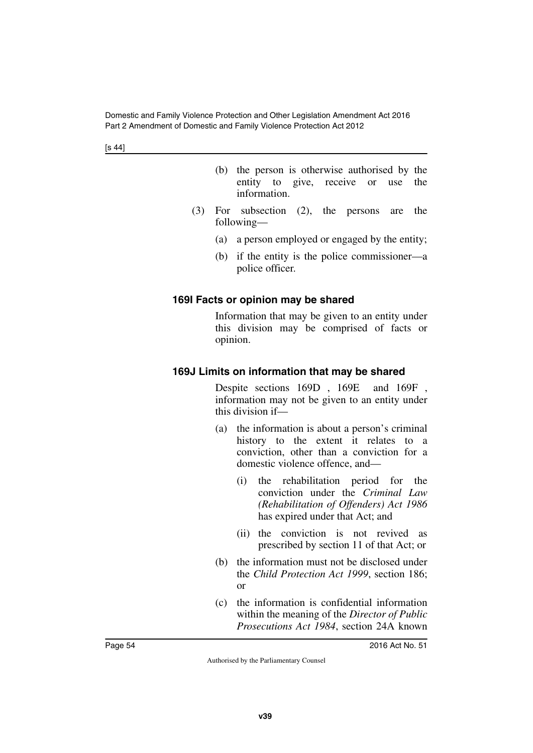[s 44]

- (b) the person is otherwise authorised by the entity to give, receive or use the information.
- (3) For subsection (2), the persons are the following—
	- (a) a person employed or engaged by the entity;
	- (b) if the entity is the police commissioner—a police officer.

## **169I Facts or opinion may be shared**

Information that may be given to an entity under this division may be comprised of facts or opinion.

## **169J Limits on information that may be shared**

Despite sections 169D , 169E and 169F , information may not be given to an entity under this division if—

- (a) the information is about a person's criminal history to the extent it relates to a conviction, other than a conviction for a domestic violence offence, and—
	- (i) the rehabilitation period for the conviction under the *Criminal Law (Rehabilitation of Offenders) Act 1986* has expired under that Act; and
	- (ii) the conviction is not revived as prescribed by section 11 of that Act; or
- (b) the information must not be disclosed under the *Child Protection Act 1999*, section 186; or
- (c) the information is confidential information within the meaning of the *Director of Public Prosecutions Act 1984*, section 24A known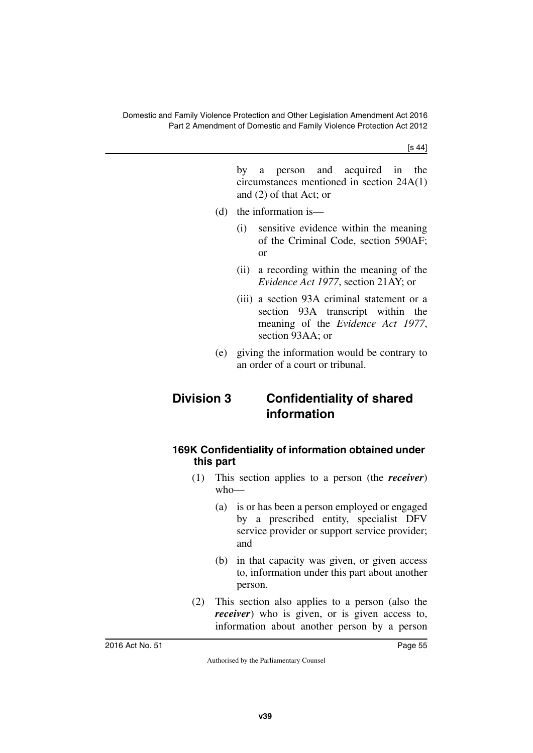[s 44]

by a person and acquired in the circumstances mentioned in section 24A(1) and (2) of that Act; or

- (d) the information is—
	- (i) sensitive evidence within the meaning of the Criminal Code, section 590AF; or
	- (ii) a recording within the meaning of the *Evidence Act 1977*, section 21AY; or
	- (iii) a section 93A criminal statement or a section 93A transcript within the meaning of the *Evidence Act 1977*, section 93AA; or
- (e) giving the information would be contrary to an order of a court or tribunal.

# **Division 3 Confidentiality of shared information**

## **169K Confidentiality of information obtained under this part**

- (1) This section applies to a person (the *receiver*) who—
	- (a) is or has been a person employed or engaged by a prescribed entity, specialist DFV service provider or support service provider; and
	- (b) in that capacity was given, or given access to, information under this part about another person.
- (2) This section also applies to a person (also the *receiver*) who is given, or is given access to, information about another person by a person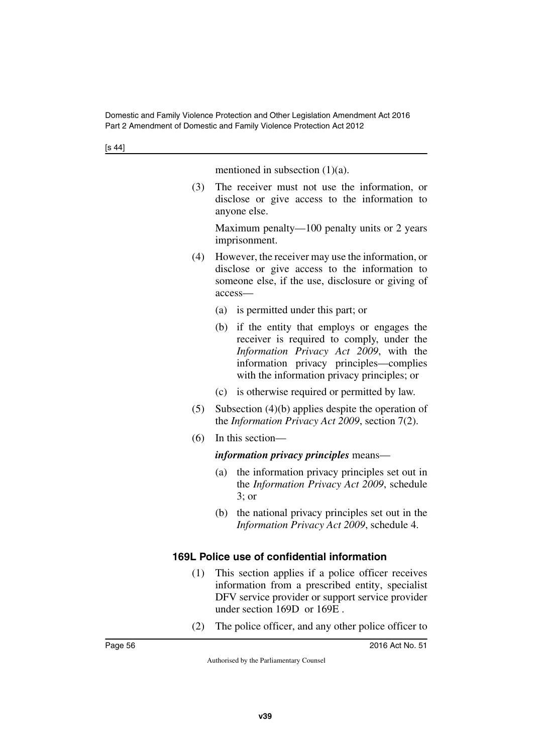mentioned in subsection  $(1)(a)$ .

(3) The receiver must not use the information, or disclose or give access to the information to anyone else.

Maximum penalty—100 penalty units or 2 years imprisonment.

- (4) However, the receiver may use the information, or disclose or give access to the information to someone else, if the use, disclosure or giving of access—
	- (a) is permitted under this part; or
	- (b) if the entity that employs or engages the receiver is required to comply, under the *Information Privacy Act 2009*, with the information privacy principles—complies with the information privacy principles; or
	- (c) is otherwise required or permitted by law.
- (5) Subsection (4)(b) applies despite the operation of the *Information Privacy Act 2009*, section 7(2).
- (6) In this section—

*information privacy principles* means—

- (a) the information privacy principles set out in the *Information Privacy Act 2009*, schedule 3; or
- (b) the national privacy principles set out in the *Information Privacy Act 2009*, schedule 4.

#### **169L Police use of confidential information**

- (1) This section applies if a police officer receives information from a prescribed entity, specialist DFV service provider or support service provider under section 169D or 169E .
- (2) The police officer, and any other police officer to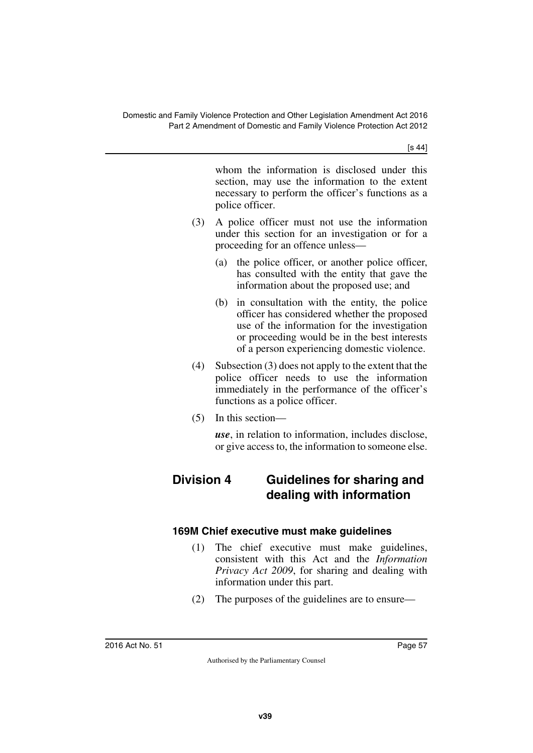[s 44]

whom the information is disclosed under this section, may use the information to the extent necessary to perform the officer's functions as a police officer.

- (3) A police officer must not use the information under this section for an investigation or for a proceeding for an offence unless—
	- (a) the police officer, or another police officer, has consulted with the entity that gave the information about the proposed use; and
	- (b) in consultation with the entity, the police officer has considered whether the proposed use of the information for the investigation or proceeding would be in the best interests of a person experiencing domestic violence.
- (4) Subsection (3) does not apply to the extent that the police officer needs to use the information immediately in the performance of the officer's functions as a police officer.
- (5) In this section—

*use*, in relation to information, includes disclose, or give access to, the information to someone else.

# **Division 4 Guidelines for sharing and dealing with information**

## **169M Chief executive must make guidelines**

- (1) The chief executive must make guidelines, consistent with this Act and the *Information Privacy Act 2009*, for sharing and dealing with information under this part.
- (2) The purposes of the guidelines are to ensure—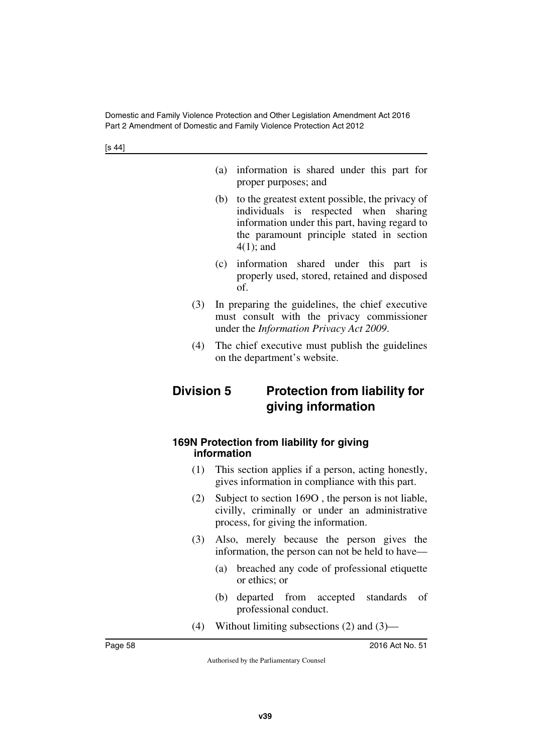[s 44]

- (a) information is shared under this part for proper purposes; and
- (b) to the greatest extent possible, the privacy of individuals is respected when sharing information under this part, having regard to the paramount principle stated in section 4(1); and
- (c) information shared under this part is properly used, stored, retained and disposed of.
- (3) In preparing the guidelines, the chief executive must consult with the privacy commissioner under the *Information Privacy Act 2009*.
- (4) The chief executive must publish the guidelines on the department's website.

# **Division 5 Protection from liability for giving information**

#### **169N Protection from liability for giving information**

- (1) This section applies if a person, acting honestly, gives information in compliance with this part.
- (2) Subject to section 169O , the person is not liable, civilly, criminally or under an administrative process, for giving the information.
- (3) Also, merely because the person gives the information, the person can not be held to have—
	- (a) breached any code of professional etiquette or ethics; or
	- (b) departed from accepted standards of professional conduct.
- (4) Without limiting subsections (2) and (3)—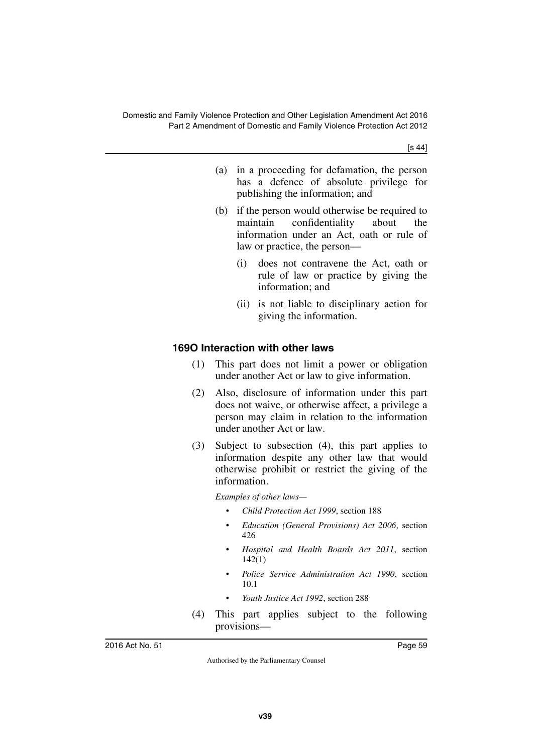[s 44]

- (a) in a proceeding for defamation, the person has a defence of absolute privilege for publishing the information; and
- (b) if the person would otherwise be required to maintain confidentiality about the information under an Act, oath or rule of law or practice, the person—
	- (i) does not contravene the Act, oath or rule of law or practice by giving the information; and
	- (ii) is not liable to disciplinary action for giving the information.

## **169O Interaction with other laws**

- (1) This part does not limit a power or obligation under another Act or law to give information.
- (2) Also, disclosure of information under this part does not waive, or otherwise affect, a privilege a person may claim in relation to the information under another Act or law.
- (3) Subject to subsection (4), this part applies to information despite any other law that would otherwise prohibit or restrict the giving of the information.

*Examples of other laws—*

- *Child Protection Act 1999*, section 188
- *Education (General Provisions) Act 2006*, section 426
- *Hospital and Health Boards Act 2011*, section 142(1)
- *Police Service Administration Act 1990*, section 10.1
- *Youth Justice Act 1992*, section 288
- (4) This part applies subject to the following provisions—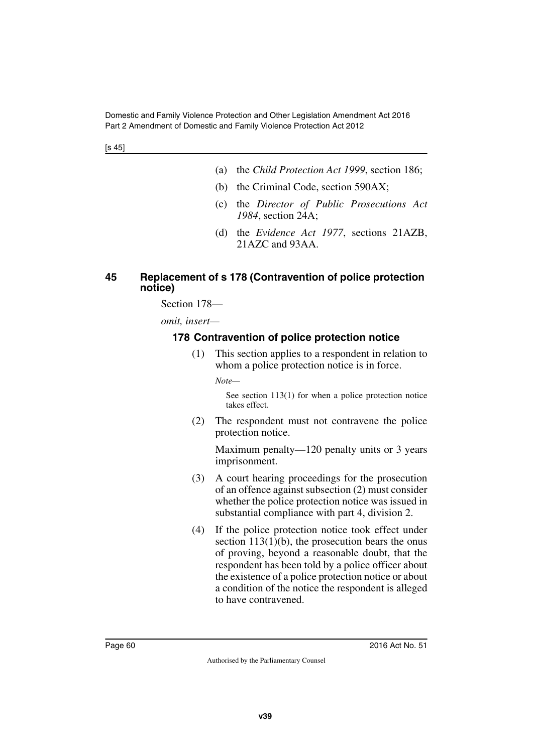- (a) the *Child Protection Act 1999*, section 186;
- (b) the Criminal Code, section 590AX;
- (c) the *Director of Public Prosecutions Act 1984*, section 24A;
- (d) the *Evidence Act 1977*, sections 21AZB, 21AZC and 93AA.

#### **45 Replacement of s 178 (Contravention of police protection notice)**

Section 178—

*omit, insert—*

## **178 Contravention of police protection notice**

(1) This section applies to a respondent in relation to whom a police protection notice is in force.

*Note—*

See section 113(1) for when a police protection notice takes effect.

(2) The respondent must not contravene the police protection notice.

Maximum penalty—120 penalty units or 3 years imprisonment.

- (3) A court hearing proceedings for the prosecution of an offence against subsection (2) must consider whether the police protection notice was issued in substantial compliance with part 4, division 2.
- (4) If the police protection notice took effect under section  $113(1)(b)$ , the prosecution bears the onus of proving, beyond a reasonable doubt, that the respondent has been told by a police officer about the existence of a police protection notice or about a condition of the notice the respondent is alleged to have contravened.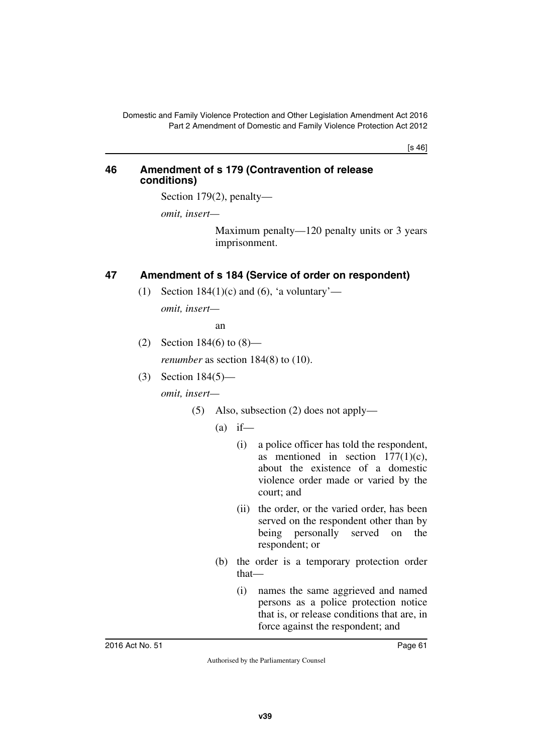[s 46]

#### **46 Amendment of s 179 (Contravention of release conditions)**

Section 179(2), penalty—

*omit, insert—*

Maximum penalty—120 penalty units or 3 years imprisonment.

## **47 Amendment of s 184 (Service of order on respondent)**

(1) Section 184(1)(c) and (6), 'a voluntary'—

*omit, insert—*

an

(2) Section 184(6) to (8)—

*renumber* as section 184(8) to (10).

(3) Section 184(5) *omit, insert—*

- (5) Also, subsection (2) does not apply—
	- $(a)$  if—
		- (i) a police officer has told the respondent, as mentioned in section 177(1)(c), about the existence of a domestic violence order made or varied by the court; and
		- (ii) the order, or the varied order, has been served on the respondent other than by being personally served on the respondent; or
	- (b) the order is a temporary protection order that—
		- (i) names the same aggrieved and named persons as a police protection notice that is, or release conditions that are, in force against the respondent; and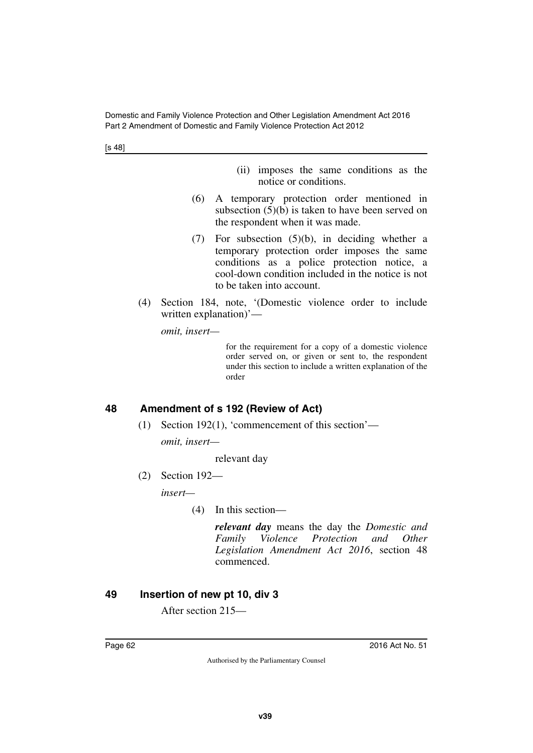[s 48]

- (ii) imposes the same conditions as the notice or conditions.
- (6) A temporary protection order mentioned in subsection (5)(b) is taken to have been served on the respondent when it was made.
- (7) For subsection (5)(b), in deciding whether a temporary protection order imposes the same conditions as a police protection notice, a cool-down condition included in the notice is not to be taken into account.
- (4) Section 184, note, '(Domestic violence order to include written explanation)'—

*omit, insert—*

for the requirement for a copy of a domestic violence order served on, or given or sent to, the respondent under this section to include a written explanation of the order

## **48 Amendment of s 192 (Review of Act)**

(1) Section 192(1), 'commencement of this section'—

*omit, insert—*

relevant day

(2) Section 192—

*insert—*

(4) In this section—

*relevant day* means the day the *Domestic and Family Violence Protection and Other Legislation Amendment Act 2016*, section 48 commenced.

## **49 Insertion of new pt 10, div 3**

After section 215—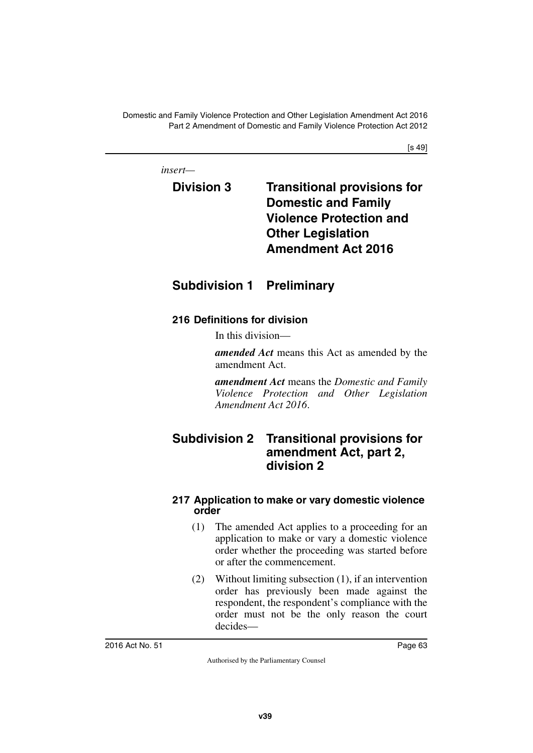[s 49]

*insert—*

# **Division 3 Transitional provisions for Domestic and Family Violence Protection and Other Legislation Amendment Act 2016**

# **Subdivision 1 Preliminary**

## **216 Definitions for division**

In this division—

*amended Act* means this Act as amended by the amendment Act.

*amendment Act* means the *Domestic and Family Violence Protection and Other Legislation Amendment Act 2016*.

# **Subdivision 2 Transitional provisions for amendment Act, part 2, division 2**

## **217 Application to make or vary domestic violence order**

- (1) The amended Act applies to a proceeding for an application to make or vary a domestic violence order whether the proceeding was started before or after the commencement.
- (2) Without limiting subsection (1), if an intervention order has previously been made against the respondent, the respondent's compliance with the order must not be the only reason the court decides—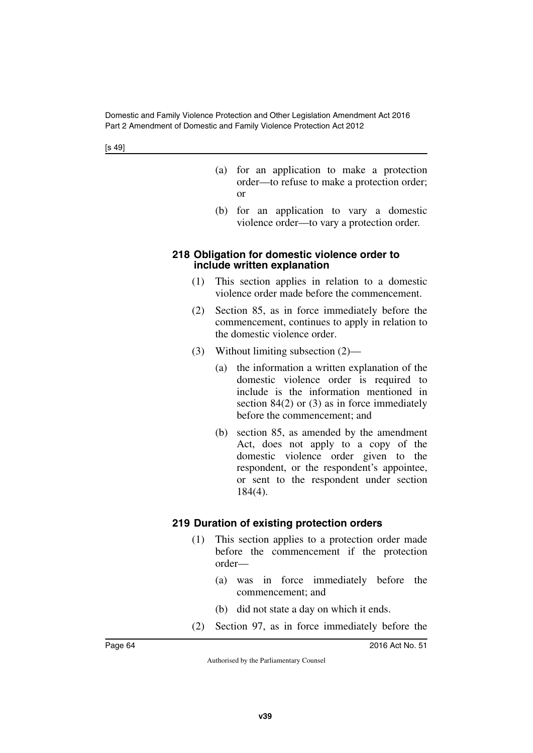- (a) for an application to make a protection order—to refuse to make a protection order; or
- (b) for an application to vary a domestic violence order—to vary a protection order.

#### **218 Obligation for domestic violence order to include written explanation**

- (1) This section applies in relation to a domestic violence order made before the commencement.
- (2) Section 85, as in force immediately before the commencement, continues to apply in relation to the domestic violence order.
- (3) Without limiting subsection (2)—
	- (a) the information a written explanation of the domestic violence order is required to include is the information mentioned in section 84(2) or (3) as in force immediately before the commencement; and
	- (b) section 85, as amended by the amendment Act, does not apply to a copy of the domestic violence order given to the respondent, or the respondent's appointee, or sent to the respondent under section 184(4).

#### **219 Duration of existing protection orders**

- (1) This section applies to a protection order made before the commencement if the protection order—
	- (a) was in force immediately before the commencement; and
	- (b) did not state a day on which it ends.
- (2) Section 97, as in force immediately before the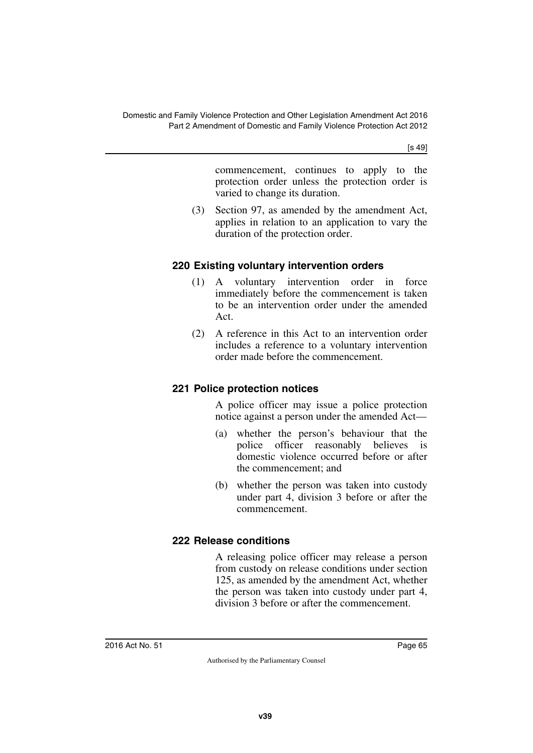[s 49]

commencement, continues to apply to the protection order unless the protection order is varied to change its duration.

(3) Section 97, as amended by the amendment Act, applies in relation to an application to vary the duration of the protection order.

## **220 Existing voluntary intervention orders**

- (1) A voluntary intervention order in force immediately before the commencement is taken to be an intervention order under the amended Act.
- (2) A reference in this Act to an intervention order includes a reference to a voluntary intervention order made before the commencement.

## **221 Police protection notices**

A police officer may issue a police protection notice against a person under the amended Act—

- (a) whether the person's behaviour that the police officer reasonably believes is domestic violence occurred before or after the commencement; and
- (b) whether the person was taken into custody under part 4, division 3 before or after the commencement.

## **222 Release conditions**

A releasing police officer may release a person from custody on release conditions under section 125, as amended by the amendment Act, whether the person was taken into custody under part 4, division 3 before or after the commencement.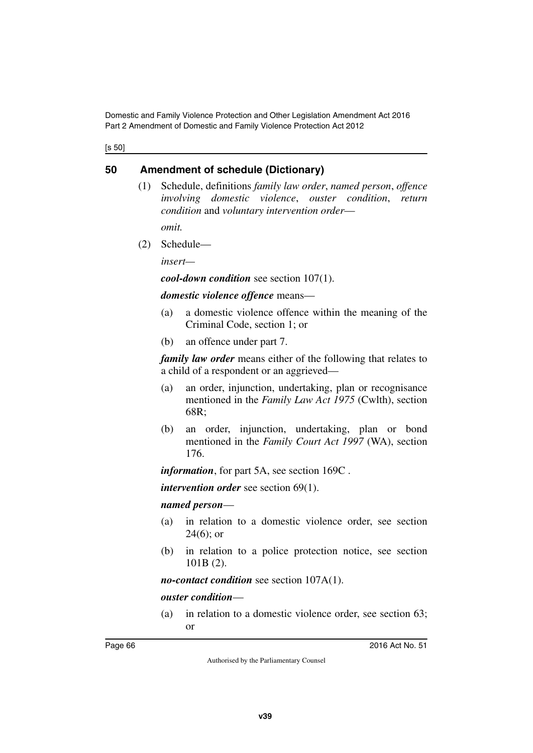[s 50]

## **50 Amendment of schedule (Dictionary)**

(1) Schedule, definitions *family law order*, *named person*, *offence involving domestic violence*, *ouster condition*, *return condition* and *voluntary intervention order*—

*omit.*

(2) Schedule—

*insert—*

*cool-down condition* see section 107(1).

*domestic violence offence* means—

- (a) a domestic violence offence within the meaning of the Criminal Code, section 1; or
- (b) an offence under part 7.

*family law order* means either of the following that relates to a child of a respondent or an aggrieved—

- (a) an order, injunction, undertaking, plan or recognisance mentioned in the *Family Law Act 1975* (Cwlth), section 68R;
- (b) an order, injunction, undertaking, plan or bond mentioned in the *Family Court Act 1997* (WA), section 176.

*information*, for part 5A, see section 169C .

*intervention order* see section 69(1).

#### *named person*—

- (a) in relation to a domestic violence order, see section 24(6); or
- (b) in relation to a police protection notice, see section 101B (2).

*no-contact condition* see section 107A(1).

#### *ouster condition*—

(a) in relation to a domestic violence order, see section 63; or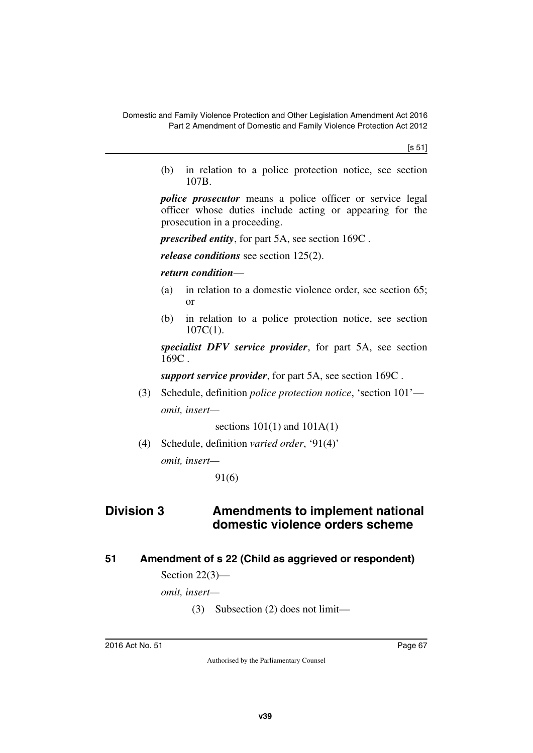[s 51]

(b) in relation to a police protection notice, see section 107B.

*police prosecutor* means a police officer or service legal officer whose duties include acting or appearing for the prosecution in a proceeding.

*prescribed entity*, for part 5A, see section 169C .

*release conditions* see section 125(2).

*return condition*—

- (a) in relation to a domestic violence order, see section 65; or
- (b) in relation to a police protection notice, see section  $107C(1)$ .

*specialist DFV service provider*, for part 5A, see section 169C .

*support service provider*, for part 5A, see section 169C .

(3) Schedule, definition *police protection notice*, 'section 101' *omit, insert—*

sections  $101(1)$  and  $101A(1)$ 

(4) Schedule, definition *varied order*, '91(4)' *omit, insert—*

91(6)

## **Division 3 Amendments to implement national domestic violence orders scheme**

#### **51 Amendment of s 22 (Child as aggrieved or respondent)**

Section 22(3)—

*omit, insert—*

(3) Subsection (2) does not limit—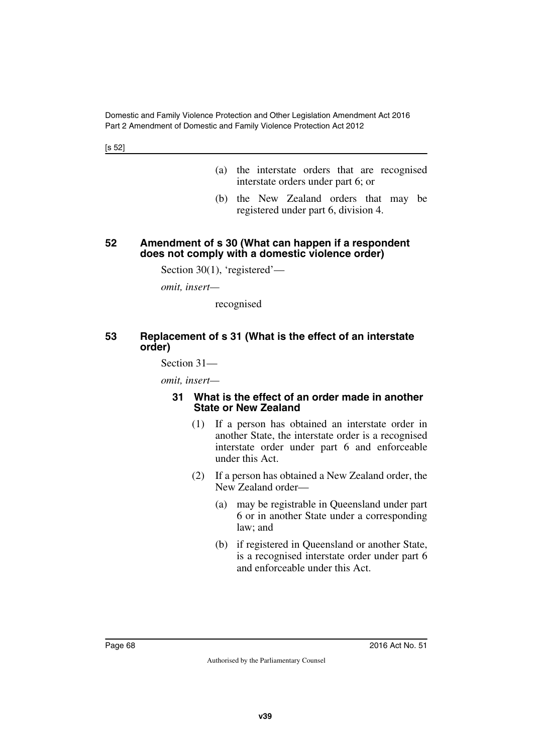[s 52]

- (a) the interstate orders that are recognised interstate orders under part 6; or
- (b) the New Zealand orders that may be registered under part 6, division 4.

#### **52 Amendment of s 30 (What can happen if a respondent does not comply with a domestic violence order)**

Section 30(1), 'registered'—

*omit, insert—*

recognised

## **53 Replacement of s 31 (What is the effect of an interstate order)**

Section 31—

*omit, insert—*

#### **31 What is the effect of an order made in another State or New Zealand**

- (1) If a person has obtained an interstate order in another State, the interstate order is a recognised interstate order under part 6 and enforceable under this Act.
- (2) If a person has obtained a New Zealand order, the New Zealand order—
	- (a) may be registrable in Queensland under part 6 or in another State under a corresponding law; and
	- (b) if registered in Queensland or another State, is a recognised interstate order under part 6 and enforceable under this Act.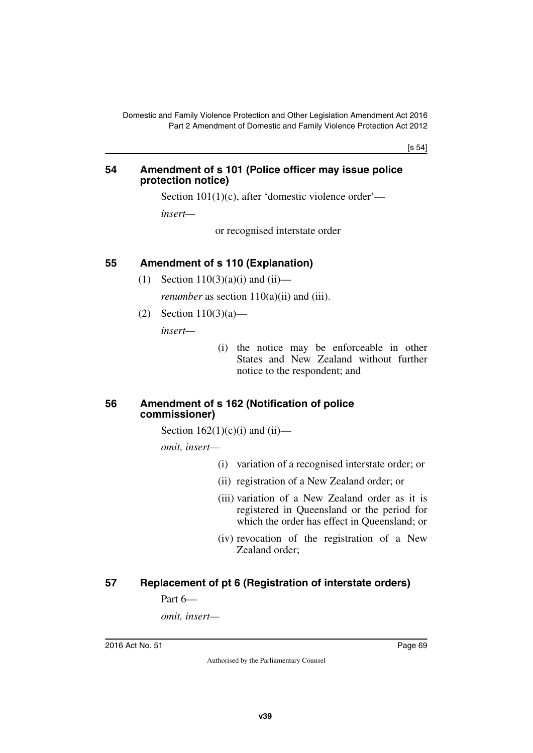[s 54]

#### **54 Amendment of s 101 (Police officer may issue police protection notice)**

Section 101(1)(c), after 'domestic violence order'—

*insert—*

or recognised interstate order

## **55 Amendment of s 110 (Explanation)**

- (1) Section  $110(3)(a)(i)$  and  $(ii)$  *renumber* as section 110(a)(ii) and (iii).
- (2) Section 110(3)(a)—

*insert—*

 (i) the notice may be enforceable in other States and New Zealand without further notice to the respondent; and

#### **56 Amendment of s 162 (Notification of police commissioner)**

Section  $162(1)(c)(i)$  and  $(ii)$ —

*omit, insert—*

- (i) variation of a recognised interstate order; or
- (ii) registration of a New Zealand order; or
- (iii) variation of a New Zealand order as it is registered in Queensland or the period for which the order has effect in Queensland; or
- (iv) revocation of the registration of a New Zealand order;

## **57 Replacement of pt 6 (Registration of interstate orders)**

Part 6—

*omit, insert—*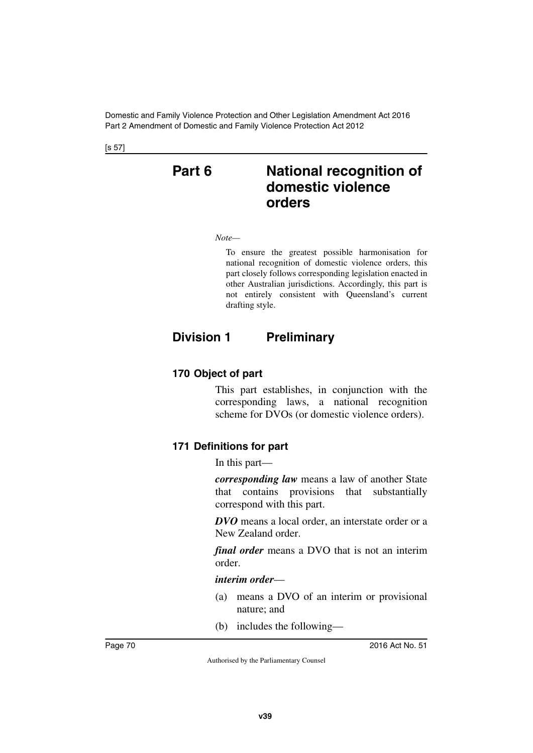[s 57]

# **Part 6 National recognition of domestic violence orders**

*Note—*

To ensure the greatest possible harmonisation for national recognition of domestic violence orders, this part closely follows corresponding legislation enacted in other Australian jurisdictions. Accordingly, this part is not entirely consistent with Queensland's current drafting style.

# **Division 1 Preliminary**

## **170 Object of part**

This part establishes, in conjunction with the corresponding laws, a national recognition scheme for DVOs (or domestic violence orders).

## **171 Definitions for part**

In this part—

*corresponding law* means a law of another State that contains provisions that substantially correspond with this part.

*DVO* means a local order, an interstate order or a New Zealand order.

*final order* means a DVO that is not an interim order.

#### *interim order*—

- (a) means a DVO of an interim or provisional nature; and
- (b) includes the following—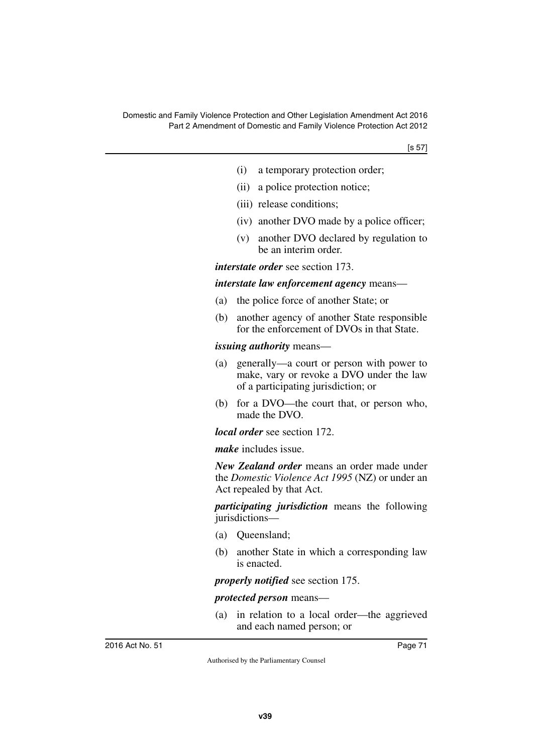- (i) a temporary protection order;
- (ii) a police protection notice;
- (iii) release conditions;
- (iv) another DVO made by a police officer;
- (v) another DVO declared by regulation to be an interim order.

*interstate order* see section 173.

*interstate law enforcement agency* means—

- (a) the police force of another State; or
- (b) another agency of another State responsible for the enforcement of DVOs in that State.

### *issuing authority* means—

- (a) generally—a court or person with power to make, vary or revoke a DVO under the law of a participating jurisdiction; or
- (b) for a DVO—the court that, or person who, made the DVO.

*local order* see section 172.

*make* includes issue.

*New Zealand order* means an order made under the *Domestic Violence Act 1995* (NZ) or under an Act repealed by that Act.

*participating jurisdiction* means the following jurisdictions—

- (a) Queensland;
- (b) another State in which a corresponding law is enacted.

*properly notified* see section 175.

*protected person* means—

(a) in relation to a local order—the aggrieved and each named person; or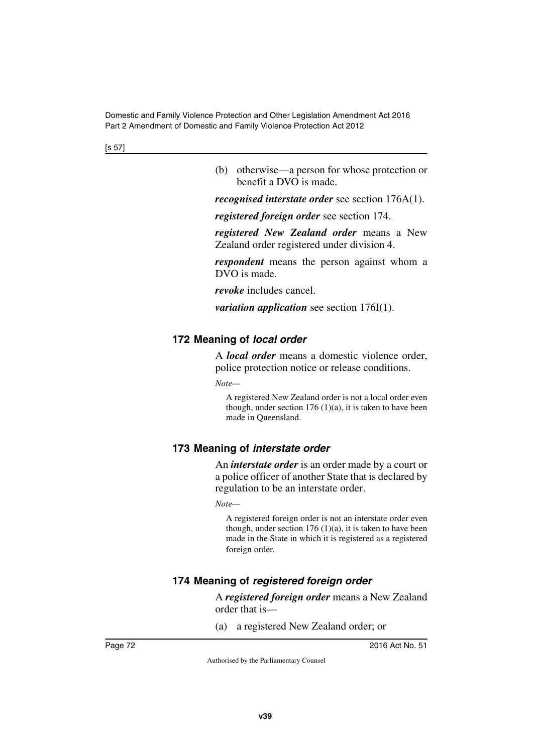[s 57]

(b) otherwise—a person for whose protection or benefit a DVO is made.

*recognised interstate order* see section 176A(1).

*registered foreign order* see section 174.

*registered New Zealand order* means a New Zealand order registered under division 4.

*respondent* means the person against whom a DVO is made.

*revoke* includes cancel.

*variation application* see section 176I(1).

## **172 Meaning of** *local order*

A *local order* means a domestic violence order, police protection notice or release conditions.

*Note—*

A registered New Zealand order is not a local order even though, under section  $176 (1)(a)$ , it is taken to have been made in Queensland.

## **173 Meaning of** *interstate order*

An *interstate order* is an order made by a court or a police officer of another State that is declared by regulation to be an interstate order.

*Note—*

A registered foreign order is not an interstate order even though, under section  $176 (1)(a)$ , it is taken to have been made in the State in which it is registered as a registered foreign order.

## **174 Meaning of** *registered foreign order*

A *registered foreign order* means a New Zealand order that is—

(a) a registered New Zealand order; or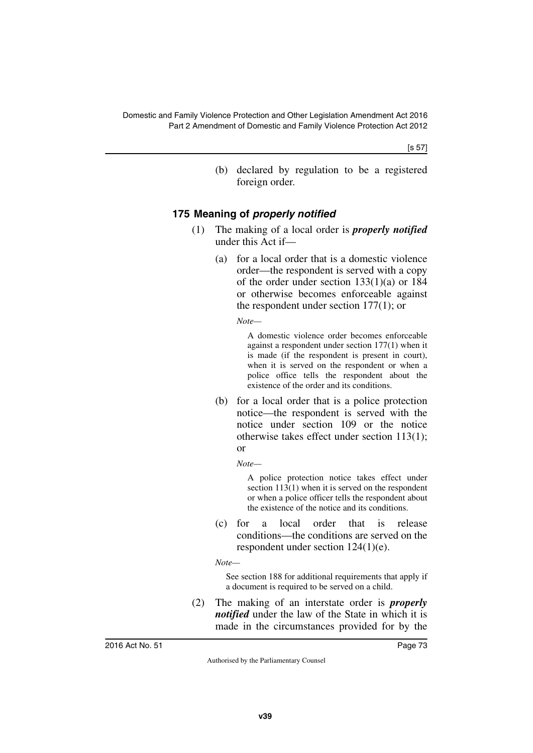[s 57]

(b) declared by regulation to be a registered foreign order.

## **175 Meaning of** *properly notified*

- (1) The making of a local order is *properly notified* under this Act if—
	- (a) for a local order that is a domestic violence order—the respondent is served with a copy of the order under section 133(1)(a) or 184 or otherwise becomes enforceable against the respondent under section 177(1); or

*Note—*

A domestic violence order becomes enforceable against a respondent under section 177(1) when it is made (if the respondent is present in court), when it is served on the respondent or when a police office tells the respondent about the existence of the order and its conditions.

(b) for a local order that is a police protection notice—the respondent is served with the notice under section 109 or the notice otherwise takes effect under section 113(1); or

*Note—*

A police protection notice takes effect under section 113(1) when it is served on the respondent or when a police officer tells the respondent about the existence of the notice and its conditions.

(c) for a local order that is release conditions—the conditions are served on the respondent under section 124(1)(e).

*Note—*

See section 188 for additional requirements that apply if a document is required to be served on a child.

(2) The making of an interstate order is *properly notified* under the law of the State in which it is made in the circumstances provided for by the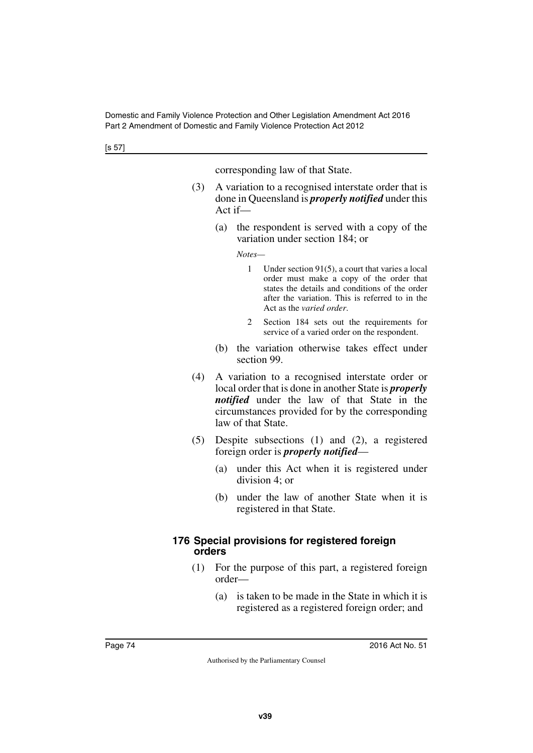corresponding law of that State.

- (3) A variation to a recognised interstate order that is done in Queensland is *properly notified* under this Act if—
	- (a) the respondent is served with a copy of the variation under section 184; or

*Notes—*

- 1 Under section 91(5), a court that varies a local order must make a copy of the order that states the details and conditions of the order after the variation. This is referred to in the Act as the *varied order*.
- 2 Section 184 sets out the requirements for service of a varied order on the respondent.
- (b) the variation otherwise takes effect under section 99.
- (4) A variation to a recognised interstate order or local order that is done in another State is *properly notified* under the law of that State in the circumstances provided for by the corresponding law of that State.
- (5) Despite subsections (1) and (2), a registered foreign order is *properly notified*—
	- (a) under this Act when it is registered under division 4; or
	- (b) under the law of another State when it is registered in that State.

### **176 Special provisions for registered foreign orders**

- (1) For the purpose of this part, a registered foreign order—
	- (a) is taken to be made in the State in which it is registered as a registered foreign order; and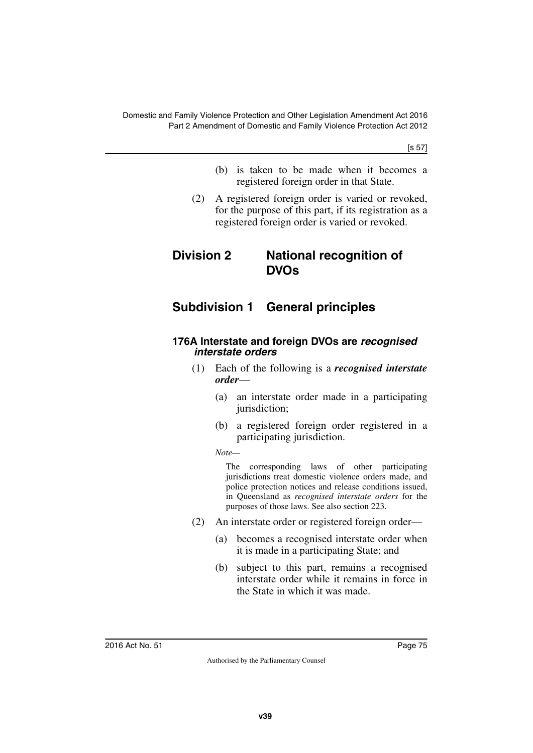[s 57]

- (b) is taken to be made when it becomes a registered foreign order in that State.
- (2) A registered foreign order is varied or revoked, for the purpose of this part, if its registration as a registered foreign order is varied or revoked.

# **Division 2 National recognition of DVOs**

# **Subdivision 1 General principles**

### **176A Interstate and foreign DVOs are** *recognised interstate orders*

- (1) Each of the following is a *recognised interstate order*—
	- (a) an interstate order made in a participating jurisdiction;
	- (b) a registered foreign order registered in a participating jurisdiction.

*Note—*

The corresponding laws of other participating jurisdictions treat domestic violence orders made, and police protection notices and release conditions issued, in Queensland as *recognised interstate orders* for the purposes of those laws. See also section 223.

- (2) An interstate order or registered foreign order—
	- (a) becomes a recognised interstate order when it is made in a participating State; and
	- (b) subject to this part, remains a recognised interstate order while it remains in force in the State in which it was made.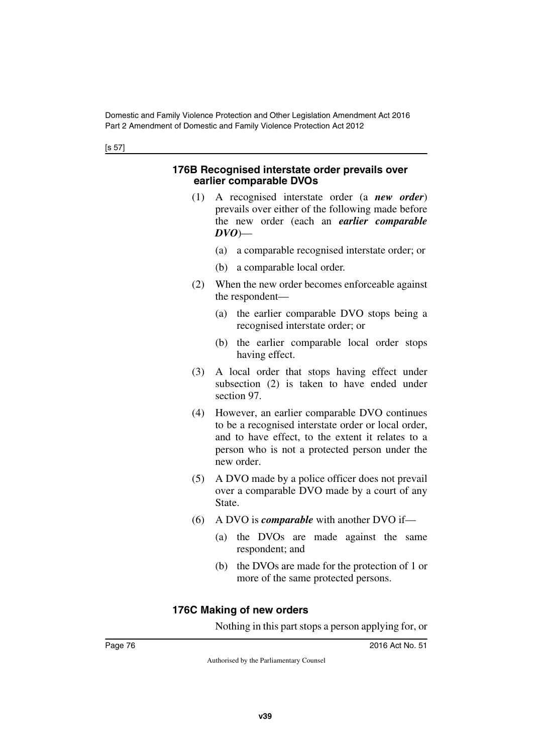### **176B Recognised interstate order prevails over earlier comparable DVOs**

- (1) A recognised interstate order (a *new order*) prevails over either of the following made before the new order (each an *earlier comparable DVO*)—
	- (a) a comparable recognised interstate order; or
	- (b) a comparable local order.
- (2) When the new order becomes enforceable against the respondent—
	- (a) the earlier comparable DVO stops being a recognised interstate order; or
	- (b) the earlier comparable local order stops having effect.
- (3) A local order that stops having effect under subsection (2) is taken to have ended under section 97.
- (4) However, an earlier comparable DVO continues to be a recognised interstate order or local order, and to have effect, to the extent it relates to a person who is not a protected person under the new order.
- (5) A DVO made by a police officer does not prevail over a comparable DVO made by a court of any State.
- (6) A DVO is *comparable* with another DVO if—
	- (a) the DVOs are made against the same respondent; and
	- (b) the DVOs are made for the protection of 1 or more of the same protected persons.

## **176C Making of new orders**

Nothing in this part stops a person applying for, or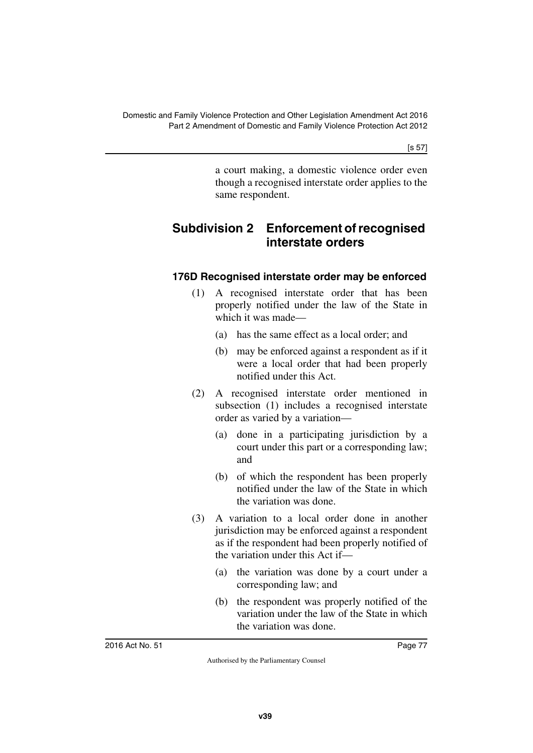[s 57]

a court making, a domestic violence order even though a recognised interstate order applies to the same respondent.

# **Subdivision 2 Enforcement of recognised interstate orders**

## **176D Recognised interstate order may be enforced**

- (1) A recognised interstate order that has been properly notified under the law of the State in which it was made—
	- (a) has the same effect as a local order; and
	- (b) may be enforced against a respondent as if it were a local order that had been properly notified under this Act.
- (2) A recognised interstate order mentioned in subsection (1) includes a recognised interstate order as varied by a variation—
	- (a) done in a participating jurisdiction by a court under this part or a corresponding law; and
	- (b) of which the respondent has been properly notified under the law of the State in which the variation was done.
- (3) A variation to a local order done in another jurisdiction may be enforced against a respondent as if the respondent had been properly notified of the variation under this Act if—
	- (a) the variation was done by a court under a corresponding law; and
	- (b) the respondent was properly notified of the variation under the law of the State in which the variation was done.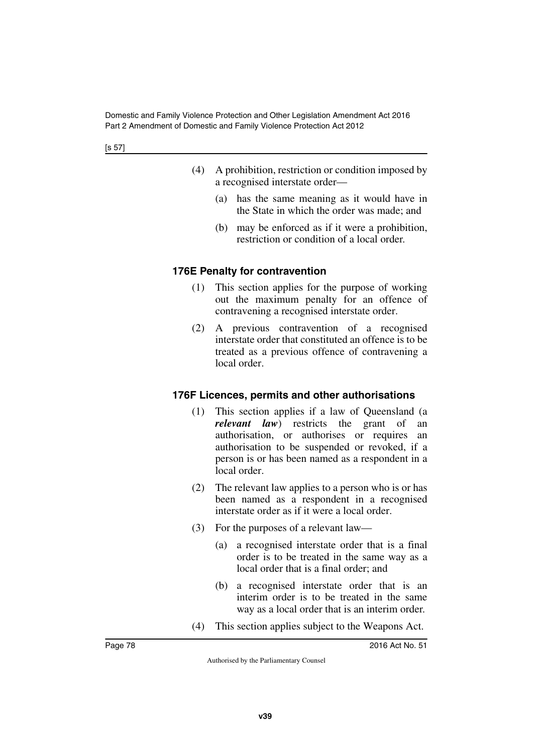- (4) A prohibition, restriction or condition imposed by a recognised interstate order—
	- (a) has the same meaning as it would have in the State in which the order was made; and
	- (b) may be enforced as if it were a prohibition, restriction or condition of a local order.

## **176E Penalty for contravention**

- (1) This section applies for the purpose of working out the maximum penalty for an offence of contravening a recognised interstate order.
- (2) A previous contravention of a recognised interstate order that constituted an offence is to be treated as a previous offence of contravening a local order.

## **176F Licences, permits and other authorisations**

- (1) This section applies if a law of Queensland (a *relevant law*) restricts the grant of an authorisation, or authorises or requires an authorisation to be suspended or revoked, if a person is or has been named as a respondent in a local order.
- (2) The relevant law applies to a person who is or has been named as a respondent in a recognised interstate order as if it were a local order.
- (3) For the purposes of a relevant law—
	- (a) a recognised interstate order that is a final order is to be treated in the same way as a local order that is a final order; and
	- (b) a recognised interstate order that is an interim order is to be treated in the same way as a local order that is an interim order.
- (4) This section applies subject to the Weapons Act.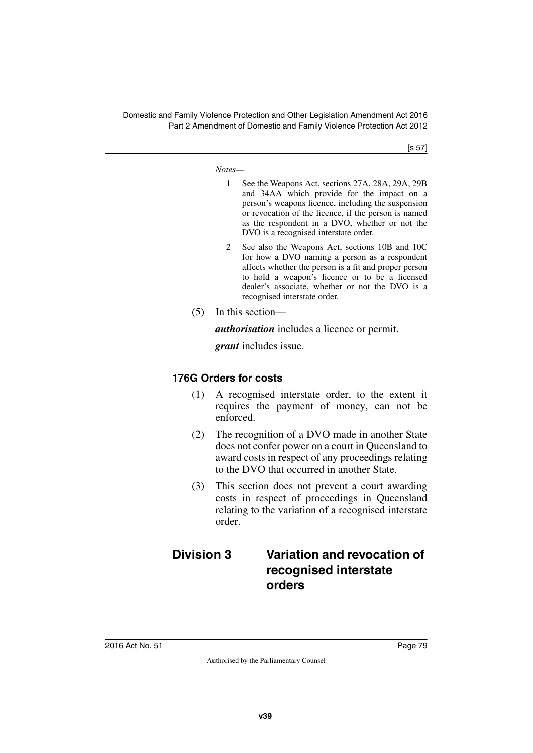[s 57]

*Notes—*

- 1 See the Weapons Act, sections 27A, 28A, 29A, 29B and 34AA which provide for the impact on a person's weapons licence, including the suspension or revocation of the licence, if the person is named as the respondent in a DVO, whether or not the DVO is a recognised interstate order.
- 2 See also the Weapons Act, sections 10B and 10C for how a DVO naming a person as a respondent affects whether the person is a fit and proper person to hold a weapon's licence or to be a licensed dealer's associate, whether or not the DVO is a recognised interstate order.
- (5) In this section—

*authorisation* includes a licence or permit.

*grant* includes issue.

## **176G Orders for costs**

- (1) A recognised interstate order, to the extent it requires the payment of money, can not be enforced.
- (2) The recognition of a DVO made in another State does not confer power on a court in Queensland to award costs in respect of any proceedings relating to the DVO that occurred in another State.
- (3) This section does not prevent a court awarding costs in respect of proceedings in Queensland relating to the variation of a recognised interstate order.

## **Division 3 Variation and revocation of recognised interstate orders**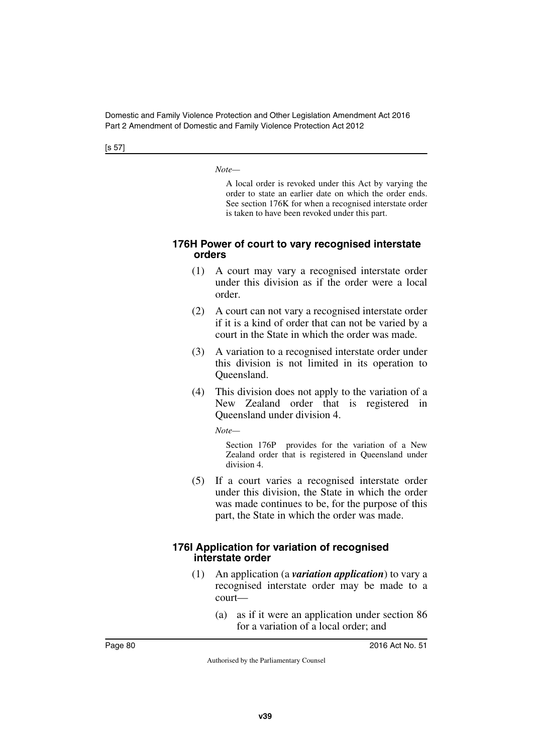[s 57]

*Note—*

A local order is revoked under this Act by varying the order to state an earlier date on which the order ends. See section 176K for when a recognised interstate order is taken to have been revoked under this part.

### **176H Power of court to vary recognised interstate orders**

- (1) A court may vary a recognised interstate order under this division as if the order were a local order.
- (2) A court can not vary a recognised interstate order if it is a kind of order that can not be varied by a court in the State in which the order was made.
- (3) A variation to a recognised interstate order under this division is not limited in its operation to Queensland.
- (4) This division does not apply to the variation of a New Zealand order that is registered in Queensland under division 4.

*Note—*

Section 176P provides for the variation of a New Zealand order that is registered in Queensland under division 4.

(5) If a court varies a recognised interstate order under this division, the State in which the order was made continues to be, for the purpose of this part, the State in which the order was made.

### **176I Application for variation of recognised interstate order**

- (1) An application (a *variation application*) to vary a recognised interstate order may be made to a court—
	- (a) as if it were an application under section 86 for a variation of a local order; and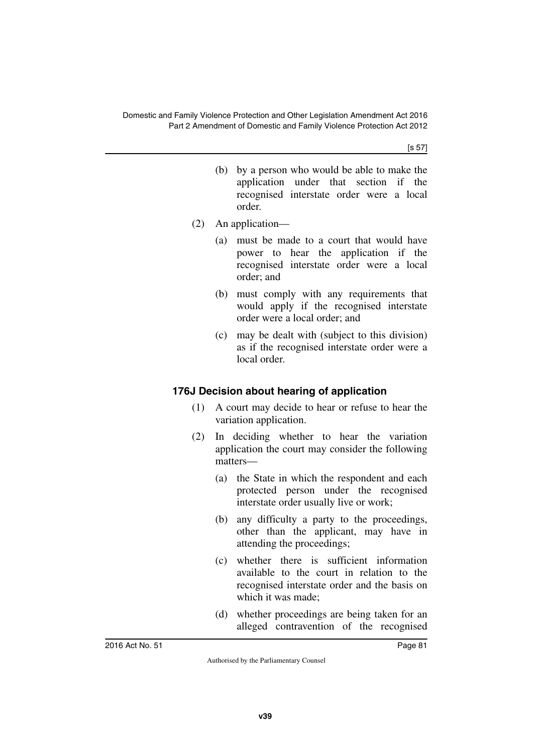[s 57]

- (b) by a person who would be able to make the application under that section if the recognised interstate order were a local order.
- (2) An application—
	- (a) must be made to a court that would have power to hear the application if the recognised interstate order were a local order; and
	- (b) must comply with any requirements that would apply if the recognised interstate order were a local order; and
	- (c) may be dealt with (subject to this division) as if the recognised interstate order were a local order.

## **176J Decision about hearing of application**

- (1) A court may decide to hear or refuse to hear the variation application.
- (2) In deciding whether to hear the variation application the court may consider the following matters—
	- (a) the State in which the respondent and each protected person under the recognised interstate order usually live or work;
	- (b) any difficulty a party to the proceedings, other than the applicant, may have in attending the proceedings;
	- (c) whether there is sufficient information available to the court in relation to the recognised interstate order and the basis on which it was made;
	- (d) whether proceedings are being taken for an alleged contravention of the recognised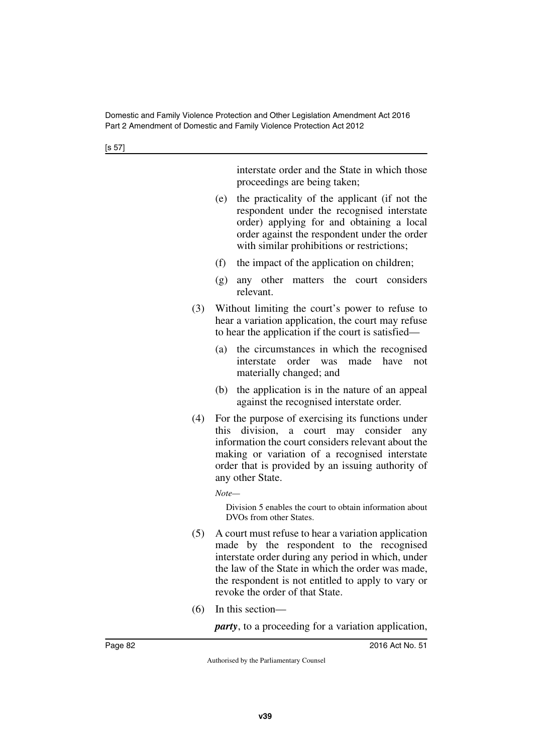[s 57]

interstate order and the State in which those proceedings are being taken;

- (e) the practicality of the applicant (if not the respondent under the recognised interstate order) applying for and obtaining a local order against the respondent under the order with similar prohibitions or restrictions;
- (f) the impact of the application on children;
- (g) any other matters the court considers relevant.
- (3) Without limiting the court's power to refuse to hear a variation application, the court may refuse to hear the application if the court is satisfied—
	- (a) the circumstances in which the recognised interstate order was made have not materially changed; and
	- (b) the application is in the nature of an appeal against the recognised interstate order.
- (4) For the purpose of exercising its functions under this division, a court may consider any information the court considers relevant about the making or variation of a recognised interstate order that is provided by an issuing authority of any other State.

*Note—*

Division 5 enables the court to obtain information about DVOs from other States.

- (5) A court must refuse to hear a variation application made by the respondent to the recognised interstate order during any period in which, under the law of the State in which the order was made, the respondent is not entitled to apply to vary or revoke the order of that State.
- (6) In this section—

*party*, to a proceeding for a variation application,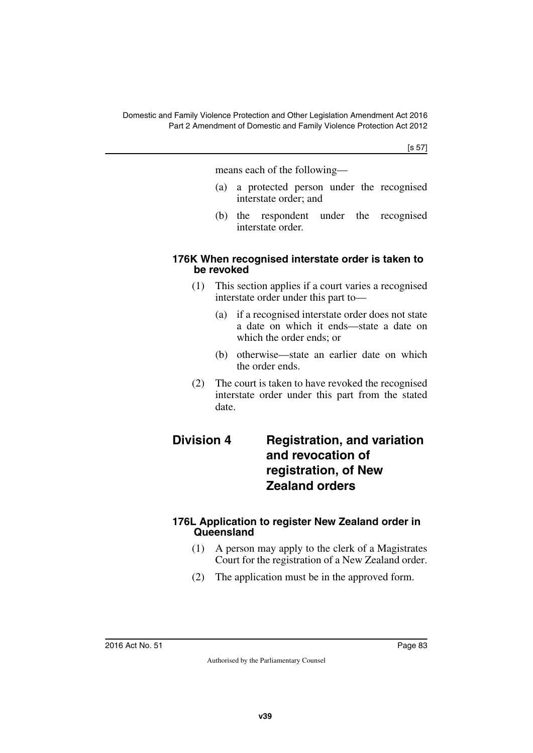[s 57]

means each of the following—

- (a) a protected person under the recognised interstate order; and
- (b) the respondent under the recognised interstate order.

### **176K When recognised interstate order is taken to be revoked**

- (1) This section applies if a court varies a recognised interstate order under this part to—
	- (a) if a recognised interstate order does not state a date on which it ends—state a date on which the order ends; or
	- (b) otherwise—state an earlier date on which the order ends.
- (2) The court is taken to have revoked the recognised interstate order under this part from the stated date.

## **Division 4 Registration, and variation and revocation of registration, of New Zealand orders**

## **176L Application to register New Zealand order in Queensland**

- (1) A person may apply to the clerk of a Magistrates Court for the registration of a New Zealand order.
- (2) The application must be in the approved form.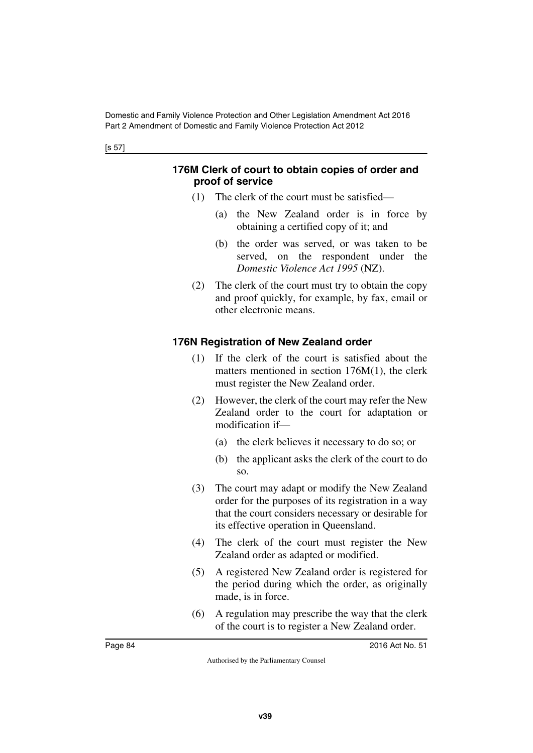### **176M Clerk of court to obtain copies of order and proof of service**

- (1) The clerk of the court must be satisfied—
	- (a) the New Zealand order is in force by obtaining a certified copy of it; and
	- (b) the order was served, or was taken to be served, on the respondent under the *Domestic Violence Act 1995* (NZ).
- (2) The clerk of the court must try to obtain the copy and proof quickly, for example, by fax, email or other electronic means.

## **176N Registration of New Zealand order**

- (1) If the clerk of the court is satisfied about the matters mentioned in section 176M(1), the clerk must register the New Zealand order.
- (2) However, the clerk of the court may refer the New Zealand order to the court for adaptation or modification if—
	- (a) the clerk believes it necessary to do so; or
	- (b) the applicant asks the clerk of the court to do so.
- (3) The court may adapt or modify the New Zealand order for the purposes of its registration in a way that the court considers necessary or desirable for its effective operation in Queensland.
- (4) The clerk of the court must register the New Zealand order as adapted or modified.
- (5) A registered New Zealand order is registered for the period during which the order, as originally made, is in force.
- (6) A regulation may prescribe the way that the clerk of the court is to register a New Zealand order.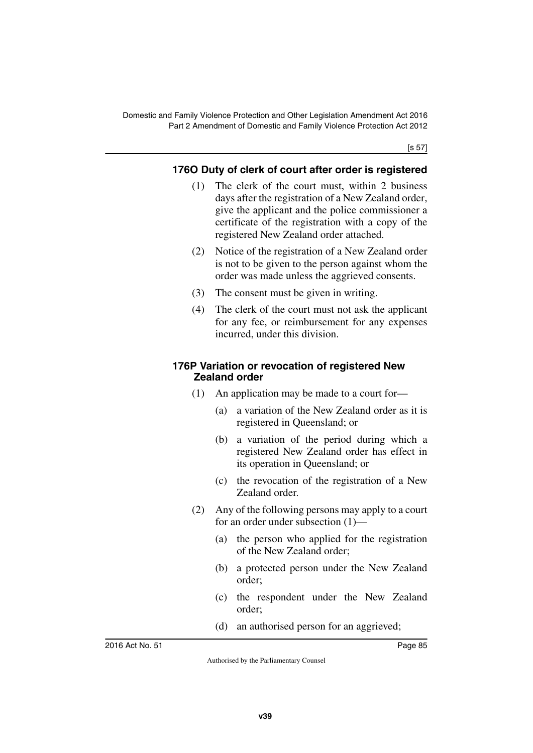[s 57]

## **176O Duty of clerk of court after order is registered**

- (1) The clerk of the court must, within 2 business days after the registration of a New Zealand order, give the applicant and the police commissioner a certificate of the registration with a copy of the registered New Zealand order attached.
- (2) Notice of the registration of a New Zealand order is not to be given to the person against whom the order was made unless the aggrieved consents.
- (3) The consent must be given in writing.
- (4) The clerk of the court must not ask the applicant for any fee, or reimbursement for any expenses incurred, under this division.

### **176P Variation or revocation of registered New Zealand order**

- (1) An application may be made to a court for—
	- (a) a variation of the New Zealand order as it is registered in Queensland; or
	- (b) a variation of the period during which a registered New Zealand order has effect in its operation in Queensland; or
	- (c) the revocation of the registration of a New Zealand order.
- (2) Any of the following persons may apply to a court for an order under subsection (1)—
	- (a) the person who applied for the registration of the New Zealand order;
	- (b) a protected person under the New Zealand order;
	- (c) the respondent under the New Zealand order;
	- (d) an authorised person for an aggrieved;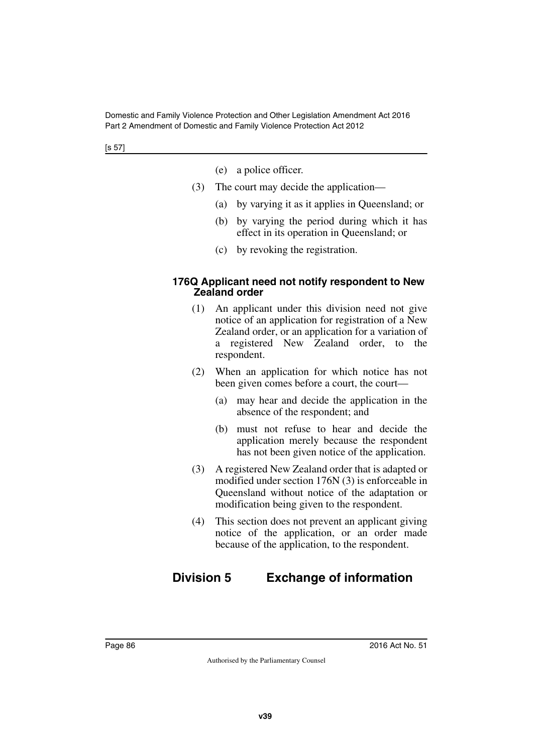- (e) a police officer.
- (3) The court may decide the application—
	- (a) by varying it as it applies in Queensland; or
	- (b) by varying the period during which it has effect in its operation in Queensland; or
	- (c) by revoking the registration.

### **176Q Applicant need not notify respondent to New Zealand order**

- (1) An applicant under this division need not give notice of an application for registration of a New Zealand order, or an application for a variation of a registered New Zealand order, to the respondent.
- (2) When an application for which notice has not been given comes before a court, the court—
	- (a) may hear and decide the application in the absence of the respondent; and
	- (b) must not refuse to hear and decide the application merely because the respondent has not been given notice of the application.
- (3) A registered New Zealand order that is adapted or modified under section 176N (3) is enforceable in Queensland without notice of the adaptation or modification being given to the respondent.
- (4) This section does not prevent an applicant giving notice of the application, or an order made because of the application, to the respondent.

# **Division 5 Exchange of information**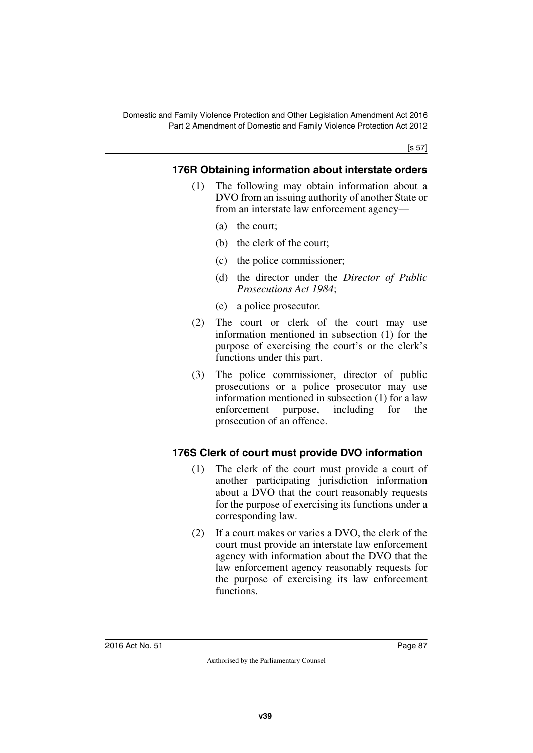[s 57]

## **176R Obtaining information about interstate orders**

- (1) The following may obtain information about a DVO from an issuing authority of another State or from an interstate law enforcement agency—
	- (a) the court;
	- (b) the clerk of the court;
	- (c) the police commissioner;
	- (d) the director under the *Director of Public Prosecutions Act 1984*;
	- (e) a police prosecutor.
- (2) The court or clerk of the court may use information mentioned in subsection (1) for the purpose of exercising the court's or the clerk's functions under this part.
- (3) The police commissioner, director of public prosecutions or a police prosecutor may use information mentioned in subsection (1) for a law enforcement purpose, including for the prosecution of an offence.

## **176S Clerk of court must provide DVO information**

- (1) The clerk of the court must provide a court of another participating jurisdiction information about a DVO that the court reasonably requests for the purpose of exercising its functions under a corresponding law.
- (2) If a court makes or varies a DVO, the clerk of the court must provide an interstate law enforcement agency with information about the DVO that the law enforcement agency reasonably requests for the purpose of exercising its law enforcement functions.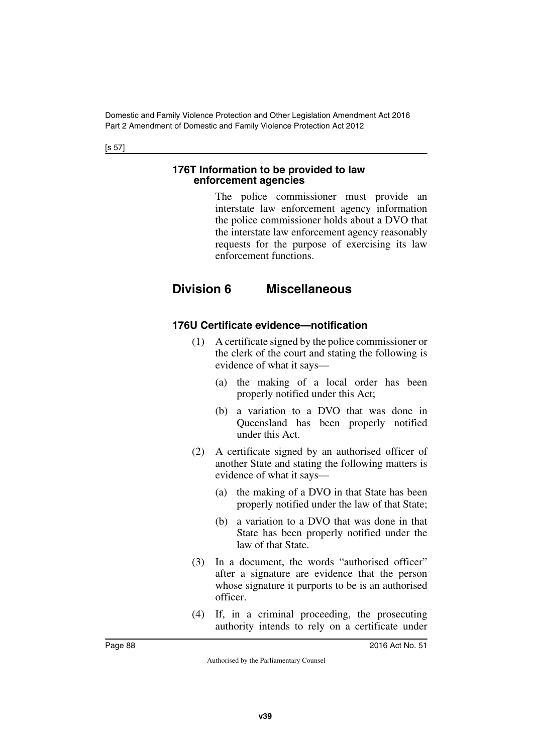[s 57]

### **176T Information to be provided to law enforcement agencies**

The police commissioner must provide an interstate law enforcement agency information the police commissioner holds about a DVO that the interstate law enforcement agency reasonably requests for the purpose of exercising its law enforcement functions.

# **Division 6 Miscellaneous**

## **176U Certificate evidence—notification**

- (1) A certificate signed by the police commissioner or the clerk of the court and stating the following is evidence of what it says—
	- (a) the making of a local order has been properly notified under this Act;
	- (b) a variation to a DVO that was done in Queensland has been properly notified under this Act.
- (2) A certificate signed by an authorised officer of another State and stating the following matters is evidence of what it says—
	- (a) the making of a DVO in that State has been properly notified under the law of that State;
	- (b) a variation to a DVO that was done in that State has been properly notified under the law of that State.
- (3) In a document, the words "authorised officer" after a signature are evidence that the person whose signature it purports to be is an authorised officer.
- (4) If, in a criminal proceeding, the prosecuting authority intends to rely on a certificate under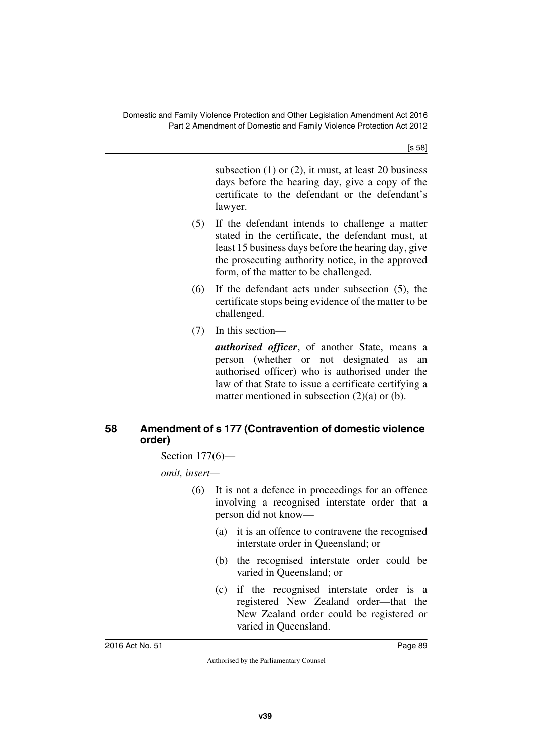[s 58]

subsection (1) or (2), it must, at least 20 business days before the hearing day, give a copy of the certificate to the defendant or the defendant's lawyer.

- (5) If the defendant intends to challenge a matter stated in the certificate, the defendant must, at least 15 business days before the hearing day, give the prosecuting authority notice, in the approved form, of the matter to be challenged.
- (6) If the defendant acts under subsection (5), the certificate stops being evidence of the matter to be challenged.
- (7) In this section—

*authorised officer*, of another State, means a person (whether or not designated as an authorised officer) who is authorised under the law of that State to issue a certificate certifying a matter mentioned in subsection  $(2)(a)$  or  $(b)$ .

## **58 Amendment of s 177 (Contravention of domestic violence order)**

Section 177(6)—

*omit, insert—*

- (6) It is not a defence in proceedings for an offence involving a recognised interstate order that a person did not know—
	- (a) it is an offence to contravene the recognised interstate order in Queensland; or
	- (b) the recognised interstate order could be varied in Queensland; or
	- (c) if the recognised interstate order is a registered New Zealand order—that the New Zealand order could be registered or varied in Queensland.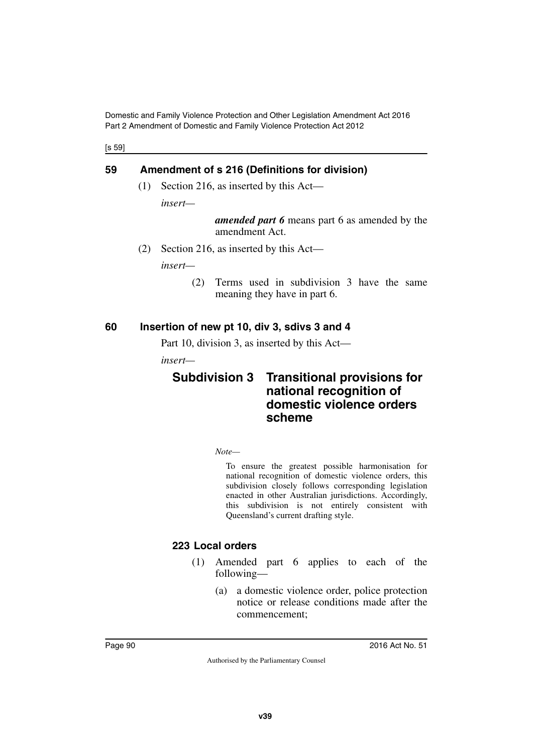[s 59]

## **59 Amendment of s 216 (Definitions for division)**

(1) Section 216, as inserted by this Act—

*insert—*

*amended part 6* means part 6 as amended by the amendment Act.

(2) Section 216, as inserted by this Act—

*insert—*

(2) Terms used in subdivision 3 have the same meaning they have in part 6.

### **60 Insertion of new pt 10, div 3, sdivs 3 and 4**

Part 10, division 3, as inserted by this Act—

*insert—*

## **Subdivision 3 Transitional provisions for national recognition of domestic violence orders scheme**

*Note—*

To ensure the greatest possible harmonisation for national recognition of domestic violence orders, this subdivision closely follows corresponding legislation enacted in other Australian jurisdictions. Accordingly, this subdivision is not entirely consistent with Queensland's current drafting style.

## **223 Local orders**

- (1) Amended part 6 applies to each of the following—
	- (a) a domestic violence order, police protection notice or release conditions made after the commencement;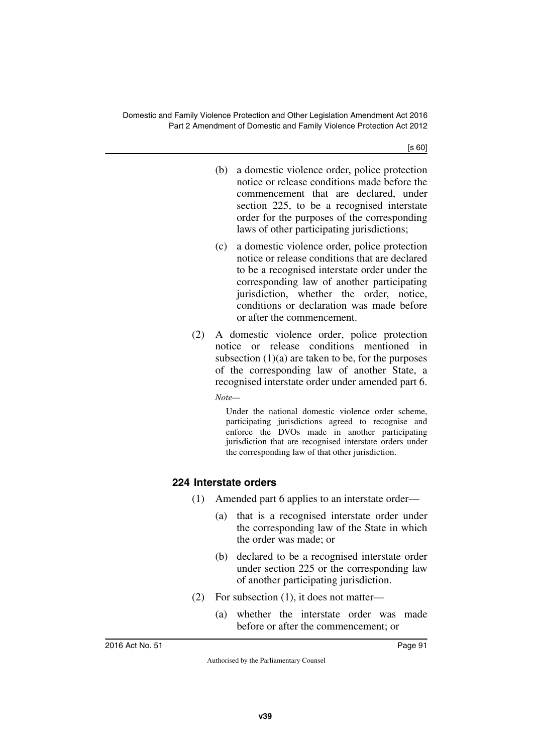[s 60]

- (b) a domestic violence order, police protection notice or release conditions made before the commencement that are declared, under section 225, to be a recognised interstate order for the purposes of the corresponding laws of other participating jurisdictions;
- (c) a domestic violence order, police protection notice or release conditions that are declared to be a recognised interstate order under the corresponding law of another participating jurisdiction, whether the order, notice, conditions or declaration was made before or after the commencement.
- (2) A domestic violence order, police protection notice or release conditions mentioned in subsection  $(1)(a)$  are taken to be, for the purposes of the corresponding law of another State, a recognised interstate order under amended part 6.

*Note—*

Under the national domestic violence order scheme, participating jurisdictions agreed to recognise and enforce the DVOs made in another participating jurisdiction that are recognised interstate orders under the corresponding law of that other jurisdiction.

## **224 Interstate orders**

- (1) Amended part 6 applies to an interstate order—
	- (a) that is a recognised interstate order under the corresponding law of the State in which the order was made; or
	- (b) declared to be a recognised interstate order under section 225 or the corresponding law of another participating jurisdiction.
- (2) For subsection (1), it does not matter—
	- (a) whether the interstate order was made before or after the commencement; or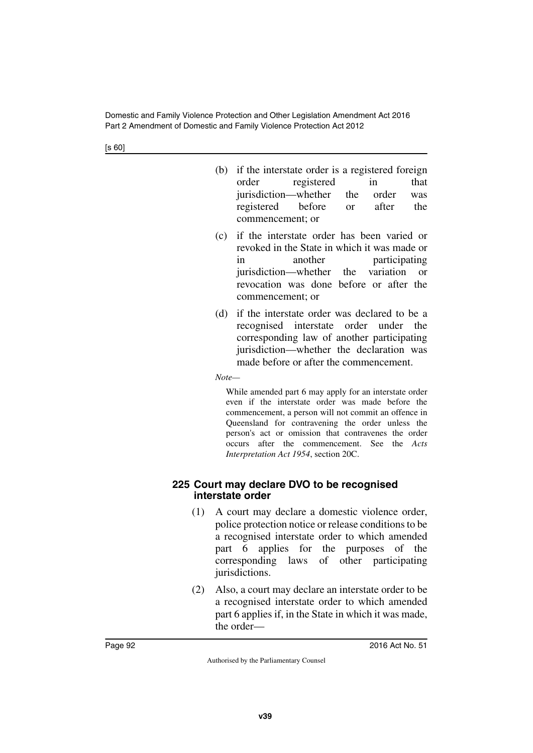[s 60]

- (b) if the interstate order is a registered foreign order registered in that jurisdiction—whether the order was registered before or after the commencement; or
- (c) if the interstate order has been varied or revoked in the State in which it was made or in another participating jurisdiction—whether the variation or revocation was done before or after the commencement; or
- (d) if the interstate order was declared to be a recognised interstate order under the corresponding law of another participating jurisdiction—whether the declaration was made before or after the commencement.

*Note—*

While amended part 6 may apply for an interstate order even if the interstate order was made before the commencement, a person will not commit an offence in Queensland for contravening the order unless the person's act or omission that contravenes the order occurs after the commencement. See the *Acts Interpretation Act 1954*, section 20C.

### **225 Court may declare DVO to be recognised interstate order**

- (1) A court may declare a domestic violence order, police protection notice or release conditions to be a recognised interstate order to which amended part 6 applies for the purposes of the corresponding laws of other participating jurisdictions.
- (2) Also, a court may declare an interstate order to be a recognised interstate order to which amended part 6 applies if, in the State in which it was made, the order—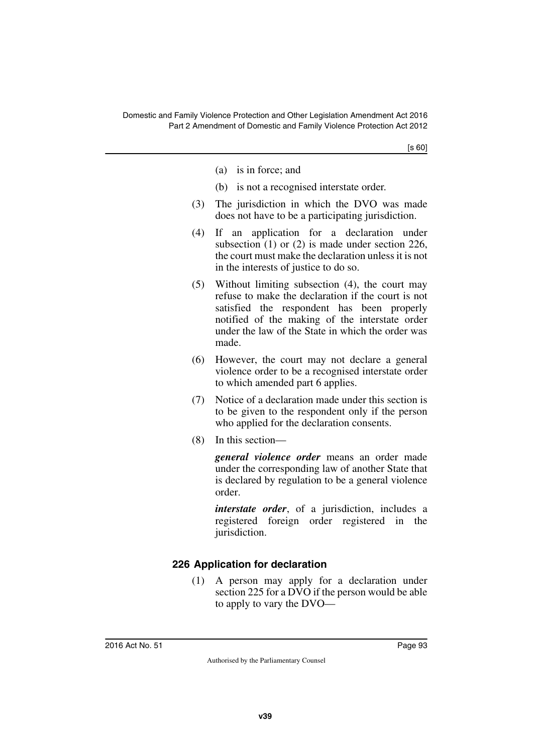- (a) is in force; and
- (b) is not a recognised interstate order.
- (3) The jurisdiction in which the DVO was made does not have to be a participating jurisdiction.
- (4) If an application for a declaration under subsection (1) or (2) is made under section 226, the court must make the declaration unless it is not in the interests of justice to do so.
- (5) Without limiting subsection (4), the court may refuse to make the declaration if the court is not satisfied the respondent has been properly notified of the making of the interstate order under the law of the State in which the order was made.
- (6) However, the court may not declare a general violence order to be a recognised interstate order to which amended part 6 applies.
- (7) Notice of a declaration made under this section is to be given to the respondent only if the person who applied for the declaration consents.
- (8) In this section—

*general violence order* means an order made under the corresponding law of another State that is declared by regulation to be a general violence order.

*interstate order*, of a jurisdiction, includes a registered foreign order registered in the jurisdiction.

## **226 Application for declaration**

(1) A person may apply for a declaration under section 225 for a DVO if the person would be able to apply to vary the DVO—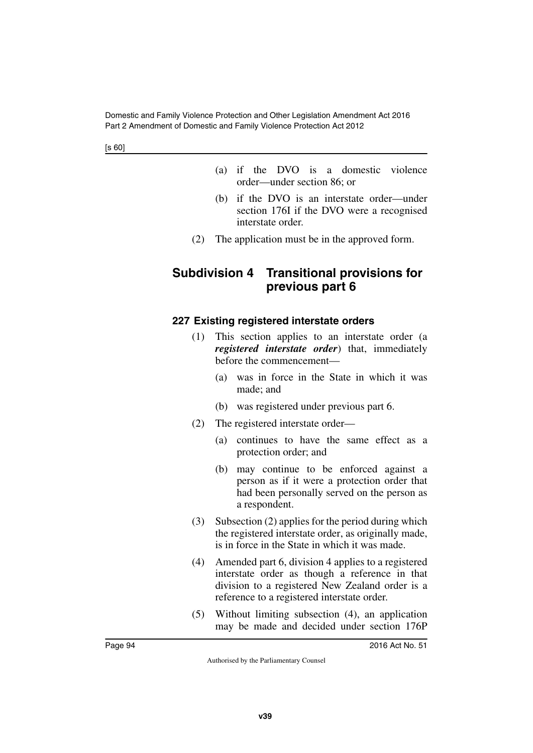- (a) if the DVO is a domestic violence order—under section 86; or
- (b) if the DVO is an interstate order—under section 176I if the DVO were a recognised interstate order.
- (2) The application must be in the approved form.

## **Subdivision 4 Transitional provisions for previous part 6**

## **227 Existing registered interstate orders**

- (1) This section applies to an interstate order (a *registered interstate order*) that, immediately before the commencement—
	- (a) was in force in the State in which it was made; and
	- (b) was registered under previous part 6.
- (2) The registered interstate order—
	- (a) continues to have the same effect as a protection order; and
	- (b) may continue to be enforced against a person as if it were a protection order that had been personally served on the person as a respondent.
- (3) Subsection (2) applies for the period during which the registered interstate order, as originally made, is in force in the State in which it was made.
- (4) Amended part 6, division 4 applies to a registered interstate order as though a reference in that division to a registered New Zealand order is a reference to a registered interstate order.
- (5) Without limiting subsection (4), an application may be made and decided under section 176P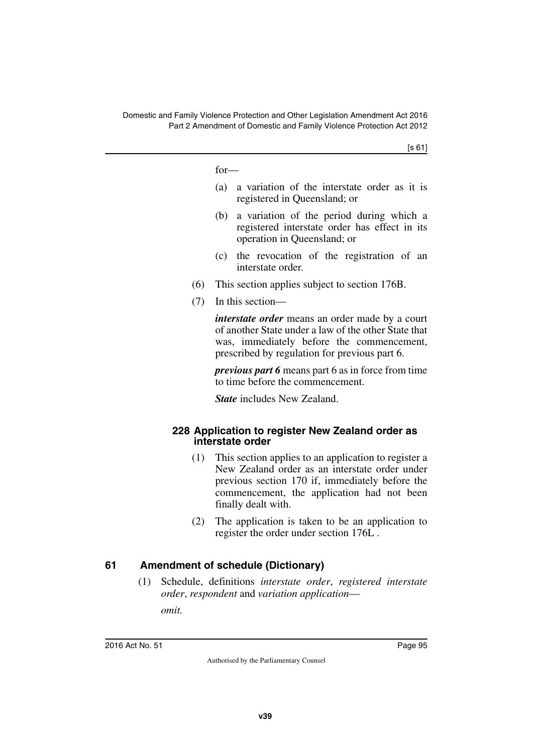for—

- (a) a variation of the interstate order as it is registered in Queensland; or
- (b) a variation of the period during which a registered interstate order has effect in its operation in Queensland; or
- (c) the revocation of the registration of an interstate order.
- (6) This section applies subject to section 176B.
- (7) In this section—

*interstate order* means an order made by a court of another State under a law of the other State that was, immediately before the commencement, prescribed by regulation for previous part 6.

*previous part 6* means part 6 as in force from time to time before the commencement.

*State* includes New Zealand.

### **228 Application to register New Zealand order as interstate order**

- (1) This section applies to an application to register a New Zealand order as an interstate order under previous section 170 if, immediately before the commencement, the application had not been finally dealt with.
- (2) The application is taken to be an application to register the order under section 176L .

## **61 Amendment of schedule (Dictionary)**

(1) Schedule, definitions *interstate order*, *registered interstate order*, *respondent* and *variation application*—

*omit.*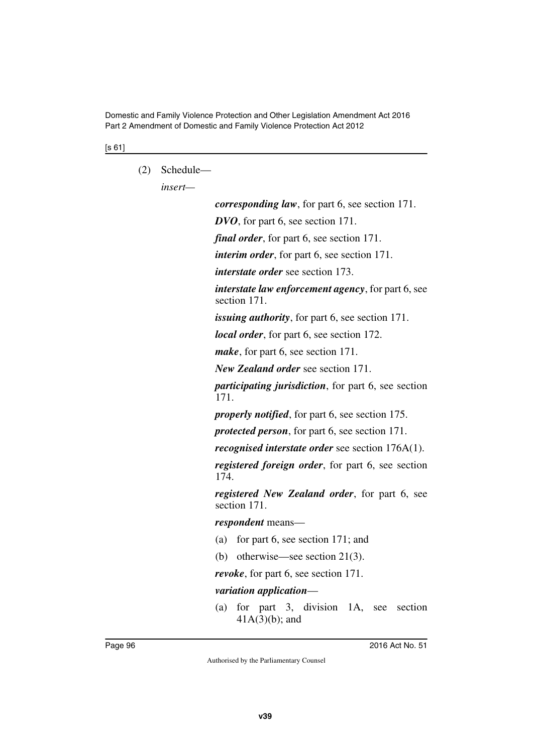[s 61]

(2) Schedule—

*insert—*

*corresponding law*, for part 6, see section 171. *DVO*, for part 6, see section 171. *final order*, for part 6, see section 171. *interim order*, for part 6, see section 171. *interstate order* see section 173. *interstate law enforcement agency*, for part 6, see section 171. *issuing authority*, for part 6, see section 171. *local order*, for part 6, see section 172. *make*, for part 6, see section 171. *New Zealand order* see section 171. *participating jurisdiction*, for part 6, see section 171. *properly notified*, for part 6, see section 175. *protected person*, for part 6, see section 171. *recognised interstate order* see section 176A(1). *registered foreign order*, for part 6, see section 174. *registered New Zealand order*, for part 6, see section 171. *respondent* means— (a) for part 6, see section 171; and (b) otherwise—see section 21(3). *revoke*, for part 6, see section 171. *variation application*— (a) for part 3, division 1A, see section 41A(3)(b); and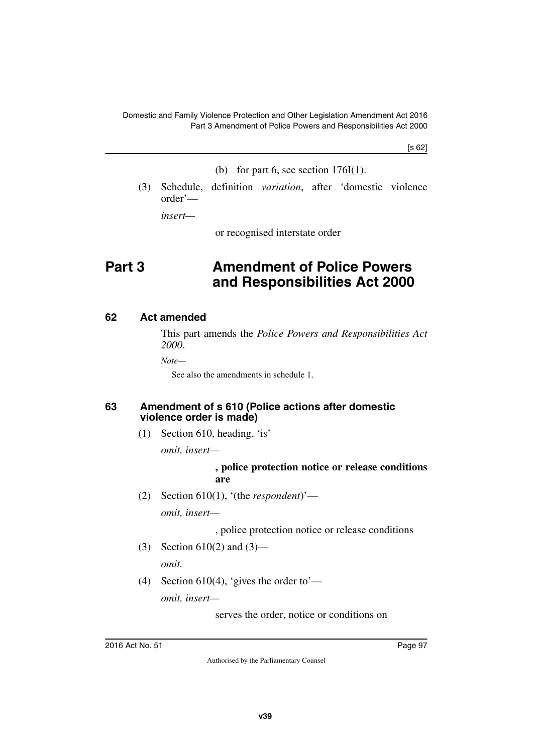[s 62]

- (b) for part 6, see section  $176I(1)$ .
- (3) Schedule, definition *variation*, after 'domestic violence order'—

*insert—*

or recognised interstate order

# **Part 3 Amendment of Police Powers and Responsibilities Act 2000**

### **62 Act amended**

This part amends the *Police Powers and Responsibilities Act 2000*.

*Note—*

See also the amendments in schedule 1.

#### **63 Amendment of s 610 (Police actions after domestic violence order is made)**

(1) Section 610, heading, 'is'

*omit, insert—*

#### **, police protection notice or release conditions are**

(2) Section 610(1), '(the *respondent*)'—

*omit, insert—*

, police protection notice or release conditions

(3) Section 610(2) and (3)—

*omit.*

(4) Section 610(4), 'gives the order to'—

*omit, insert—*

serves the order, notice or conditions on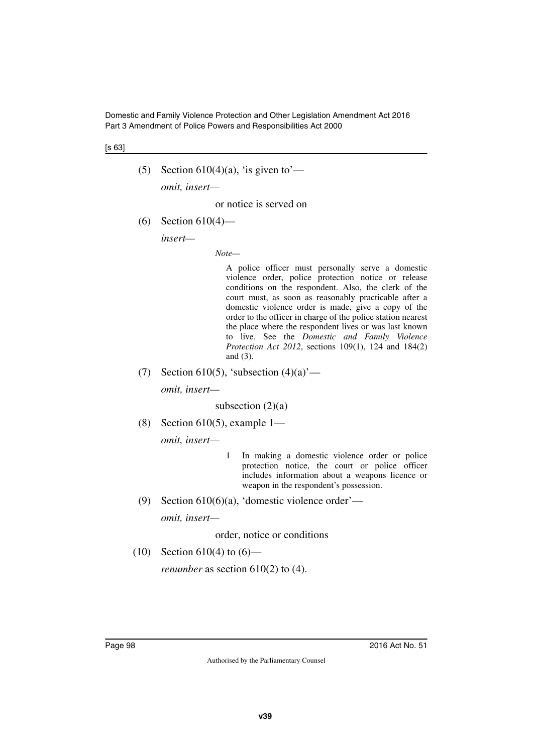Domestic and Family Violence Protection and Other Legislation Amendment Act 2016 Part 3 Amendment of Police Powers and Responsibilities Act 2000

[s 63]

(5) Section 610(4)(a), 'is given to'—

*omit, insert—*

or notice is served on

(6) Section 610(4)—

*insert—*

*Note—*

A police officer must personally serve a domestic violence order, police protection notice or release conditions on the respondent. Also, the clerk of the court must, as soon as reasonably practicable after a domestic violence order is made, give a copy of the order to the officer in charge of the police station nearest the place where the respondent lives or was last known to live. See the *Domestic and Family Violence Protection Act 2012*, sections 109(1), 124 and 184(2) and (3).

(7) Section 610(5), 'subsection  $(4)(a)$ '—

*omit, insert—*

subsection  $(2)(a)$ 

(8) Section 610(5), example  $1-$ 

*omit, insert—*

- 1 In making a domestic violence order or police protection notice, the court or police officer includes information about a weapons licence or weapon in the respondent's possession.
- (9) Section 610(6)(a), 'domestic violence order' *omit, insert—*

order, notice or conditions

(10) Section 610(4) to  $(6)$ —

*renumber* as section 610(2) to (4).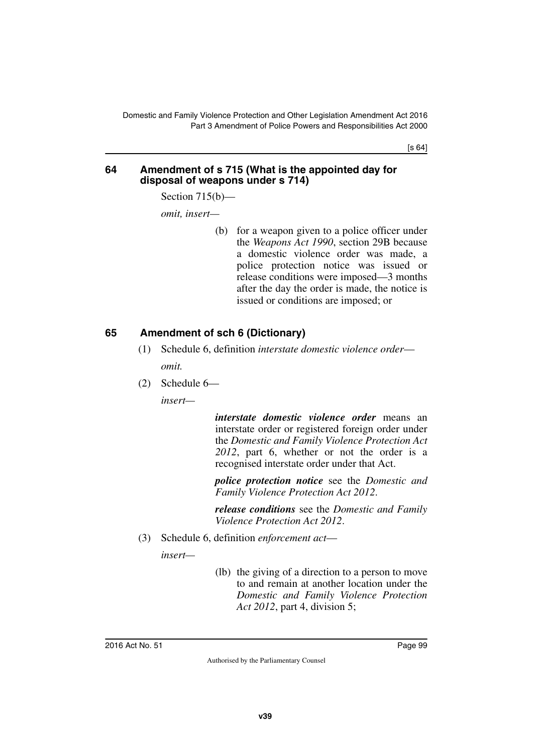[s 64]

#### **64 Amendment of s 715 (What is the appointed day for disposal of weapons under s 714)**

Section 715(b)—

*omit, insert—*

(b) for a weapon given to a police officer under the *Weapons Act 1990*, section 29B because a domestic violence order was made, a police protection notice was issued or release conditions were imposed—3 months after the day the order is made, the notice is issued or conditions are imposed; or

## **65 Amendment of sch 6 (Dictionary)**

- (1) Schedule 6, definition *interstate domestic violence order omit.*
- (2) Schedule 6—

*insert—*

*interstate domestic violence order* means an interstate order or registered foreign order under the *Domestic and Family Violence Protection Act 2012*, part 6, whether or not the order is a recognised interstate order under that Act.

*police protection notice* see the *Domestic and Family Violence Protection Act 2012*.

*release conditions* see the *Domestic and Family Violence Protection Act 2012*.

(3) Schedule 6, definition *enforcement act*—

*insert—*

(lb) the giving of a direction to a person to move to and remain at another location under the *Domestic and Family Violence Protection Act 2012*, part 4, division 5;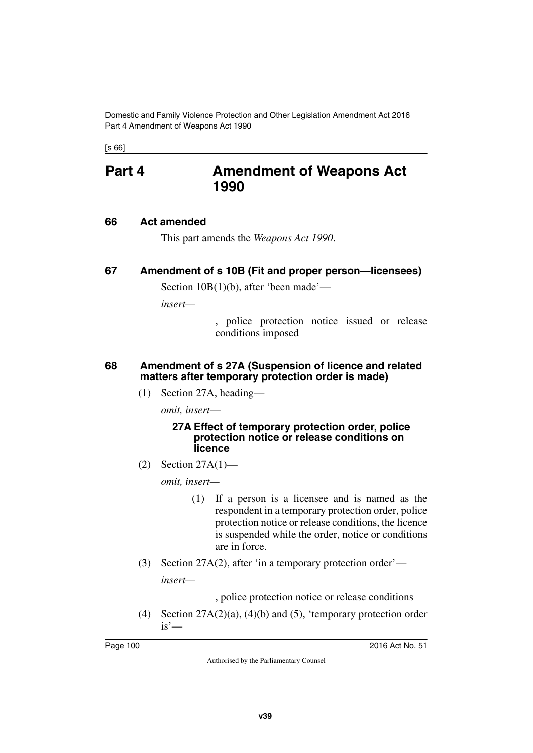[s 66]

## **Part 4 Amendment of Weapons Act 1990**

### **66 Act amended**

This part amends the *Weapons Act 1990*.

## **67 Amendment of s 10B (Fit and proper person—licensees)**

Section 10B(1)(b), after 'been made'—

*insert—*

, police protection notice issued or release conditions imposed

### **68 Amendment of s 27A (Suspension of licence and related matters after temporary protection order is made)**

(1) Section 27A, heading—

*omit, insert*—

#### **27A Effect of temporary protection order, police protection notice or release conditions on licence**

(2) Section 27A(1)—

*omit, insert—*

- (1) If a person is a licensee and is named as the respondent in a temporary protection order, police protection notice or release conditions, the licence is suspended while the order, notice or conditions are in force.
- (3) Section 27A(2), after 'in a temporary protection order' *insert—*

, police protection notice or release conditions

(4) Section 27A(2)(a), (4)(b) and (5), 'temporary protection order  $is'$ —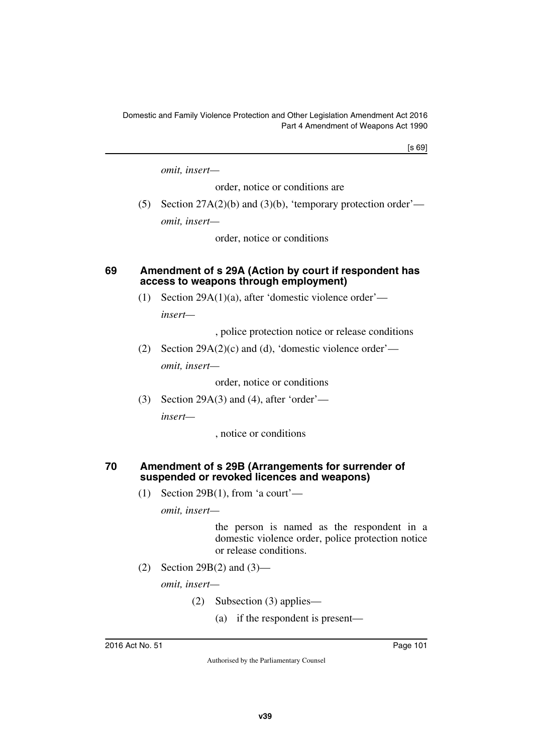[s 69]

*omit, insert—*

order, notice or conditions are

(5) Section  $27A(2)(b)$  and  $(3)(b)$ , 'temporary protection order' *omit, insert—*

order, notice or conditions

### **69 Amendment of s 29A (Action by court if respondent has access to weapons through employment)**

(1) Section 29A(1)(a), after 'domestic violence order'—

*insert—*

, police protection notice or release conditions

(2) Section 29A(2)(c) and (d), 'domestic violence order' *omit, insert—*

order, notice or conditions

(3) Section 29A(3) and (4), after 'order' *insert—*

, notice or conditions

### **70 Amendment of s 29B (Arrangements for surrender of suspended or revoked licences and weapons)**

(1) Section 29B(1), from 'a court'—

*omit, insert—*

the person is named as the respondent in a domestic violence order, police protection notice or release conditions.

(2) Section 29B(2) and (3)—

*omit, insert—*

- (2) Subsection (3) applies—
	- (a) if the respondent is present—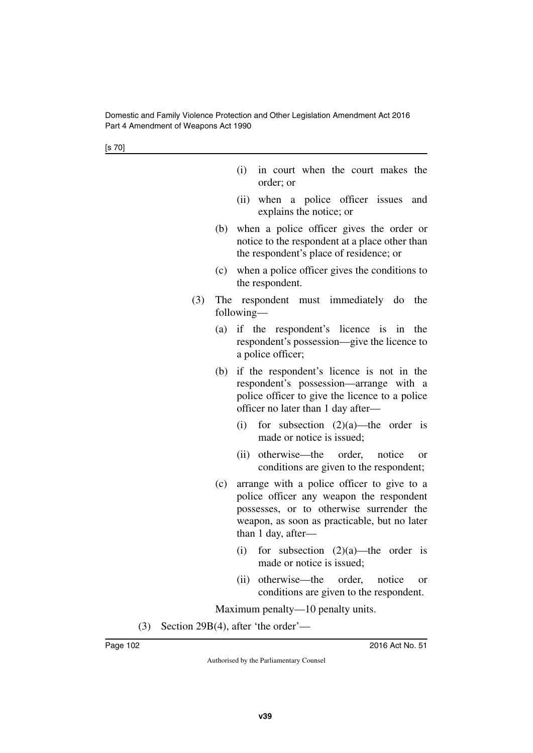[s 70]

|  |           |  | (i) in court when the court makes the |  |
|--|-----------|--|---------------------------------------|--|
|  | order; or |  |                                       |  |

- (ii) when a police officer issues and explains the notice; or
- (b) when a police officer gives the order or notice to the respondent at a place other than the respondent's place of residence; or
- (c) when a police officer gives the conditions to the respondent.
- (3) The respondent must immediately do the following—
	- (a) if the respondent's licence is in the respondent's possession—give the licence to a police officer;
	- (b) if the respondent's licence is not in the respondent's possession—arrange with a police officer to give the licence to a police officer no later than 1 day after—
		- (i) for subsection  $(2)(a)$ —the order is made or notice is issued;
		- (ii) otherwise—the order, notice or conditions are given to the respondent;
	- (c) arrange with a police officer to give to a police officer any weapon the respondent possesses, or to otherwise surrender the weapon, as soon as practicable, but no later than 1 day, after—
		- (i) for subsection  $(2)(a)$ —the order is made or notice is issued;
		- (ii) otherwise—the order, notice or conditions are given to the respondent.

Maximum penalty—10 penalty units.

(3) Section 29B(4), after 'the order'—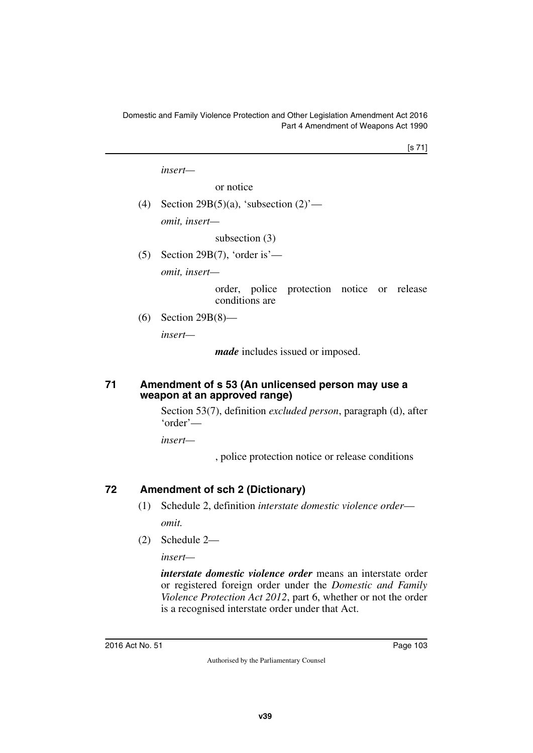[s 71]

*insert—*

or notice

(4) Section 29B(5)(a), 'subsection  $(2)$ ' *omit, insert—*

subsection (3)

(5) Section 29B(7), 'order is'—

*omit, insert—*

order, police protection notice or release conditions are

(6) Section 29B(8)—

*insert—*

*made* includes issued or imposed.

#### **71 Amendment of s 53 (An unlicensed person may use a weapon at an approved range)**

Section 53(7), definition *excluded person*, paragraph (d), after 'order'—

*insert—*

, police protection notice or release conditions

## **72 Amendment of sch 2 (Dictionary)**

- (1) Schedule 2, definition *interstate domestic violence order omit.*
- (2) Schedule 2—

*insert—*

*interstate domestic violence order* means an interstate order or registered foreign order under the *Domestic and Family Violence Protection Act 2012*, part 6, whether or not the order is a recognised interstate order under that Act.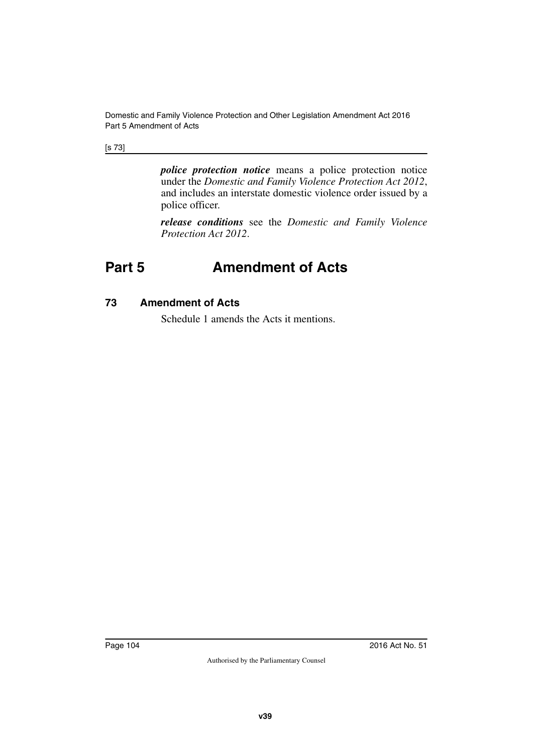#### [s 73]

*police protection notice* means a police protection notice under the *Domestic and Family Violence Protection Act 2012*, and includes an interstate domestic violence order issued by a police officer.

*release conditions* see the *Domestic and Family Violence Protection Act 2012*.

# **Part 5 Amendment of Acts**

### **73 Amendment of Acts**

Schedule 1 amends the Acts it mentions.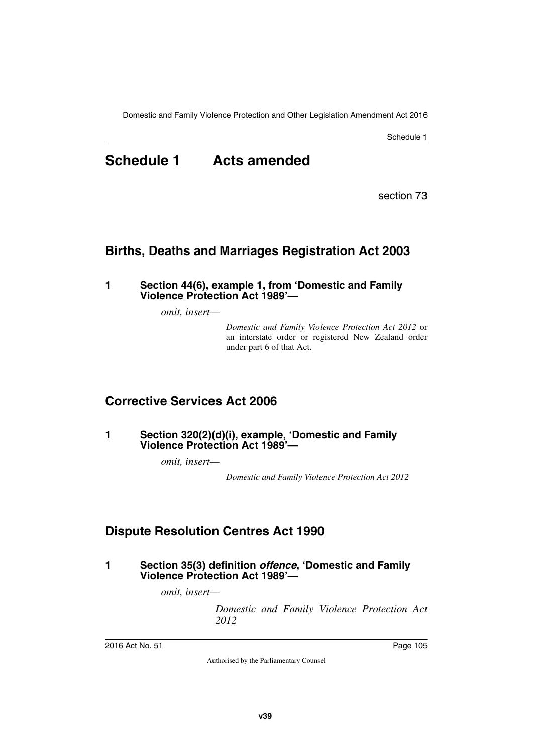Schedule 1

# **Schedule 1 Acts amended**

section 73

## **Births, Deaths and Marriages Registration Act 2003**

#### **1 Section 44(6), example 1, from 'Domestic and Family Violence Protection Act 1989'—**

*omit, insert—*

*Domestic and Family Violence Protection Act 2012* or an interstate order or registered New Zealand order under part 6 of that Act.

## **Corrective Services Act 2006**

#### **1 Section 320(2)(d)(i), example, 'Domestic and Family Violence Protection Act 1989'—**

*omit, insert—*

*Domestic and Family Violence Protection Act 2012*

## **Dispute Resolution Centres Act 1990**

**1 Section 35(3) definition** *offence***, 'Domestic and Family Violence Protection Act 1989'—**

*omit, insert—*

*Domestic and Family Violence Protection Act 2012*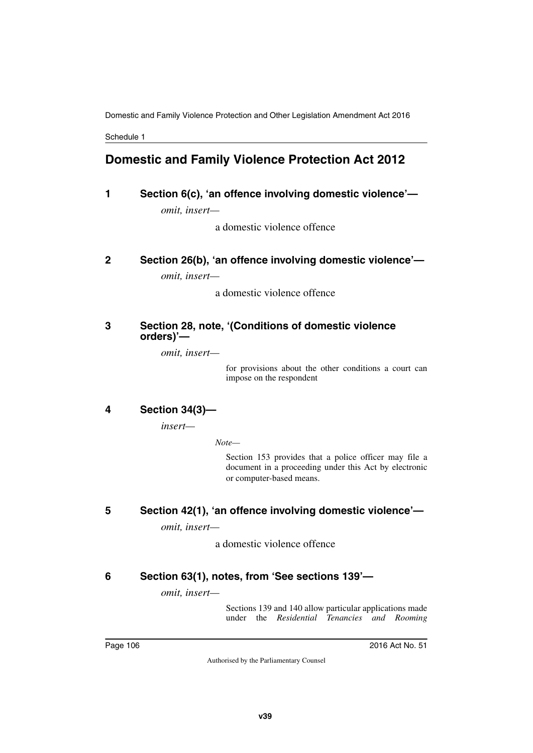Domestic and Family Violence Protection and Other Legislation Amendment Act 2016

Schedule 1

## **Domestic and Family Violence Protection Act 2012**

## **1 Section 6(c), 'an offence involving domestic violence'** *omit, insert—*

a domestic violence offence

## **2 Section 26(b), 'an offence involving domestic violence'—**

*omit, insert—*

a domestic violence offence

### **3 Section 28, note, '(Conditions of domestic violence orders)'—**

*omit, insert—*

for provisions about the other conditions a court can impose on the respondent

### **4 Section 34(3)—**

*insert—*

*Note—*

Section 153 provides that a police officer may file a document in a proceeding under this Act by electronic or computer-based means.

## **5 Section 42(1), 'an offence involving domestic violence'—**

*omit, insert—*

a domestic violence offence

## **6 Section 63(1), notes, from 'See sections 139'—**

*omit, insert—*

Sections 139 and 140 allow particular applications made under the *Residential Tenancies and Rooming*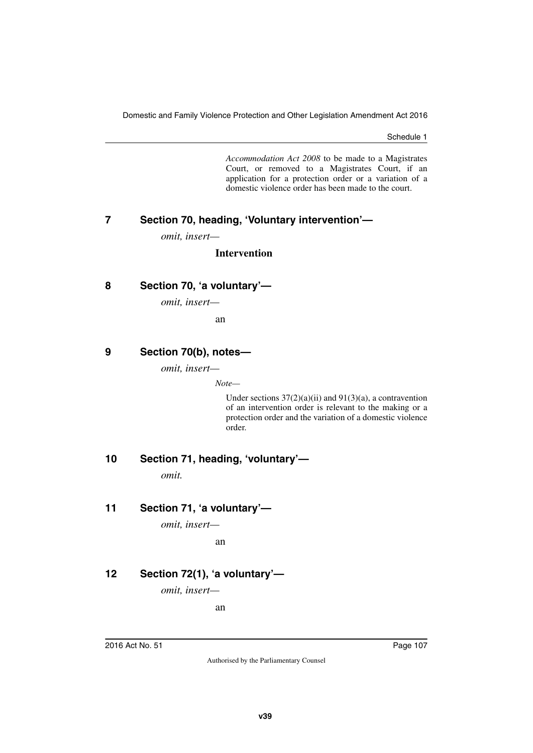Schedule 1

*Accommodation Act 2008* to be made to a Magistrates Court, or removed to a Magistrates Court, if an application for a protection order or a variation of a domestic violence order has been made to the court.

# **7 Section 70, heading, 'Voluntary intervention'—**

*omit, insert—*

#### **Intervention**

# **8 Section 70, 'a voluntary'—**

*omit, insert—*

an

# **9 Section 70(b), notes—**

*omit, insert—*

*Note—*

Under sections  $37(2)(a)(ii)$  and  $91(3)(a)$ , a contravention of an intervention order is relevant to the making or a protection order and the variation of a domestic violence order.

**10 Section 71, heading, 'voluntary'—**

*omit.*

### **11 Section 71, 'a voluntary'—**

*omit, insert—*

an

### **12 Section 72(1), 'a voluntary'—**

*omit, insert—*

an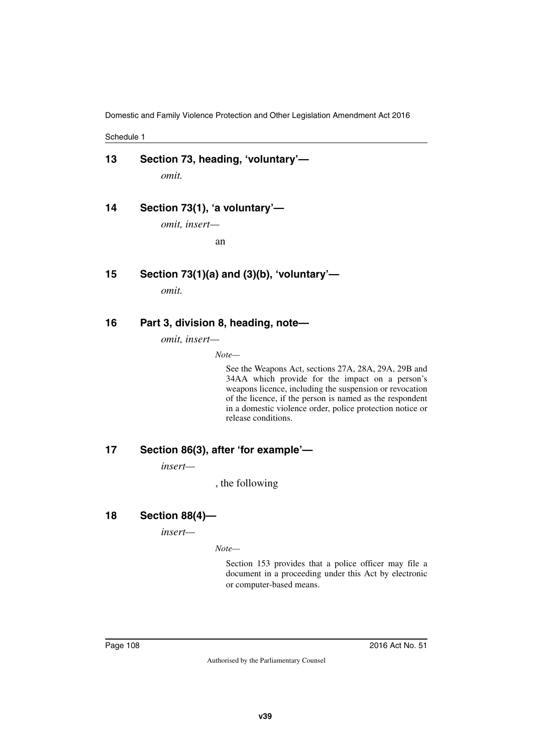Schedule 1

| 13 | Section 73, heading, 'voluntary'- |  |
|----|-----------------------------------|--|
|    | omit.                             |  |

**14 Section 73(1), 'a voluntary'—**

*omit, insert—*

an

**15 Section 73(1)(a) and (3)(b), 'voluntary'—**

*omit.*

#### **16 Part 3, division 8, heading, note—**

*omit, insert—*

*Note—*

See the Weapons Act, sections 27A, 28A, 29A, 29B and 34AA which provide for the impact on a person's weapons licence, including the suspension or revocation of the licence, if the person is named as the respondent in a domestic violence order, police protection notice or release conditions.

#### **17 Section 86(3), after 'for example'—**

*insert—*

, the following

# **18 Section 88(4)—**

*insert—*

*Note—*

Section 153 provides that a police officer may file a document in a proceeding under this Act by electronic or computer-based means.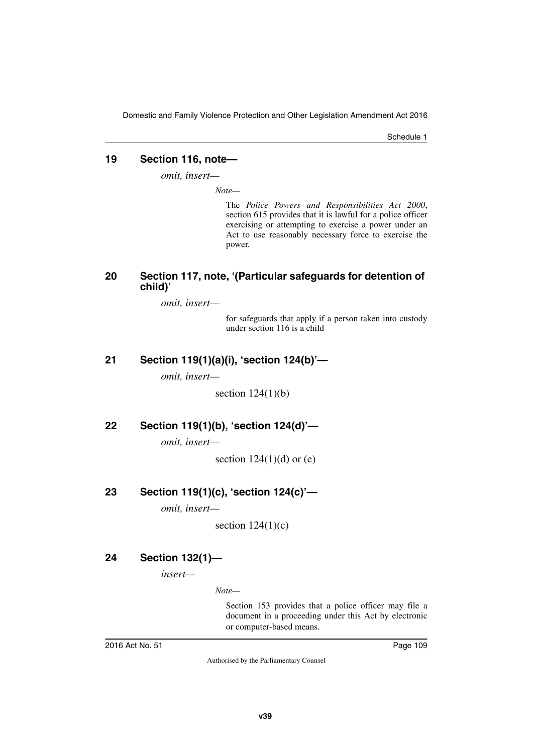Schedule 1

#### **19 Section 116, note—**

*omit, insert—*

*Note—*

The *Police Powers and Responsibilities Act 2000*, section 615 provides that it is lawful for a police officer exercising or attempting to exercise a power under an Act to use reasonably necessary force to exercise the power.

#### **20 Section 117, note, '(Particular safeguards for detention of child)'**

*omit, insert—*

for safeguards that apply if a person taken into custody under section 116 is a child

#### **21 Section 119(1)(a)(i), 'section 124(b)'—**

*omit, insert—*

section  $124(1)(b)$ 

#### **22 Section 119(1)(b), 'section 124(d)'—**

*omit, insert—*

section  $124(1)(d)$  or  $(e)$ 

#### **23 Section 119(1)(c), 'section 124(c)'—**

*omit, insert—*

section  $124(1)(c)$ 

### **24 Section 132(1)—**

*insert—*

*Note—*

Section 153 provides that a police officer may file a document in a proceeding under this Act by electronic or computer-based means.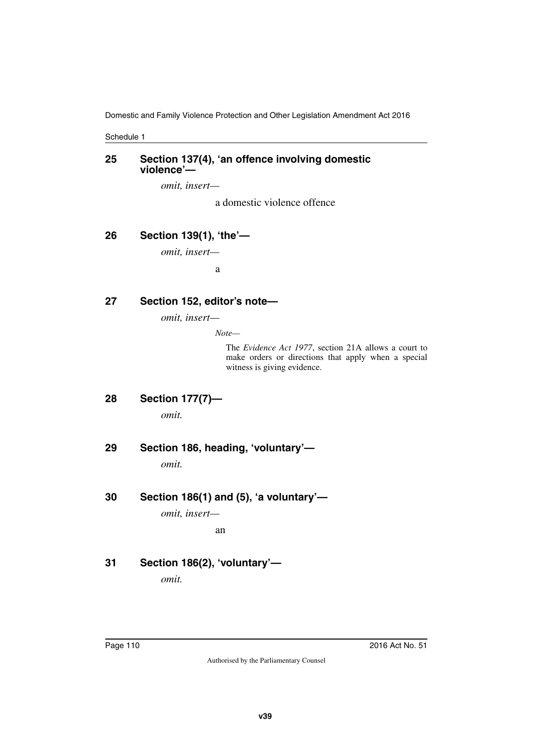Schedule 1

#### **25 Section 137(4), 'an offence involving domestic violence'—**

*omit, insert—*

a domestic violence offence

#### **26 Section 139(1), 'the'—**

*omit, insert—*

a

#### **27 Section 152, editor's note—**

*omit, insert—*

*Note—*

The *Evidence Act 1977*, section 21A allows a court to make orders or directions that apply when a special witness is giving evidence.

- **28 Section 177(7)** *omit.*
- **29 Section 186, heading, 'voluntary'—**

*omit.*

**30 Section 186(1) and (5), 'a voluntary'—**

*omit, insert—*

an

# **31 Section 186(2), 'voluntary'—**

*omit.*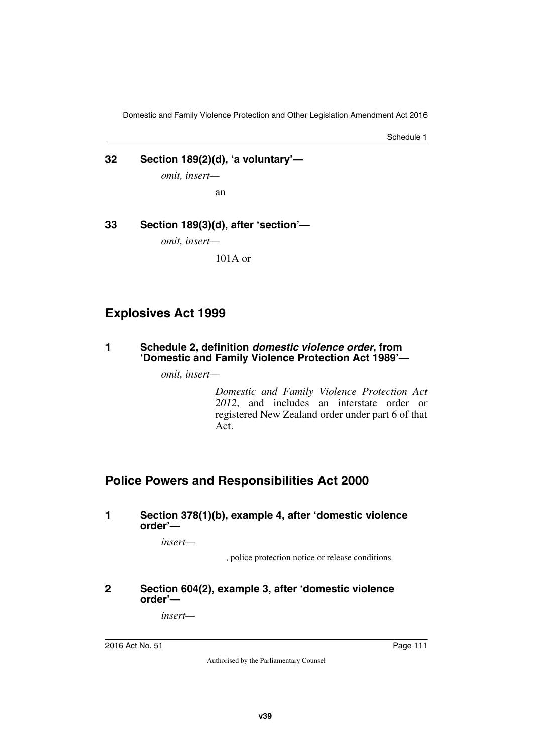Schedule 1

# **32 Section 189(2)(d), 'a voluntary'—**

*omit, insert—*

an

**33 Section 189(3)(d), after 'section'—**

*omit, insert—*

101A or

# **Explosives Act 1999**

**1 Schedule 2, definition** *domestic violence order***, from 'Domestic and Family Violence Protection Act 1989'—**

*omit, insert—*

*Domestic and Family Violence Protection Act 2012*, and includes an interstate order or registered New Zealand order under part 6 of that Act.

# **Police Powers and Responsibilities Act 2000**

#### **1 Section 378(1)(b), example 4, after 'domestic violence order'—**

*insert—*

, police protection notice or release conditions

#### **2 Section 604(2), example 3, after 'domestic violence order'—**

*insert—*